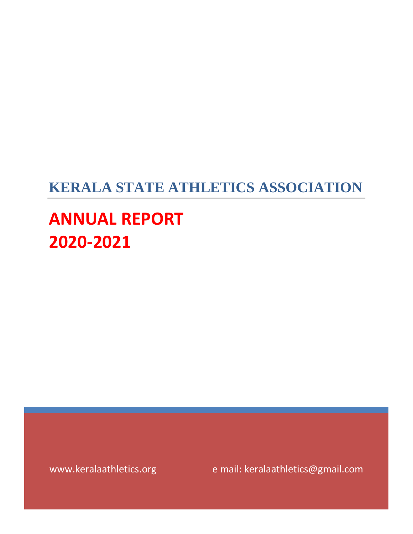# **KERALA STATE ATHLETICS ASSOCIATION**

# **ANNUAL REPORT 2020-2021**

www.keralaathletics.org e mail: keralaathletics@gmail.com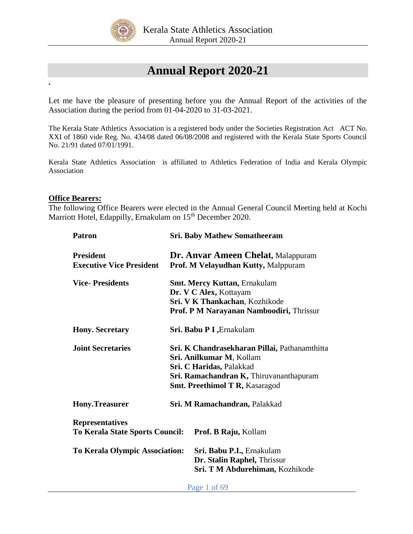

# **Annual Report 2020-21**

Let me have the pleasure of presenting before you the Annual Report of the activities of the Association during the period from 01-04-2020 to 31-03-2021.

The Kerala State Athletics Association is a registered body under the Societies Registration Act ACT No. XXI of 1860 vide Reg. No. 434/08 dated 06/08/2008 and registered with the Kerala State Sports Council No. 21/91 dated 07/01/1991.

Kerala State Athletics Association is affiliated to Athletics Federation of India and Kerala Olympic Association

### **Office Bearers:**

**.**

The following Office Bearers were elected in the Annual General Council Meeting held at Kochi Marriott Hotel, Edappilly, Ernakulam on 15<sup>th</sup> December 2020.

| <b>Patron</b>                                             | <b>Sri. Baby Mathew Somatheeram</b>                                                                                                                                                       |  |  |  |
|-----------------------------------------------------------|-------------------------------------------------------------------------------------------------------------------------------------------------------------------------------------------|--|--|--|
| <b>President</b><br><b>Executive Vice President</b>       | <b>Dr. Anvar Ameen Chelat, Malappuram</b><br>Prof. M Velayudhan Kutty, Malppuram                                                                                                          |  |  |  |
| <b>Vice-Presidents</b>                                    | <b>Smt. Mercy Kuttan, Ernakulam</b><br>Dr. V C Alex, Kottayam<br>Sri. V K Thankachan, Kozhikode<br>Prof. P M Narayanan Namboodiri, Thrissur                                               |  |  |  |
| <b>Hony.</b> Secretary                                    | Sri. Babu P I, Ernakulam                                                                                                                                                                  |  |  |  |
| <b>Joint Secretaries</b>                                  | Sri. K Chandrasekharan Pillai, Pathanamthitta<br>Sri. Anilkumar M, Kollam<br>Sri. C Haridas, Palakkad<br>Sri. Ramachandran K, Thiruvananthapuram<br><b>Smt. Preethimol T R, Kasaragod</b> |  |  |  |
| <b>Hony.Treasurer</b>                                     | Sri. M Ramachandran, Palakkad                                                                                                                                                             |  |  |  |
| <b>Representatives</b><br>To Kerala State Sports Council: | Prof. B Raju, Kollam                                                                                                                                                                      |  |  |  |
| <b>To Kerala Olympic Association:</b>                     | Sri. Babu P.I., Ernakulam<br>Dr. Stalin Raphel, Thrissur<br>Sri. T M Abdurehiman, Kozhikode                                                                                               |  |  |  |

Page 1 of 69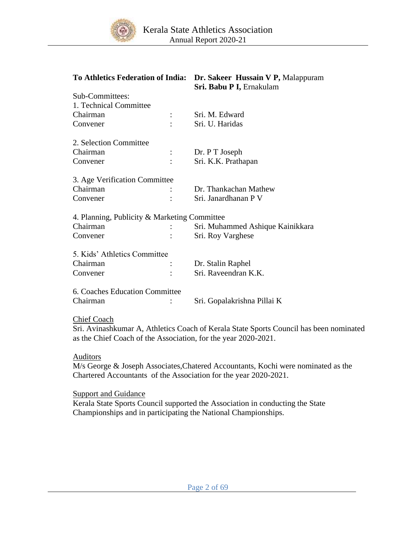

|                                              | To Athletics Federation of India: Dr. Sakeer Hussain V P, Malappuram<br>Sri. Babu P I, Ernakulam                                                         |
|----------------------------------------------|----------------------------------------------------------------------------------------------------------------------------------------------------------|
| Sub-Committees:                              |                                                                                                                                                          |
| 1. Technical Committee                       |                                                                                                                                                          |
| Chairman                                     | Sri. M. Edward                                                                                                                                           |
| Convener                                     | Sri. U. Haridas                                                                                                                                          |
| 2. Selection Committee                       |                                                                                                                                                          |
| Chairman                                     | Dr. P T Joseph                                                                                                                                           |
| Convener                                     | Sri. K.K. Prathapan                                                                                                                                      |
| 3. Age Verification Committee                |                                                                                                                                                          |
| Chairman                                     | Dr. Thankachan Mathew                                                                                                                                    |
| Convener                                     | Sri. Janardhanan P V                                                                                                                                     |
| 4. Planning, Publicity & Marketing Committee |                                                                                                                                                          |
| Chairman                                     | Sri. Muhammed Ashique Kainikkara                                                                                                                         |
| Convener                                     | Sri. Roy Varghese                                                                                                                                        |
| 5. Kids' Athletics Committee                 |                                                                                                                                                          |
| Chairman                                     | Dr. Stalin Raphel                                                                                                                                        |
| Convener                                     | Sri. Raveendran K.K.                                                                                                                                     |
| 6. Coaches Education Committee               |                                                                                                                                                          |
| Chairman                                     | Sri. Gopalakrishna Pillai K                                                                                                                              |
| <b>Chief Coach</b>                           |                                                                                                                                                          |
|                                              | Sri. Avinashkumar A, Athletics Coach of Kerala State Sports Council has been nominated<br>as the Chief Coach of the Association, for the year 2020-2021. |
| <b>Auditors</b>                              |                                                                                                                                                          |
|                                              | M/s George & Joseph Associates, Chatered Accountants, Kochi were nominated as the                                                                        |
|                                              | Chartered Accountants of the Association for the year 2020-2021.                                                                                         |

**Support and Guidance** 

Kerala State Sports Council supported the Association in conducting the State Championships and in participating the National Championships.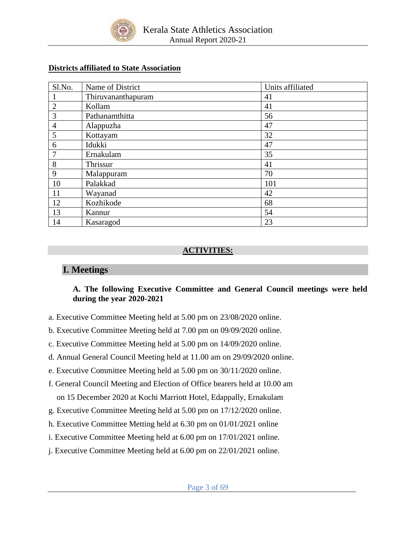

## **Districts affiliated to State Association**

| Sl.No.         | Name of District   | Units affiliated |
|----------------|--------------------|------------------|
|                | Thiruvananthapuram | 41               |
| $\overline{2}$ | Kollam             | 41               |
| 3              | Pathanamthitta     | 56               |
| $\overline{4}$ | Alappuzha          | 47               |
| 5              | Kottayam           | 32               |
| 6              | Idukki             | 47               |
| $\mathcal{I}$  | Ernakulam          | 35               |
| 8              | Thrissur           | 41               |
| 9              | Malappuram         | 70               |
| 10             | Palakkad           | 101              |
| 11             | Wayanad            | 42               |
| 12             | Kozhikode          | 68               |
| 13             | Kannur             | 54               |
| 14             | Kasaragod          | 23               |

# **ACTIVITIES:**

# **I. Meetings**

# **A. The following Executive Committee and General Council meetings were held during the year 2020-2021**

- a. Executive Committee Meeting held at 5.00 pm on 23/08/2020 online.
- b. Executive Committee Meeting held at 7.00 pm on 09/09/2020 online.
- c. Executive Committee Meeting held at 5.00 pm on 14/09/2020 online.
- d. Annual General Council Meeting held at 11.00 am on 29/09/2020 online.
- e. Executive Committee Meeting held at 5.00 pm on 30/11/2020 online.
- f. General Council Meeting and Election of Office bearers held at 10.00 am on 15 December 2020 at Kochi Marriott Hotel, Edappally, Ernakulam
- g. Executive Committee Meeting held at 5.00 pm on 17/12/2020 online.
- h. Executive Committee Metting held at 6.30 pm on 01/01/2021 online
- i. Executive Committee Meeting held at 6.00 pm on 17/01/2021 online.
- j. Executive Committee Meeting held at 6.00 pm on 22/01/2021 online.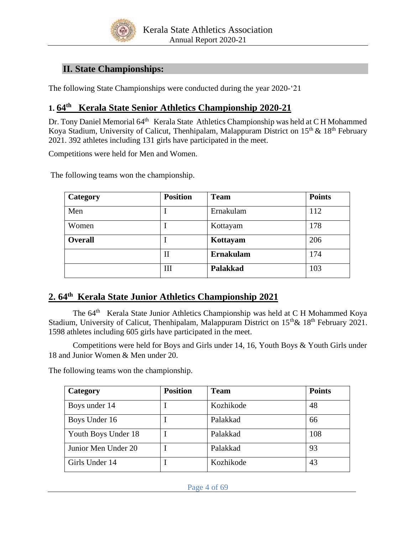

# **II. State Championships:**

The following State Championships were conducted during the year 2020-'21

# **1. 64 th Kerala State Senior Athletics Championship 2020-21**

Dr. Tony Daniel Memorial 64<sup>th</sup> Kerala State Athletics Championship was held at CH Mohammed Koya Stadium, University of Calicut, Thenhipalam, Malappuram District on 15<sup>th</sup> & 18<sup>th</sup> February 2021. 392 athletes including 131 girls have participated in the meet.

Competitions were held for Men and Women.

The following teams won the championship.

| Category       | <b>Position</b> | <b>Team</b>      | <b>Points</b> |
|----------------|-----------------|------------------|---------------|
| Men            |                 | Ernakulam        |               |
| Women          |                 | Kottayam         | 178           |
| <b>Overall</b> |                 | Kottayam         | 206           |
|                | П               | <b>Ernakulam</b> | 174           |
|                | Ш               | <b>Palakkad</b>  | 103           |

# **2. 64 th Kerala State Junior Athletics Championship 2021**

The 64<sup>th</sup> Kerala State Junior Athletics Championship was held at C H Mohammed Koya Stadium, University of Calicut, Thenhipalam, Malappuram District on 15<sup>th</sup> & 18<sup>th</sup> February 2021. 1598 athletes including 605 girls have participated in the meet.

Competitions were held for Boys and Girls under 14, 16, Youth Boys & Youth Girls under 18 and Junior Women & Men under 20.

The following teams won the championship.

| Category            | <b>Position</b> | <b>Team</b> | <b>Points</b> |
|---------------------|-----------------|-------------|---------------|
| Boys under 14       |                 | Kozhikode   | 48            |
| Boys Under 16       |                 | Palakkad    | 66            |
| Youth Boys Under 18 |                 | Palakkad    | 108           |
| Junior Men Under 20 |                 | Palakkad    | 93            |
| Girls Under 14      |                 | Kozhikode   | 43            |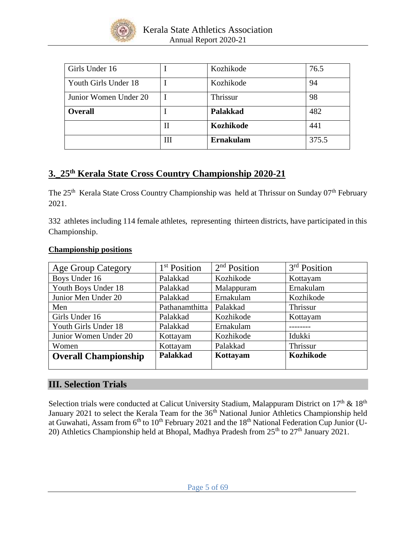

| Girls Under 16        |   | Kozhikode        | 76.5  |
|-----------------------|---|------------------|-------|
| Youth Girls Under 18  |   | Kozhikode        | 94    |
| Junior Women Under 20 |   | Thrissur         | 98    |
| <b>Overall</b>        |   | <b>Palakkad</b>  | 482   |
|                       | Н | Kozhikode        | 441   |
|                       | Ш | <b>Ernakulam</b> | 375.5 |

# **3.\_25 th Kerala State Cross Country Championship 2020-21**

The 25<sup>th</sup> Kerala State Cross Country Championship was held at Thrissur on Sunday 07<sup>th</sup> February 2021.

332 athletes including 114 female athletes, representing thirteen districts, have participated in this Championship.

| <b>Age Group Category</b>   | 1 <sup>st</sup> Position | 2 <sup>nd</sup> Position | $3rd$ Position |
|-----------------------------|--------------------------|--------------------------|----------------|
| Boys Under 16               | Palakkad                 | Kozhikode                | Kottayam       |
| Youth Boys Under 18         | Palakkad                 | Malappuram               | Ernakulam      |
| Junior Men Under 20         | Palakkad                 | Ernakulam                | Kozhikode      |
| Men                         | Pathanamthitta           | Palakkad                 | Thrissur       |
| Girls Under 16              | Palakkad                 | Kozhikode                | Kottayam       |
| Youth Girls Under 18        | Palakkad                 | Ernakulam                |                |
| Junior Women Under 20       | Kottayam                 | Kozhikode                | Idukki         |
| Women                       | Kottayam                 | Palakkad                 | Thrissur       |
| <b>Overall Championship</b> | <b>Palakkad</b>          | Kottayam                 | Kozhikode      |
|                             |                          |                          |                |

# **Championship positions**

# **III. Selection Trials**

Selection trials were conducted at Calicut University Stadium, Malappuram District on 17<sup>th</sup> & 18<sup>th</sup> January 2021 to select the Kerala Team for the 36<sup>th</sup> National Junior Athletics Championship held at Guwahati, Assam from 6<sup>th</sup> to 10<sup>th</sup> February 2021 and the 18<sup>th</sup> National Federation Cup Junior (U-20) Athletics Championship held at Bhopal, Madhya Pradesh from  $25<sup>th</sup>$  to  $27<sup>th</sup>$  January 2021.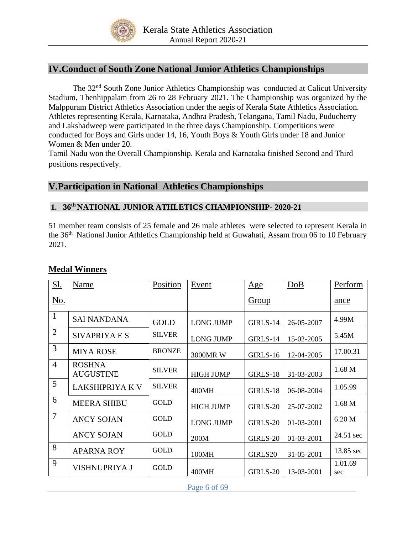

# **IV.Conduct of South Zone National Junior Athletics Championships**

The 32<sup>nd</sup> South Zone Junior Athletics Championship was conducted at Calicut University Stadium, Thenhippalam from 26 to 28 February 2021. The Championship was organized by the Malppuram District Athletics Association under the aegis of Kerala State Athletics Association. Athletes representing Kerala, Karnataka, Andhra Pradesh, Telangana, Tamil Nadu, Puducherry and Lakshadweep were participated in the three days Championship. Competitions were conducted for Boys and Girls under 14, 16, Youth Boys & Youth Girls under 18 and Junior Women & Men under 20.

Tamil Nadu won the Overall Championship. Kerala and Karnataka finished Second and Third positions respectively.

# **V.Participation in National Athletics Championships**

# **1. 36th NATIONAL JUNIOR ATHLETICS CHAMPIONSHIP- 2020-21**

51 member team consists of 25 female and 26 male athletes were selected to represent Kerala in the 36<sup>th</sup> National Junior Athletics Championship held at Guwahati, Assam from 06 to 10 February 2021.

| Sl.            | Name                              | Position      | Event            | Age          | DoB        | Perform        |
|----------------|-----------------------------------|---------------|------------------|--------------|------------|----------------|
| <u>No.</u>     |                                   |               |                  | <b>Group</b> |            | ance           |
| $\mathbf{1}$   | <b>SAI NANDANA</b>                | <b>GOLD</b>   | <b>LONG JUMP</b> | GIRLS-14     | 26-05-2007 | 4.99M          |
| $\overline{2}$ | SIVAPRIYA E S                     | <b>SILVER</b> | <b>LONG JUMP</b> | GIRLS-14     | 15-02-2005 | 5.45M          |
| 3              | <b>MIYA ROSE</b>                  | <b>BRONZE</b> | 3000MR W         | GIRLS-16     | 12-04-2005 | 17.00.31       |
| $\overline{4}$ | <b>ROSHNA</b><br><b>AUGUSTINE</b> | <b>SILVER</b> | <b>HIGH JUMP</b> | GIRLS-18     | 31-03-2003 | 1.68 M         |
| 5              | <b>LAKSHIPRIYA K V</b>            | <b>SILVER</b> | 400MH            | GIRLS-18     | 06-08-2004 | 1.05.99        |
| 6              | <b>MEERA SHIBU</b>                | <b>GOLD</b>   | <b>HIGH JUMP</b> | GIRLS-20     | 25-07-2002 | 1.68 M         |
| $\overline{7}$ | <b>ANCY SOJAN</b>                 | <b>GOLD</b>   | <b>LONG JUMP</b> | GIRLS-20     | 01-03-2001 | 6.20 M         |
|                | <b>ANCY SOJAN</b>                 | <b>GOLD</b>   | 200M             | GIRLS-20     | 01-03-2001 | 24.51 sec      |
| 8              | <b>APARNA ROY</b>                 | <b>GOLD</b>   | 100MH            | GIRLS20      | 31-05-2001 | 13.85 sec      |
| 9              | <b>VISHNUPRIYA J</b>              | <b>GOLD</b>   | 400MH            | GIRLS-20     | 13-03-2001 | 1.01.69<br>sec |

# **Medal Winners**

Page 6 of 69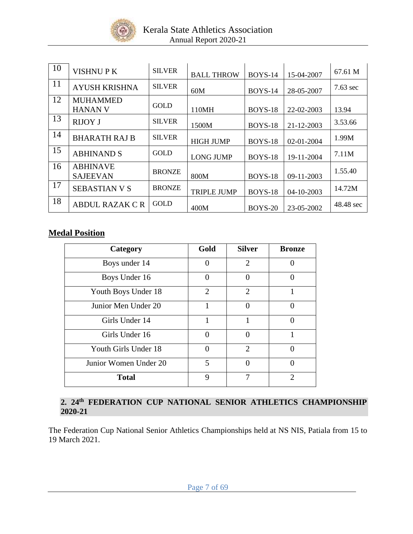

| 10 | <b>VISHNUPK</b>                    | <b>SILVER</b> | <b>BALL THROW</b>  | <b>BOYS-14</b> | 15-04-2007       | 67.61 M    |
|----|------------------------------------|---------------|--------------------|----------------|------------------|------------|
| 11 | <b>AYUSH KRISHNA</b>               | <b>SILVER</b> | 60M                | <b>BOYS-14</b> | 28-05-2007       | $7.63$ sec |
| 12 | <b>MUHAMMED</b><br><b>HANAN V</b>  | <b>GOLD</b>   | 110MH              | BOYS-18        | 22-02-2003       | 13.94      |
| 13 | <b>RIJOY J</b>                     | <b>SILVER</b> | 1500M              | BOYS-18        | 21-12-2003       | 3.53.66    |
| 14 | <b>BHARATH RAJ B</b>               | <b>SILVER</b> | <b>HIGH JUMP</b>   | <b>BOYS-18</b> | $02 - 01 - 2004$ | 1.99M      |
| 15 | <b>ABHINAND S</b>                  | <b>GOLD</b>   | <b>LONG JUMP</b>   | BOYS-18        | 19-11-2004       | 7.11M      |
| 16 | <b>ABHINAVE</b><br><b>SAJEEVAN</b> | <b>BRONZE</b> | 800M               | <b>BOYS-18</b> | 09-11-2003       | 1.55.40    |
| 17 | <b>SEBASTIAN V S</b>               | <b>BRONZE</b> | <b>TRIPLE JUMP</b> | BOYS-18        | $04 - 10 - 2003$ | 14.72M     |
| 18 | ABDUL RAZAK C R                    | <b>GOLD</b>   | 400M               | <b>BOYS-20</b> | 23-05-2002       | 48.48 sec  |

# **Medal Position**

| Category              | Gold           | <b>Silver</b>  | <b>Bronze</b> |
|-----------------------|----------------|----------------|---------------|
| Boys under 14         | $\Omega$       | $\overline{2}$ |               |
| Boys Under 16         | $\theta$       | $\Omega$       |               |
| Youth Boys Under 18   | $\overline{2}$ | $\overline{2}$ | 1             |
| Junior Men Under 20   | 1              | $\Omega$       | ∩             |
| Girls Under 14        | 1              | 1              |               |
| Girls Under 16        | $\Omega$       | ∩              |               |
| Youth Girls Under 18  | ∩              | $\overline{2}$ | 0             |
| Junior Women Under 20 | 5              | ∩              | ∩             |
| <b>Total</b>          | 9              | 7              | っ             |

## **2. 24 th FEDERATION CUP NATIONAL SENIOR ATHLETICS CHAMPIONSHIP 2020-21**

The Federation Cup National Senior Athletics Championships held at NS NIS, Patiala from 15 to 19 March 2021.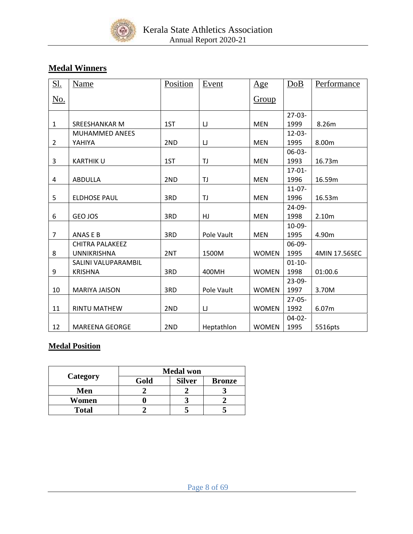

# **Medal Winners**

| <u>S1.</u>     | <b>Name</b>            | Position | Event      | Age          | DoB         | Performance   |
|----------------|------------------------|----------|------------|--------------|-------------|---------------|
| <u>No.</u>     |                        |          |            | Group        |             |               |
|                |                        |          |            |              | $27-03-$    |               |
| 1              | <b>SREESHANKAR M</b>   | 1ST      | IJ         | <b>MEN</b>   | 1999        | 8.26m         |
|                | <b>MUHAMMED ANEES</b>  |          |            |              | $12 - 03 -$ |               |
| $\overline{2}$ | YAHIYA                 | 2ND      | IJ         | <b>MEN</b>   | 1995        | 8.00m         |
|                |                        |          |            |              | $06-03-$    |               |
| 3              | <b>KARTHIKU</b>        | 1ST      | TJ         | <b>MEN</b>   | 1993        | 16.73m        |
|                |                        |          |            |              | $17 - 01 -$ |               |
| 4              | ABDULLA                | 2ND      | TJ         | <b>MEN</b>   | 1996        | 16.59m        |
|                |                        |          |            |              | $11 - 07 -$ |               |
| 5              | <b>ELDHOSE PAUL</b>    | 3RD      | TJ         | <b>MEN</b>   | 1996        | 16.53m        |
|                |                        |          |            |              | $24-09-$    |               |
| 6              | GEO JOS                | 3RD      | HJ         | <b>MEN</b>   | 1998        | 2.10m         |
|                |                        |          |            |              | 10-09-      |               |
| $\overline{7}$ | ANAS E B               | 3RD      | Pole Vault | <b>MEN</b>   | 1995        | 4.90m         |
|                | <b>CHITRA PALAKEEZ</b> |          |            |              | 06-09-      |               |
| 8              | <b>UNNIKRISHNA</b>     | 2NT      | 1500M      | <b>WOMEN</b> | 1995        | 4MIN 17.56SEC |
|                | SALINI VALUPARAMBIL    |          |            |              | $01 - 10 -$ |               |
| 9              | <b>KRISHNA</b>         | 3RD      | 400MH      | <b>WOMEN</b> | 1998        | 01:00.6       |
|                |                        |          |            |              | $23-09-$    |               |
| 10             | <b>MARIYA JAISON</b>   | 3RD      | Pole Vault | <b>WOMEN</b> | 1997        | 3.70M         |
|                |                        |          |            |              | $27 - 05 -$ |               |
| 11             | <b>RINTU MATHEW</b>    | 2ND      | IJ         | <b>WOMEN</b> | 1992        | 6.07m         |
|                |                        |          |            |              | $04-02-$    |               |
| 12             | <b>MAREENA GEORGE</b>  | 2ND      | Heptathlon | <b>WOMEN</b> | 1995        | 5516pts       |

# **Medal Position**

|              | <b>Medal won</b> |               |               |  |  |
|--------------|------------------|---------------|---------------|--|--|
| Category     | Gold             | <b>Silver</b> | <b>Bronze</b> |  |  |
| Men          |                  |               |               |  |  |
| Women        |                  |               |               |  |  |
| <b>Total</b> |                  |               |               |  |  |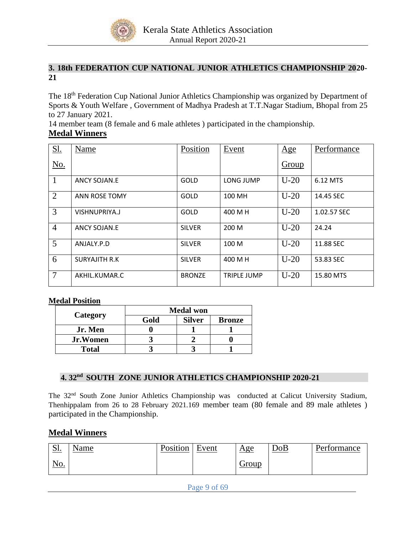

# **3. 18th FEDERATION CUP NATIONAL JUNIOR ATHLETICS CHAMPIONSHIP 2020- 21**

The 18<sup>th</sup> Federation Cup National Junior Athletics Championship was organized by Department of Sports & Youth Welfare , Government of Madhya Pradesh at T.T.Nagar Stadium, Bhopal from 25 to 27 January 2021.

14 member team (8 female and 6 male athletes ) participated in the championship.

# **Medal Winners**

| <u>S1.</u>     | Name                  | Position      | Event       | Age    | Performance |
|----------------|-----------------------|---------------|-------------|--------|-------------|
| No.            |                       |               |             | Group  |             |
| $\mathbf{1}$   | ANCY SOJAN.E          | GOLD          | LONG JUMP   | $U-20$ | 6.12 MTS    |
| $\overline{2}$ | <b>ANN ROSE TOMY</b>  | GOLD          | 100 MH      | $U-20$ | 14.45 SEC   |
| 3              | VISHNUPRIYA.J         | GOLD          | 400 M H     | $U-20$ | 1.02.57 SEC |
| $\overline{4}$ | ANCY SOJAN.E          | <b>SILVER</b> | 200 M       | $U-20$ | 24.24       |
| 5              | ANJALY.P.D            | <b>SILVER</b> | 100 M       | $U-20$ | 11.88 SEC   |
| 6              | <b>SURYAJITH R.K.</b> | <b>SILVER</b> | 400 M H     | $U-20$ | 53.83 SEC   |
| $\overline{7}$ | AKHIL.KUMAR.C         | <b>BRONZE</b> | TRIPLE JUMP | $U-20$ | 15.80 MTS   |

### **Medal Position**

|                 | <b>Medal won</b> |               |               |  |  |  |
|-----------------|------------------|---------------|---------------|--|--|--|
| Category        | Gold             | <b>Silver</b> | <b>Bronze</b> |  |  |  |
| Jr. Men         |                  |               |               |  |  |  |
| <b>Jr.Women</b> |                  |               |               |  |  |  |
| <b>Total</b>    |                  |               |               |  |  |  |

## **4. 32 nd SOUTH ZONE JUNIOR ATHLETICS CHAMPIONSHIP 2020-21**

The 32nd South Zone Junior Athletics Championship was conducted at Calicut University Stadium, Thenhippalam from 26 to 28 February 2021.169 member team (80 female and 89 male athletes ) participated in the Championship.

# **Medal Winners**

| $\Omega$ 1<br><u>. גר</u> | <u>Name</u> | Position | Event | Age   | <u>DoB</u> | Performance |
|---------------------------|-------------|----------|-------|-------|------------|-------------|
| <u>No.</u>                |             |          |       | Group |            |             |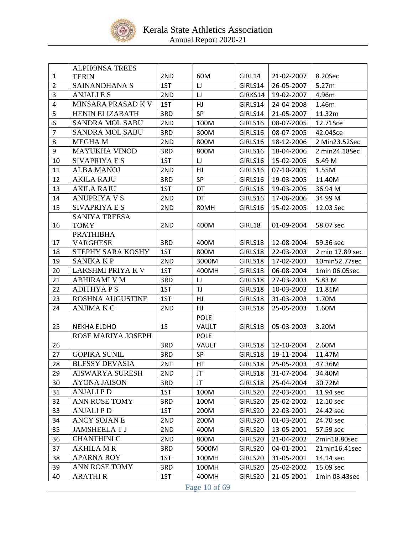

|                | <b>ALPHONSA TREES</b>  |                |             |         |            |                 |  |  |  |
|----------------|------------------------|----------------|-------------|---------|------------|-----------------|--|--|--|
| $\mathbf{1}$   | <b>TERIN</b>           | 2ND            | 60M         | GIRL14  | 21-02-2007 | 8.20Sec         |  |  |  |
| $\overline{2}$ | SAINANDHANA S          | 1ST            | IJ          | GIRLS14 | 26-05-2007 | 5.27m           |  |  |  |
| 3              | <b>ANJALIES</b>        | 2ND            | IJ          | GIRKS14 | 19-02-2007 | 4.96m           |  |  |  |
| 4              | MINSARA PRASAD K V     | 1ST            | HJ          | GIRLS14 | 24-04-2008 | 1.46m           |  |  |  |
| 5              | <b>HENIN ELIZABATH</b> | 3RD            | SP          | GIRLS14 | 21-05-2007 | 11.32m          |  |  |  |
| 6              | SANDRA MOL SABU        | 2ND            | 100M        | GIRLS16 | 08-07-2005 | 12.71Sce        |  |  |  |
| 7              | <b>SANDRA MOL SABU</b> | 3RD            | 300M        | GIRLS16 | 08-07-2005 | 42.04Sce        |  |  |  |
| 8              | <b>MEGHAM</b>          | 2ND            | 800M        | GIRLS16 | 18-12-2006 | 2 Min23.52Sec   |  |  |  |
| 9              | <b>MAYUKHA VINOD</b>   | 3RD            | 800M        | GIRLS16 | 18-04-2006 | 2 min24.18Sec   |  |  |  |
| 10             | <b>SIVAPRIYA E S</b>   | 1ST            | IJ          | GIRLS16 | 15-02-2005 | 5.49 M          |  |  |  |
| 11             | <b>ALBA MANOJ</b>      | 2ND            | HJ          | GIRLS16 | 07-10-2005 | 1.55M           |  |  |  |
| 12             | <b>AKILA RAJU</b>      | 3RD            | SP          | GIRLS16 | 19-03-2005 | 11.40M          |  |  |  |
| 13             | <b>AKILA RAJU</b>      | 1ST            | DT          | GIRLS16 | 19-03-2005 | 36.94 M         |  |  |  |
| 14             | <b>ANUPRIYA V S</b>    | 2ND            | DT          | GIRLS16 | 17-06-2006 | 34.99 M         |  |  |  |
| 15             | <b>SIVAPRIYA E S</b>   | 2ND            | 80MH        | GIRLS16 | 15-02-2005 | 12.03 Sec       |  |  |  |
|                | <b>SANIYA TREESA</b>   |                |             |         |            |                 |  |  |  |
| 16             | <b>TOMY</b>            | 2ND            | 400M        | GIRL18  | 01-09-2004 | 58.07 sec       |  |  |  |
|                | <b>PRATHIBHA</b>       |                |             |         |            |                 |  |  |  |
| 17             | <b>VARGHESE</b>        | 3RD            | 400M        | GIRLS18 | 12-08-2004 | 59.36 sec       |  |  |  |
| 18             | STEPHY SARA KOSHY      | 1ST            | 800M        | GIRLS18 | 22-03-2003 | 2 min 17.89 sec |  |  |  |
| 19             | <b>SANIKA KP</b>       | 2ND            | 3000M       | GIRLS18 | 17-02-2003 | 10min52.77sec   |  |  |  |
| 20             | LAKSHMI PRIYA K V      | 1ST            | 400MH       | GIRLS18 | 06-08-2004 | 1min 06.05sec   |  |  |  |
| 21             | <b>ABHIRAMI V M</b>    | 3RD            | IJ          | GIRLS18 | 27-03-2003 | 5.83 M          |  |  |  |
| 22             | <b>ADITHYAPS</b>       | 1ST            | TJ          | GIRLS18 | 10-03-2003 | 11.81M          |  |  |  |
| 23             | ROSHNA AUGUSTINE       | 1ST            | HJ          | GIRLS18 | 31-03-2003 | 1.70M           |  |  |  |
| 24             | <b>ANJIMA K C</b>      | 2ND            | HJ          | GIRLS18 | 25-05-2003 | 1.60M           |  |  |  |
|                |                        |                | <b>POLE</b> |         |            |                 |  |  |  |
| 25             | <b>NEKHA ELDHO</b>     | 1 <sub>S</sub> | VAULT       | GIRLS18 | 05-03-2003 | 3.20M           |  |  |  |
|                | ROSE MARIYA JOSEPH     |                | <b>POLE</b> |         |            |                 |  |  |  |
| 26             |                        | 3RD            | VAULT       | GIRLS18 | 12-10-2004 | 2.60M           |  |  |  |
| 27             | <b>GOPIKA SUNIL</b>    | 3RD            | <b>SP</b>   | GIRLS18 | 19-11-2004 | 11.47M          |  |  |  |
| 28             | <b>BLESSY DEVASIA</b>  | 2NT            | HT          | GIRLS18 | 25-05-2003 | 47.36M          |  |  |  |
| 29             | AISWARYA SURESH        | 2ND            | JT          | GIRLS18 | 31-07-2004 | 34.40M          |  |  |  |
| 30             | <b>AYONA JAISON</b>    | 3RD            | JT          | GIRLS18 | 25-04-2004 | 30.72M          |  |  |  |
| 31             | <b>ANJALIPD</b>        | 1ST            | 100M        | GIRLS20 | 22-03-2001 | 11.94 sec       |  |  |  |
| 32             | <b>ANN ROSE TOMY</b>   | 3RD            | 100M        | GIRLS20 | 25-02-2002 | 12.10 sec       |  |  |  |
| 33             | <b>ANJALIPD</b>        | 1ST            | 200M        | GIRLS20 | 22-03-2001 | 24.42 sec       |  |  |  |
| 34             | ANCY SOJAN E           | 2ND            | 200M        | GIRLS20 | 01-03-2001 | 24.70 sec       |  |  |  |
| 35             | <b>JAMSHEELAT J</b>    | 2ND            | 400M        | GIRLS20 | 13-05-2001 | 57.59 sec       |  |  |  |
| 36             | <b>CHANTHINI C</b>     | 2ND            | 800M        | GIRLS20 | 21-04-2002 | 2min18.80sec    |  |  |  |
| 37             | <b>AKHILA M R</b>      | 3RD            | 5000M       | GIRLS20 | 04-01-2001 | 21min16.41sec   |  |  |  |
| 38             | <b>APARNA ROY</b>      | 1ST            | 100MH       | GIRLS20 | 31-05-2001 | 14.14 sec       |  |  |  |
| 39             | ANN ROSE TOMY          | 3RD            | 100MH       | GIRLS20 | 25-02-2002 | 15.09 sec       |  |  |  |
| 40             | <b>ARATHIR</b>         | 1ST            | 400MH       | GIRLS20 | 21-05-2001 | 1min 03.43sec   |  |  |  |
|                | Page 10 of 69          |                |             |         |            |                 |  |  |  |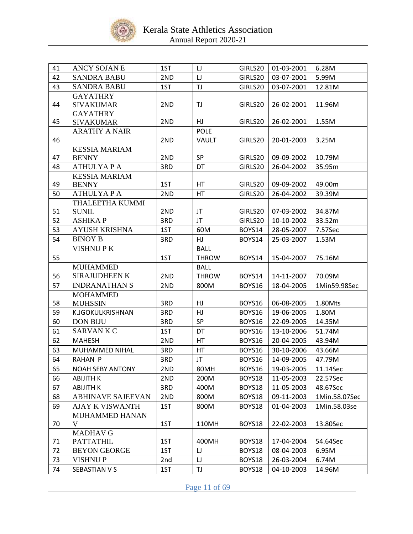

| 41 | ANCY SOJAN E             | 1ST | IJ           | GIRLS20 | 01-03-2001 | 6.28M         |
|----|--------------------------|-----|--------------|---------|------------|---------------|
| 42 | <b>SANDRA BABU</b>       | 2ND | IJ           | GIRLS20 | 03-07-2001 | 5.99M         |
| 43 | <b>SANDRA BABU</b>       | 1ST | TJ           | GIRLS20 | 03-07-2001 | 12.81M        |
|    | <b>GAYATHRY</b>          |     |              |         |            |               |
| 44 | <b>SIVAKUMAR</b>         | 2ND | TJ           | GIRLS20 | 26-02-2001 | 11.96M        |
|    | <b>GAYATHRY</b>          |     |              |         |            |               |
| 45 | <b>SIVAKUMAR</b>         | 2ND | HJ           | GIRLS20 | 26-02-2001 | 1.55M         |
|    | <b>ARATHY A NAIR</b>     |     | <b>POLE</b>  |         |            |               |
| 46 |                          | 2ND | VAULT        | GIRLS20 | 20-01-2003 | 3.25M         |
|    | <b>KESSIA MARIAM</b>     |     |              |         |            |               |
| 47 | <b>BENNY</b>             | 2ND | SP           | GIRLS20 | 09-09-2002 | 10.79M        |
| 48 | <b>ATHULYAPA</b>         | 3RD | DT           | GIRLS20 | 26-04-2002 | 35.95m        |
|    | <b>KESSIA MARIAM</b>     |     |              |         |            |               |
| 49 | <b>BENNY</b>             | 1ST | HT           | GIRLS20 | 09-09-2002 | 49.00m        |
| 50 | <b>ATHULYAPA</b>         | 2ND | HT           | GIRLS20 | 26-04-2002 | 39.39M        |
|    | THALEETHA KUMMI          |     |              |         |            |               |
| 51 | <b>SUNIL</b>             | 2ND | JT           | GIRLS20 | 07-03-2002 | 34.87M        |
| 52 | <b>ASHIKAP</b>           | 3RD | JT           | GIRLS20 | 10-10-2002 | 33.52m        |
| 53 | <b>AYUSH KRISHNA</b>     | 1ST | 60M          | BOYS14  | 28-05-2007 | 7.57Sec       |
| 54 | <b>BINOY B</b>           | 3RD | HJ           | BOYS14  | 25-03-2007 | 1.53M         |
|    | <b>VISHNUPK</b>          |     | <b>BALL</b>  |         |            |               |
| 55 |                          | 1ST | <b>THROW</b> | BOYS14  | 15-04-2007 | 75.16M        |
|    | <b>MUHAMMED</b>          |     | <b>BALL</b>  |         |            |               |
| 56 | <b>SIRAJUDHEEN K</b>     | 2ND | <b>THROW</b> | BOYS14  | 14-11-2007 | 70.09M        |
| 57 | <b>INDRANATHAN S</b>     | 2ND | 800M         | BOYS16  | 18-04-2005 | 1Min59.98Sec  |
|    | <b>MOHAMMED</b>          |     |              |         |            |               |
| 58 | <b>MUHSSIN</b>           | 3RD | HJ           | BOYS16  | 06-08-2005 | 1.80Mts       |
| 59 | K.JGOKULKRISHNAN         | 3RD | HJ           | BOYS16  | 19-06-2005 | 1.80M         |
| 60 | <b>DON BIJU</b>          | 3RD | <b>SP</b>    | BOYS16  | 22-09-2005 | 14.35M        |
| 61 | <b>SARVANKC</b>          | 1ST | DT           | BOYS16  | 13-10-2006 | 51.74M        |
| 62 | <b>MAHESH</b>            | 2ND | HT           | BOYS16  | 20-04-2005 | 43.94M        |
| 63 | MUHAMMED NIHAL           | 3RD | HT           | BOYS16  | 30-10-2006 | 43.66M        |
| 64 | <b>RAHAN P</b>           | 3RD | JT           | BOYS16  | 14-09-2005 | 47.79M        |
| 65 | <b>NOAH SEBY ANTONY</b>  | 2ND | 80MH         | BOYS16  | 19-03-2005 | 11.14Sec      |
| 66 | ABIJITH K                | 2ND | 200M         | BOYS18  | 11-05-2003 | 22.57Sec      |
| 67 | <b>ABIJITH K</b>         | 3RD | 400M         | BOYS18  | 11-05-2003 | 48.67Sec      |
| 68 | <b>ABHINAVE SAJEEVAN</b> | 2ND | 800M         | BOYS18  | 09-11-2003 | 1Min.58.07Sec |
| 69 | <b>AJAY K VISWANTH</b>   | 1ST | 800M         | BOYS18  | 01-04-2003 | 1Min.58.03se  |
|    | MUHAMMED HANAN           |     |              |         |            |               |
| 70 | V                        | 1ST | 110MH        | BOYS18  | 22-02-2003 | 13.80Sec      |
|    | <b>MADHAV G</b>          |     |              |         |            |               |
| 71 | <b>PATTATHIL</b>         | 1ST | 400MH        | BOYS18  | 17-04-2004 | 54.64Sec      |
| 72 | <b>BEYON GEORGE</b>      | 1ST | IJ           | BOYS18  | 08-04-2003 | 6.95M         |
| 73 | <b>VISHNUP</b>           | 2nd | $\sqcup$     | BOYS18  | 26-03-2004 | 6.74M         |
| 74 | SEBASTIAN V S            | 1ST | TJ           | BOYS18  | 04-10-2003 | 14.96M        |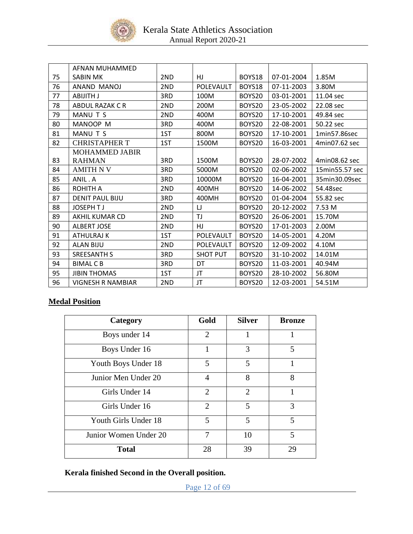

|    | AFNAN MUHAMMED           |     |                  |        |            |                |
|----|--------------------------|-----|------------------|--------|------------|----------------|
| 75 | <b>SABIN MK</b>          | 2ND | HJ.              | BOYS18 | 07-01-2004 | 1.85M          |
| 76 | ANAND MANOJ              | 2ND | <b>POLEVAULT</b> | BOYS18 | 07-11-2003 | 3.80M          |
| 77 | ABIJITH J                | 3RD | 100M             | BOYS20 | 03-01-2001 | 11.04 sec      |
| 78 | ABDUL RAZAK C R          | 2ND | 200M             | BOYS20 | 23-05-2002 | 22.08 sec      |
| 79 | MANU T S                 | 2ND | 400M             | BOYS20 | 17-10-2001 | 49.84 sec      |
| 80 | MANOOP M                 | 3RD | 400M             | BOYS20 | 22-08-2001 | 50.22 sec      |
| 81 | MANU T S                 | 1ST | 800M             | BOYS20 | 17-10-2001 | 1min57.86sec   |
| 82 | <b>CHRISTAPHER T</b>     | 1ST | 1500M            | BOYS20 | 16-03-2001 | 4min07.62 sec  |
|    | <b>MOHAMMED JABIR</b>    |     |                  |        |            |                |
| 83 | <b>RAHMAN</b>            | 3RD | 1500M            | BOYS20 | 28-07-2002 | 4min08.62 sec  |
| 84 | AMITH N V                | 3RD | 5000M            | BOYS20 | 02-06-2002 | 15min55.57 sec |
| 85 | ANIL . A                 | 3RD | 10000M           | BOYS20 | 16-04-2001 | 35min30.09sec  |
| 86 | <b>ROHITH A</b>          | 2ND | 400MH            | BOYS20 | 14-06-2002 | 54.48sec       |
| 87 | <b>DENIT PAUL BIJU</b>   | 3RD | 400MH            | BOYS20 | 01-04-2004 | 55.82 sec      |
| 88 | <b>JOSEPHTJ</b>          | 2ND | IJ               | BOYS20 | 20-12-2002 | 7.53 M         |
| 89 | AKHIL KUMAR CD           | 2ND | TJ               | BOYS20 | 26-06-2001 | 15.70M         |
| 90 | <b>ALBERT JOSE</b>       | 2ND | HJ               | BOYS20 | 17-01-2003 | 2.00M          |
| 91 | ATHULRAJ K               | 1ST | POLEVAULT        | BOYS20 | 14-05-2001 | 4.20M          |
| 92 | <b>ALAN BIJU</b>         | 2ND | POLEVAULT        | BOYS20 | 12-09-2002 | 4.10M          |
| 93 | <b>SREESANTH S</b>       | 3RD | <b>SHOT PUT</b>  | BOYS20 | 31-10-2002 | 14.01M         |
| 94 | <b>BIMAL C B</b>         | 3RD | DT               | BOYS20 | 11-03-2001 | 40.94M         |
| 95 | <b>JIBIN THOMAS</b>      | 1ST | JT               | BOYS20 | 28-10-2002 | 56.80M         |
| 96 | <b>VIGNESH R NAMBIAR</b> | 2ND | JT               | BOYS20 | 12-03-2001 | 54.51M         |

# **Medal Position**

| Category              | Gold           | <b>Silver</b>  | <b>Bronze</b> |
|-----------------------|----------------|----------------|---------------|
| Boys under 14         | $\overline{2}$ |                |               |
| Boys Under 16         | 1              | 3              | 5             |
| Youth Boys Under 18   | 5              | 5              | 1             |
| Junior Men Under 20   | $\overline{A}$ | 8              | 8             |
| Girls Under 14        | $\overline{2}$ | $\overline{2}$ | 1             |
| Girls Under 16        | $\overline{2}$ | 5              | 3             |
| Youth Girls Under 18  | 5              | 5              | 5             |
| Junior Women Under 20 | 7              | 10             | 5             |
| <b>Total</b>          | 28             | 39             | 29            |

# **Kerala finished Second in the Overall position.**

Page 12 of 69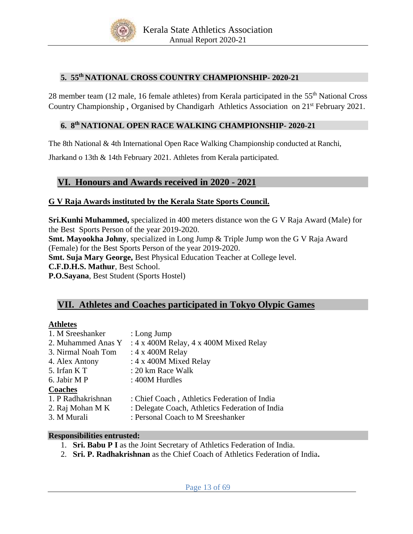

# **5. 55 th NATIONAL CROSS COUNTRY CHAMPIONSHIP- 2020-21**

28 member team (12 male, 16 female athletes) from Kerala participated in the 55<sup>th</sup> National Cross Country Championship, Organised by Chandigarh Athletics Association on 21<sup>st</sup> February 2021.

# **6. 8th NATIONAL OPEN RACE WALKING CHAMPIONSHIP- 2020-21**

The 8th National & 4th International Open Race Walking Championship conducted at Ranchi,

Jharkand o 13th & 14th February 2021. Athletes from Kerala participated.

# **VI. Honours and Awards received in 2020 - 2021**

# **G V Raja Awards instituted by the Kerala State Sports Council.**

**Sri.Kunhi Muhammed,** specialized in 400 meters distance won the G V Raja Award (Male) for the Best Sports Person of the year 2019-2020.

**Smt. Mayookha Johny**, specialized in Long Jump & Triple Jump won the G V Raja Award (Female) for the Best Sports Person of the year 2019-2020.

**Smt. Suja Mary George,** Best Physical Education Teacher at College level.

**C.F.D.H.S. Mathur**, Best School.

**P.O.Sayana**, Best Student (Sports Hostel)

# **VII. Athletes and Coaches participated in Tokyo Olypic Games**

## **Athletes**

| : 4 x 400M Relay, 4 x 400M Mixed Relay<br>2. Muhammed Anas Y<br>: $4 \times 400M$ Relay<br>3. Nirmal Noah Tom<br>: $4 \times 400M$ Mixed Relay<br>4. Alex Antony<br>5. Irfan K T<br>: 20 km Race Walk<br>6. Jabir M P<br>: 400M Hurdles<br><b>Coaches</b><br>1. P Radhakrishnan<br>: Chief Coach, Athletics Federation of India<br>2. Raj Mohan M K<br>3. M Murali<br>: Personal Coach to M Sreeshanker | 1. M Sreeshanker | : Long Jump                                     |
|---------------------------------------------------------------------------------------------------------------------------------------------------------------------------------------------------------------------------------------------------------------------------------------------------------------------------------------------------------------------------------------------------------|------------------|-------------------------------------------------|
|                                                                                                                                                                                                                                                                                                                                                                                                         |                  |                                                 |
|                                                                                                                                                                                                                                                                                                                                                                                                         |                  |                                                 |
|                                                                                                                                                                                                                                                                                                                                                                                                         |                  |                                                 |
|                                                                                                                                                                                                                                                                                                                                                                                                         |                  |                                                 |
|                                                                                                                                                                                                                                                                                                                                                                                                         |                  |                                                 |
|                                                                                                                                                                                                                                                                                                                                                                                                         |                  |                                                 |
|                                                                                                                                                                                                                                                                                                                                                                                                         |                  |                                                 |
|                                                                                                                                                                                                                                                                                                                                                                                                         |                  | : Delegate Coach, Athletics Federation of India |
|                                                                                                                                                                                                                                                                                                                                                                                                         |                  |                                                 |

### **Responsibilities entrusted:**

- 1. **Sri. Babu P I** as the Joint Secretary of Athletics Federation of India.
- 2. **Sri. P. Radhakrishnan** as the Chief Coach of Athletics Federation of India**.**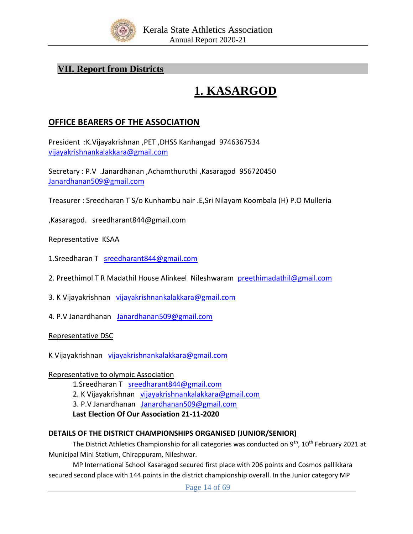

# **VII. Report from Districts**

# **1. KASARGOD**

# **OFFICE BEARERS OF THE ASSOCIATION**

President :K.Vijayakrishnan ,PET ,DHSS Kanhangad 9746367534 [vijayakrishnankalakkara@gmail.com](mailto:vijayakrishnankalakkara@gmail.com)

Secretary : P.V .Janardhanan ,Achamthuruthi ,Kasaragod 956720450 [Janardhanan509@gmail.com](mailto:Janardhanan509@gmail.com)

Treasurer : Sreedharan T S/o Kunhambu nair .E,Sri Nilayam Koombala (H) P.O Mulleria

,Kasaragod. sreedharant844@gmail.com

## Representative KSAA

1.Sreedharan T [sreedharant844@gmail.com](mailto:sreedharant844@gmail.com)

- 2. Preethimol T R Madathil House Alinkeel Nileshwaram [preethimadathil@gmail.com](mailto:preethimadathil@gmail.com)
- 3. K Vijayakrishnan [vijayakrishnankalakkara@gmail.com](mailto:vijayakrishnankalakkara@gmail.com)
- 4. P.V Janardhanan [Janardhanan509@gmail.com](mailto:Janardhanan509@gmail.com)

Representative DSC

K Vijayakrishnan [vijayakrishnankalakkara@gmail.com](mailto:vijayakrishnankalakkara@gmail.com)

## Representative to olympic Association

- 1.Sreedharan T [sreedharant844@gmail.com](mailto:sreedharant844@gmail.com)
- 2. K Vijayakrishnan [vijayakrishnankalakkara@gmail.com](mailto:vijayakrishnankalakkara@gmail.com)
- 3. P.V Janardhanan [Janardhanan509@gmail.com](mailto:Janardhanan509@gmail.com)

## **Last Election Of Our Association 21-11-2020**

## **DETAILS OF THE DISTRICT CHAMPIONSHIPS ORGANISED (JUNIOR/SENIOR)**

The District Athletics Championship for all categories was conducted on 9<sup>th</sup>, 10<sup>th</sup> February 2021 at Municipal Mini Statium, Chirappuram, Nileshwar.

MP International School Kasaragod secured first place with 206 points and Cosmos pallikkara secured second place with 144 points in the district championship overall. In the Junior category MP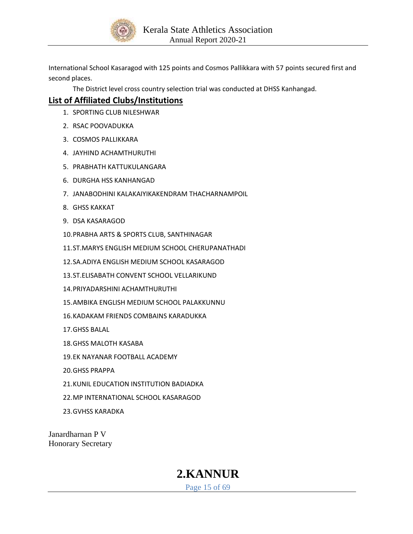

International School Kasaragod with 125 points and Cosmos Pallikkara with 57 points secured first and second places.

The District level cross country selection trial was conducted at DHSS Kanhangad.

# **List of Affiliated Clubs/Institutions**

- 1. SPORTING CLUB NILESHWAR
- 2. RSAC POOVADUKKA
- 3. COSMOS PALLIKKARA
- 4. JAYHIND ACHAMTHURUTHI
- 5. PRABHATH KATTUKULANGARA
- 6. DURGHA HSS KANHANGAD
- 7. JANABODHINI KALAKAIYIKAKENDRAM THACHARNAMPOIL
- 8. GHSS KAKKAT
- 9. DSA KASARAGOD
- 10.PRABHA ARTS & SPORTS CLUB, SANTHINAGAR
- 11.ST.MARYS ENGLISH MEDIUM SCHOOL CHERUPANATHADI
- 12.SA.ADIYA ENGLISH MEDIUM SCHOOL KASARAGOD
- 13.ST.ELISABATH CONVENT SCHOOL VELLARIKUND
- 14.PRIYADARSHINI ACHAMTHURUTHI
- 15.AMBIKA ENGLISH MEDIUM SCHOOL PALAKKUNNU
- 16.KADAKAM FRIENDS COMBAINS KARADUKKA
- 17.GHSS BALAL
- 18.GHSS MALOTH KASABA
- 19.EK NAYANAR FOOTBALL ACADEMY
- 20.GHSS PRAPPA
- 21.KUNIL EDUCATION INSTITUTION BADIADKA
- 22.MP INTERNATIONAL SCHOOL KASARAGOD
- 23.GVHSS KARADKA

Janardharnan P V Honorary Secretary

# **2.KANNUR**

Page 15 of 69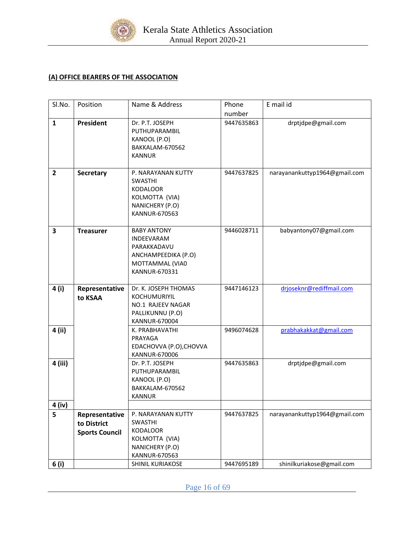

# **(A) OFFICE BEARERS OF THE ASSOCIATION**

| SI.No.         | Position                  | Name & Address                                                                                                    | Phone      | E mail id                     |
|----------------|---------------------------|-------------------------------------------------------------------------------------------------------------------|------------|-------------------------------|
|                |                           |                                                                                                                   | number     |                               |
| $\mathbf{1}$   | President                 | Dr. P.T. JOSEPH<br>PUTHUPARAMBIL<br>KANOOL (P.O)<br>BAKKALAM-670562<br><b>KANNUR</b>                              | 9447635863 | drptjdpe@gmail.com            |
| $\overline{2}$ | <b>Secretary</b>          | P. NARAYANAN KUTTY<br><b>SWASTHI</b><br><b>KODALOOR</b><br>KOLMOTTA (VIA)<br>NANICHERY (P.O)<br>KANNUR-670563     | 9447637825 | narayanankuttyp1964@gmail.com |
| 3              | <b>Treasurer</b>          | <b>BABY ANTONY</b><br><b>INDEEVARAM</b><br>PARAKKADAVU<br>ANCHAMPEEDIKA (P.O)<br>MOTTAMMAL (VIA0<br>KANNUR-670331 | 9446028711 | babyantony07@gmail.com        |
| 4 (i)          | Representative<br>to KSAA | Dr. K. JOSEPH THOMAS<br>KOCHUMURIYIL<br>NO.1 RAJEEV NAGAR<br>PALLIKUNNU (P.O)<br><b>KANNUR-670004</b>             | 9447146123 | drjoseknr@rediffmail.com      |
| 4 (ii)         |                           | K. PRABHAVATHI<br>PRAYAGA<br>EDACHOVVA (P.O), CHOVVA<br>KANNUR-670006                                             | 9496074628 | prabhakakkat@gmail.com        |
| 4 (iii)        |                           | Dr. P.T. JOSEPH<br>PUTHUPARAMBIL<br>KANOOL (P.O)<br>BAKKALAM-670562<br><b>KANNUR</b>                              | 9447635863 | drptjdpe@gmail.com            |
| 4 (iv)         |                           |                                                                                                                   |            |                               |
| 5              | Representative            | P. NARAYANAN KUTTY                                                                                                | 9447637825 | narayanankuttyp1964@gmail.com |
|                | to District               | SWASTHI                                                                                                           |            |                               |
|                | <b>Sports Council</b>     | <b>KODALOOR</b>                                                                                                   |            |                               |
|                |                           | KOLMOTTA (VIA)                                                                                                    |            |                               |
|                |                           | NANICHERY (P.O)<br>KANNUR-670563                                                                                  |            |                               |
|                |                           | SHINIL KURIAKOSE                                                                                                  | 9447695189 | shinilkuriakose@gmail.com     |
| 6 (i)          |                           |                                                                                                                   |            |                               |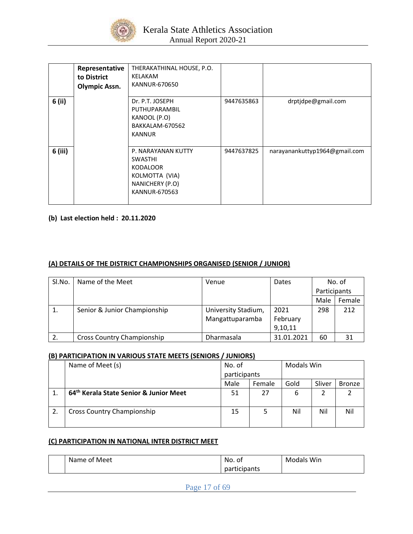

|         | Representative<br>to District<br><b>Olympic Assn.</b> | THERAKATHINAL HOUSE, P.O.<br>KELAKAM<br>KANNUR-670650                                                         |            |                               |
|---------|-------------------------------------------------------|---------------------------------------------------------------------------------------------------------------|------------|-------------------------------|
| 6 (ii)  |                                                       | Dr. P.T. JOSEPH<br>PUTHUPARAMBIL<br>KANOOL (P.O)<br>BAKKALAM-670562<br><b>KANNUR</b>                          | 9447635863 | drptjdpe@gmail.com            |
| 6 (iii) |                                                       | P. NARAYANAN KUTTY<br><b>SWASTHI</b><br><b>KODALOOR</b><br>KOLMOTTA (VIA)<br>NANICHERY (P.O)<br>KANNUR-670563 | 9447637825 | narayanankuttyp1964@gmail.com |

### **(b) Last election held : 20.11.2020**

## **(A) DETAILS OF THE DISTRICT CHAMPIONSHIPS ORGANISED (SENIOR / JUNIOR)**

| SI.No. | Name of the Meet                  | Venue               | Dates      |              | No. of |
|--------|-----------------------------------|---------------------|------------|--------------|--------|
|        |                                   |                     |            | Participants |        |
|        |                                   |                     |            | Male         | Female |
|        | Senior & Junior Championship      | University Stadium, | 2021       | 298          | 212    |
|        |                                   | Mangattuparamba     | February   |              |        |
|        |                                   |                     | 9,10,11    |              |        |
|        | <b>Cross Country Championship</b> | Dharmasala          | 31.01.2021 | 60           | 31     |

### **(B) PARTICIPATION IN VARIOUS STATE MEETS (SENIORS / JUNIORS)**

|    | Name of Meet (s)                                   | No. of       |        | Modals Win |        |               |
|----|----------------------------------------------------|--------------|--------|------------|--------|---------------|
|    |                                                    | participants |        |            |        |               |
|    |                                                    | Male         | Female | Gold       | Sliver | <b>Bronze</b> |
|    | 64 <sup>th</sup> Kerala State Senior & Junior Meet | 51           | 27     | 6          |        |               |
|    |                                                    |              |        |            |        |               |
| 2. | <b>Cross Country Championship</b>                  | 15           |        | Nil        | Nil    | Nil           |
|    |                                                    |              |        |            |        |               |

### **(C) PARTICIPATION IN NATIONAL INTER DISTRICT MEET**

| Name of Meet | No. of       | <b>Modals Win</b> |
|--------------|--------------|-------------------|
|              | participants |                   |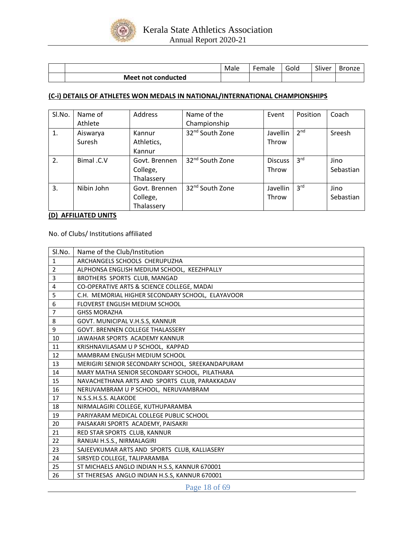

|                    | Male | -emale | $\overline{\phantom{0}}$<br>Golc | $\sim$ $\sim$<br><b>Sliver</b> | Bronze<br>DI. |
|--------------------|------|--------|----------------------------------|--------------------------------|---------------|
| Meet not conducted |      |        |                                  |                                |               |

#### **(C-i) DETAILS OF ATHLETES WON MEDALS IN NATIONAL/INTERNATIONAL CHAMPIONSHIPS**

| SI.No. | Name of           | Address       | Name of the                 | Event          | Position        | Coach     |
|--------|-------------------|---------------|-----------------------------|----------------|-----------------|-----------|
|        | Athlete           |               | Championship                |                |                 |           |
| 1.     | Aiswarya          | Kannur        | 32 <sup>nd</sup> South Zone | Javellin       | 2 <sup>nd</sup> | Sreesh    |
|        | Suresh            | Athletics,    |                             | Throw          |                 |           |
|        |                   | Kannur        |                             |                |                 |           |
| 2.     | <b>Bimal</b> .C.V | Govt. Brennen | 32 <sup>nd</sup> South Zone | <b>Discuss</b> | 3 <sup>rd</sup> | Jino      |
|        |                   | College,      |                             | Throw          |                 | Sebastian |
|        |                   | Thalassery    |                             |                |                 |           |
| 3.     | Nibin John        | Govt. Brennen | 32 <sup>nd</sup> South Zone | Javellin       | 3 <sup>rd</sup> | Jino      |
|        |                   | College,      |                             | Throw          |                 | Sebastian |
|        |                   | Thalassery    |                             |                |                 |           |

#### **(D) AFFILIATED UNITS**

No. of Clubs/ Institutions affiliated

| Sl.No.         | Name of the Club/Institution                     |
|----------------|--------------------------------------------------|
| $\mathbf{1}$   | ARCHANGELS SCHOOLS CHERUPUZHA                    |
| $\overline{2}$ | ALPHONSA ENGLISH MEDIUM SCHOOL, KEEZHPALLY       |
| 3              | BROTHERS SPORTS CLUB, MANGAD                     |
| 4              | CO-OPERATIVE ARTS & SCIENCE COLLEGE, MADAI       |
| 5              | C.H. MEMORIAL HIGHER SECONDARY SCHOOL, ELAYAVOOR |
| 6              | FLOVERST ENGLISH MEDIUM SCHOOL                   |
| 7              | <b>GHSS MORAZHA</b>                              |
| 8              | GOVT. MUNICIPAL V.H.S.S, KANNUR                  |
| 9              | <b>GOVT. BRENNEN COLLEGE THALASSERY</b>          |
| 10             | JAWAHAR SPORTS ACADEMY KANNUR                    |
| 11             | KRISHNAVILASAM U P SCHOOL, KAPPAD                |
| 12             | MAMBRAM ENGLISH MEDIUM SCHOOL                    |
| 13             | MERIGIRI SENIOR SECONDARY SCHOOL, SREEKANDAPURAM |
| 14             | MARY MATHA SENIOR SECONDARY SCHOOL, PILATHARA    |
| 15             | NAVACHETHANA ARTS AND SPORTS CLUB, PARAKKADAV    |
| 16             | NERUVAMBRAM U P SCHOOL, NERUVAMBRAM              |
| 17             | N.S.S.H.S.S. ALAKODE                             |
| 18             | NIRMALAGIRI COLLEGE, KUTHUPARAMBA                |
| 19             | PARIYARAM MEDICAL COLLEGE PUBLIC SCHOOL          |
| 20             | PAISAKARI SPORTS ACADEMY, PAISAKRI               |
| 21             | RED STAR SPORTS CLUB, KANNUR                     |
| 22             | RANIJAI H.S.S., NIRMALAGIRI                      |
| 23             | SAJEEVKUMAR ARTS AND SPORTS CLUB, KALLIASERY     |
| 24             | SIRSYED COLLEGE, TALIPARAMBA                     |
| 25             | ST MICHAELS ANGLO INDIAN H.S.S, KANNUR 670001    |
| 26             | ST THERESAS ANGLO INDIAN H.S.S, KANNUR 670001    |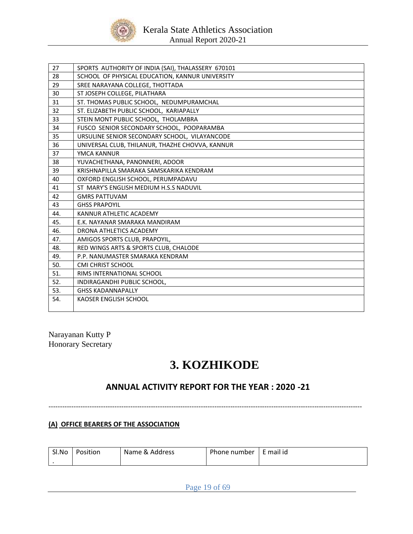

| 27  | SPORTS AUTHORITY OF INDIA (SAI), THALASSERY 670101 |
|-----|----------------------------------------------------|
| 28  | SCHOOL OF PHYSICAL EDUCATION, KANNUR UNIVERSITY    |
| 29  | SREE NARAYANA COLLEGE, THOTTADA                    |
| 30  | ST JOSEPH COLLEGE, PILATHARA                       |
| 31  | ST. THOMAS PUBLIC SCHOOL, NEDUMPURAMCHAL           |
| 32  | ST. ELIZABETH PUBLIC SCHOOL, KARIAPALLY            |
| 33  | STEIN MONT PUBLIC SCHOOL, THOLAMBRA                |
| 34  | FUSCO SENIOR SECONDARY SCHOOL, POOPARAMBA          |
| 35  | URSULINE SENIOR SECONDARY SCHOOL, VILAYANCODE      |
| 36  | UNIVERSAL CLUB, THILANUR, THAZHE CHOVVA, KANNUR    |
| 37  | YMCA KANNUR                                        |
| 38  | YUVACHETHANA, PANONNERI, ADOOR                     |
| 39  | KRISHNAPILLA SMARAKA SAMSKARIKA KENDRAM            |
| 40  | OXFORD ENGLISH SCHOOL, PERUMPADAVU                 |
| 41  | ST MARY'S ENGLISH MEDIUM H.S.S NADUVIL             |
| 42  | <b>GMRS PATTUVAM</b>                               |
| 43  | <b>GHSS PRAPOYIL</b>                               |
| 44. | KANNUR ATHLETIC ACADEMY                            |
| 45. | E.K. NAYANAR SMARAKA MANDIRAM                      |
| 46. | DRONA ATHLETICS ACADEMY                            |
| 47. | AMIGOS SPORTS CLUB, PRAPOYIL,                      |
| 48. | RED WINGS ARTS & SPORTS CLUB, CHALODE              |
| 49. | P.P. NANUMASTER SMARAKA KENDRAM                    |
| 50. | <b>CMI CHRIST SCHOOL</b>                           |
| 51. | RIMS INTERNATIONAL SCHOOL                          |
| 52. | INDIRAGANDHI PUBLIC SCHOOL,                        |
| 53. | <b>GHSS KADANNAPALLY</b>                           |
| 54. | KAOSER ENGLISH SCHOOL                              |
|     |                                                    |

Narayanan Kutty P Honorary Secretary

# **3. KOZHIKODE**

# **ANNUAL ACTIVITY REPORT FOR THE YEAR : 2020 -21**

------------------------------------------------------------------------------------------------------------------------------------------

**(A) OFFICE BEARERS OF THE ASSOCIATION**

| Sl.No | Position | Name & Address | Phone number   E mail id |  |
|-------|----------|----------------|--------------------------|--|
|       |          |                |                          |  |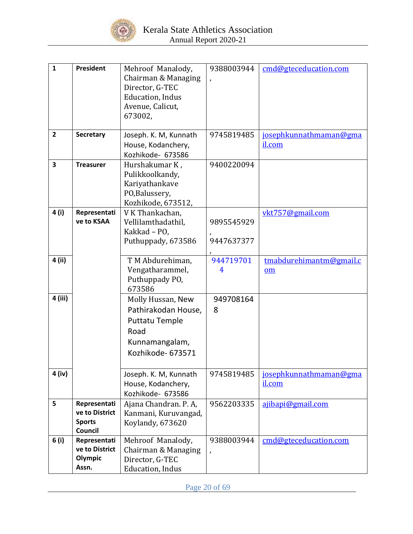

| $\mathbf{1}$<br>$\overline{2}$ | <b>President</b><br>Secretary                              | Mehroof Manalody,<br>Chairman & Managing<br>Director, G-TEC<br>Education, Indus<br>Avenue, Calicut,<br>673002,<br>Joseph. K. M, Kunnath | 9388003944<br>$\lambda$<br>9745819485 | cmd@gteceducation.com<br>josephkunnathmaman@gma      |
|--------------------------------|------------------------------------------------------------|-----------------------------------------------------------------------------------------------------------------------------------------|---------------------------------------|------------------------------------------------------|
|                                |                                                            | House, Kodanchery,<br>Kozhikode- 673586                                                                                                 |                                       | il.com                                               |
| 3                              | <b>Treasurer</b>                                           | Hurshakumar K,<br>Pulikkoolkandy,<br>Kariyathankave<br>PO,Balussery,<br>Kozhikode, 673512,                                              | 9400220094                            |                                                      |
| 4 (i)                          | Representati<br>ve to KSAA                                 | V K Thankachan,<br>Vellilamthadathil,<br>Kakkad - PO,<br>Puthuppady, 673586                                                             | 9895545929<br>9447637377              | vkt757@gmail.com                                     |
| 4 (ii)                         |                                                            | TM Abdurehiman,<br>Vengatharammel,<br>Puthuppady PO,<br>673586                                                                          | 944719701<br>4                        | tmabdurehimantm@gmail.c<br>$\underline{\mathbf{om}}$ |
| 4 (iii)                        |                                                            | Molly Hussan, New<br>Pathirakodan House,<br><b>Puttatu Temple</b><br>Road<br>Kunnamangalam,<br>Kozhikode- 673571                        | 949708164<br>8                        |                                                      |
| 4 (iv)                         |                                                            | Joseph. K. M, Kunnath<br>House, Kodanchery,<br>Kozhikode- 673586                                                                        | 9745819485                            | josephkunnathmaman@gma<br>il.com                     |
| 5                              | Representati<br>ve to District<br><b>Sports</b><br>Council | Ajana Chandran. P. A.<br>Kanmani, Kuruvangad,<br>Koylandy, 673620                                                                       | 9562203335                            | ajibapi@gmail.com                                    |
| 6 (i)                          | Representati<br>ve to District<br>Olympic<br>Assn.         | Mehroof Manalody,<br>Chairman & Managing<br>Director, G-TEC<br>Education, Indus                                                         | 9388003944                            | cmd@gteceducation.com                                |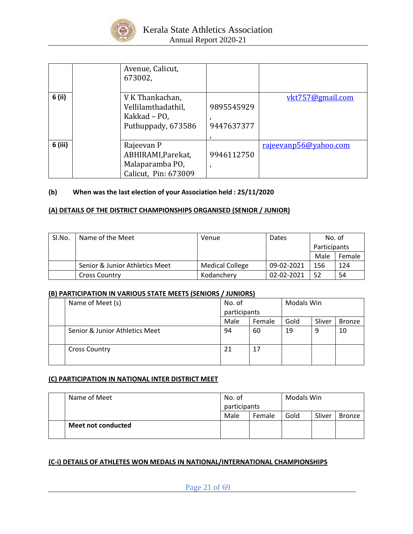

|         | Avenue, Calicut,<br>673002,           |            |                       |
|---------|---------------------------------------|------------|-----------------------|
| 6 (ii)  | V K Thankachan,<br>Vellilamthadathil, | 9895545929 | vkt757@gmail.com      |
|         | Kakkad - PO,                          |            |                       |
|         | Puthuppady, 673586                    | 9447637377 |                       |
|         |                                       |            |                       |
| 6 (iii) | Rajeevan P                            |            | rajeevanp56@yahoo.com |
|         | ABHIRAMI, Parekat,                    | 9946112750 |                       |
|         | Malaparamba PO,                       |            |                       |
|         | Calicut, Pin: 673009                  |            |                       |

### **(b) When was the last election of your Association held : 25/11/2020**

### **(A) DETAILS OF THE DISTRICT CHAMPIONSHIPS ORGANISED (SENIOR / JUNIOR)**

| Sl.No. | Name of the Meet               | Venue                  | Dates      | No. of              |        |
|--------|--------------------------------|------------------------|------------|---------------------|--------|
|        |                                |                        |            | <b>Participants</b> |        |
|        |                                |                        |            | Male                | Female |
|        | Senior & Junior Athletics Meet | <b>Medical College</b> | 09-02-2021 | 156                 | 124    |
|        | <b>Cross Country</b>           | Kodancherv             | 02-02-2021 | 52                  | 54     |

#### **(B) PARTICIPATION IN VARIOUS STATE MEETS (SENIORS / JUNIORS)**

| Name of Meet (s)               | No. of       |        | <b>Modals Win</b> |        |               |
|--------------------------------|--------------|--------|-------------------|--------|---------------|
|                                | participants |        |                   |        |               |
|                                | Male         | Female | Gold              | Sliver | <b>Bronze</b> |
| Senior & Junior Athletics Meet | 94           | 60     | 19                | 9      | 10            |
| <b>Cross Country</b>           | 21           | 17     |                   |        |               |

### **(C) PARTICIPATION IN NATIONAL INTER DISTRICT MEET**

| Name of Meet       | No. of<br>participants |        | Modals Win |        |        |
|--------------------|------------------------|--------|------------|--------|--------|
|                    | Male                   | Female | Gold       | Sliver | Bronze |
| Meet not conducted |                        |        |            |        |        |

#### **(C-i) DETAILS OF ATHLETES WON MEDALS IN NATIONAL/INTERNATIONAL CHAMPIONSHIPS**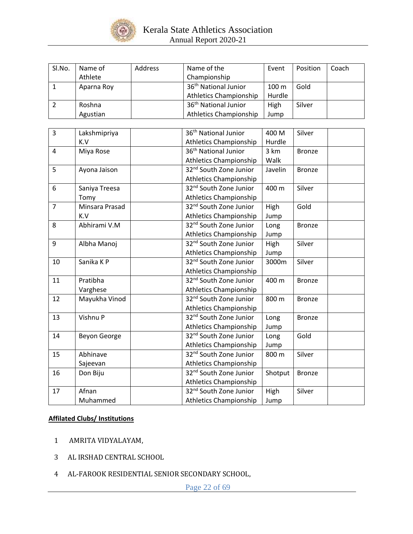

| Sl.No. | Name of    | <b>Address</b> | Name of the                      | Event            | Position | Coach |
|--------|------------|----------------|----------------------------------|------------------|----------|-------|
|        | Athlete    |                | Championship                     |                  |          |       |
|        | Aparna Roy |                | 36 <sup>th</sup> National Junior | 100 <sub>m</sub> | Gold     |       |
|        |            |                | <b>Athletics Championship</b>    | Hurdle           |          |       |
|        | Roshna     |                | 36 <sup>th</sup> National Junior | High             | Silver   |       |
|        | Agustian   |                | <b>Athletics Championship</b>    | Jump             |          |       |

| $\overline{3}$ | Lakshmipriya   | 36 <sup>th</sup> National Junior   | 400 M   | Silver        |  |
|----------------|----------------|------------------------------------|---------|---------------|--|
|                | K.V            | <b>Athletics Championship</b>      | Hurdle  |               |  |
| $\overline{4}$ | Miya Rose      | 36 <sup>th</sup> National Junior   | 3 km    | <b>Bronze</b> |  |
|                |                | <b>Athletics Championship</b>      | Walk    |               |  |
| 5              | Ayona Jaison   | 32 <sup>nd</sup> South Zone Junior | Javelin | <b>Bronze</b> |  |
|                |                | <b>Athletics Championship</b>      |         |               |  |
| 6              | Saniya Treesa  | 32 <sup>nd</sup> South Zone Junior | 400 m   | Silver        |  |
|                | Tomy           | <b>Athletics Championship</b>      |         |               |  |
| $\overline{7}$ | Minsara Prasad | 32 <sup>nd</sup> South Zone Junior | High    | Gold          |  |
|                | K.V            | <b>Athletics Championship</b>      | Jump    |               |  |
| 8              | Abhirami V.M   | 32 <sup>nd</sup> South Zone Junior | Long    | <b>Bronze</b> |  |
|                |                | <b>Athletics Championship</b>      | Jump    |               |  |
| 9              | Albha Manoj    | 32 <sup>nd</sup> South Zone Junior | High    | Silver        |  |
|                |                | <b>Athletics Championship</b>      | Jump    |               |  |
| 10             | Sanika K P     | 32 <sup>nd</sup> South Zone Junior | 3000m   | Silver        |  |
|                |                | <b>Athletics Championship</b>      |         |               |  |
| 11             | Pratibha       | 32 <sup>nd</sup> South Zone Junior | 400 m   | <b>Bronze</b> |  |
|                | Varghese       | <b>Athletics Championship</b>      |         |               |  |
| 12             | Mayukha Vinod  | 32 <sup>nd</sup> South Zone Junior | 800 m   | <b>Bronze</b> |  |
|                |                | <b>Athletics Championship</b>      |         |               |  |
| 13             | Vishnu P       | 32 <sup>nd</sup> South Zone Junior | Long    | <b>Bronze</b> |  |
|                |                | <b>Athletics Championship</b>      | Jump    |               |  |
| 14             | Beyon George   | 32 <sup>nd</sup> South Zone Junior | Long    | Gold          |  |
|                |                | <b>Athletics Championship</b>      | Jump    |               |  |
| 15             | Abhinave       | 32 <sup>nd</sup> South Zone Junior | 800 m   | Silver        |  |
|                | Sajeevan       | <b>Athletics Championship</b>      |         |               |  |
| 16             | Don Biju       | 32 <sup>nd</sup> South Zone Junior | Shotput | <b>Bronze</b> |  |
|                |                | <b>Athletics Championship</b>      |         |               |  |
| 17             | Afnan          | 32 <sup>nd</sup> South Zone Junior | High    | Silver        |  |
|                | Muhammed       | <b>Athletics Championship</b>      | Jump    |               |  |

### **Affilated Clubs/ Institutions**

- 1 AMRITA VIDYALAYAM,
- 3 AL IRSHAD CENTRAL SCHOOL
- 4 AL-FAROOK RESIDENTIAL SENIOR SECONDARY SCHOOL,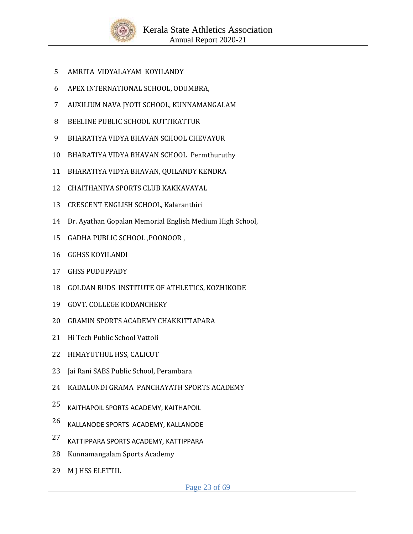

- AMRITA VIDYALAYAM KOYILANDY
- APEX INTERNATIONAL SCHOOL, ODUMBRA,
- AUXILIUM NAVA JYOTI SCHOOL, KUNNAMANGALAM
- BEELINE PUBLIC SCHOOL KUTTIKATTUR
- BHARATIYA VIDYA BHAVAN SCHOOL CHEVAYUR
- BHARATIYA VIDYA BHAVAN SCHOOL Permthuruthy
- BHARATIYA VIDYA BHAVAN, QUILANDY KENDRA
- CHAITHANIYA SPORTS CLUB KAKKAVAYAL
- CRESCENT ENGLISH SCHOOL, Kalaranthiri
- Dr. Ayathan Gopalan Memorial English Medium High School,
- GADHA PUBLIC SCHOOL ,POONOOR ,
- GGHSS KOYILANDI
- GHSS PUDUPPADY
- GOLDAN BUDS INSTITUTE OF ATHLETICS, KOZHIKODE
- GOVT. COLLEGE KODANCHERY
- GRAMIN SPORTS ACADEMY CHAKKITTAPARA
- Hi Tech Public School Vattoli
- HIMAYUTHUL HSS, CALICUT
- Jai Rani SABS Public School, Perambara
- KADALUNDI GRAMA PANCHAYATH SPORTS ACADEMY
- KAITHAPOIL SPORTS ACADEMY, KAITHAPOIL
- KALLANODE SPORTS ACADEMY, KALLANODE
- KATTIPPARA SPORTS ACADEMY, KATTIPPARA
- Kunnamangalam Sports Academy
- M J HSS ELETTIL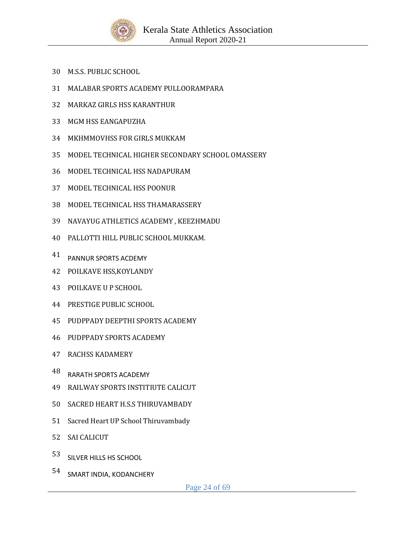

- M.S.S. PUBLIC SCHOOL
- MALABAR SPORTS ACADEMY PULLOORAMPARA
- MARKAZ GIRLS HSS KARANTHUR
- MGM HSS EANGAPUZHA
- MKHMMOVHSS FOR GIRLS MUKKAM
- MODEL TECHNICAL HIGHER SECONDARY SCHOOL OMASSERY
- MODEL TECHNICAL HSS NADAPURAM
- MODEL TECHNICAL HSS POONUR
- MODEL TECHNICAL HSS THAMARASSERY
- NAVAYUG ATHLETICS ACADEMY , KEEZHMADU
- PALLOTTI HILL PUBLIC SCHOOL MUKKAM.
- PANNUR SPORTS ACDEMY
- POILKAVE HSS,KOYLANDY
- POILKAVE U P SCHOOL
- PRESTIGE PUBLIC SCHOOL
- PUDPPADY DEEPTHI SPORTS ACADEMY
- PUDPPADY SPORTS ACADEMY
- RACHSS KADAMERY
- RARATH SPORTS ACADEMY
- RAILWAY SPORTS INSTITIUTE CALICUT
- SACRED HEART H.S.S THIRUVAMBADY
- Sacred Heart UP School Thiruvambady
- SAI CALICUT
- SILVER HILLS HS SCHOOL
- SMART INDIA, KODANCHERY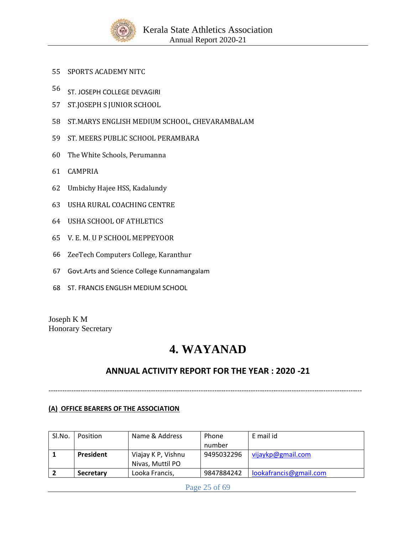

- 55 SPORTS ACADEMY NITC
- <sup>56</sup> ST. JOSEPH COLLEGE DEVAGIRI
- 57 ST.JOSEPH S JUNIOR SCHOOL
- 58 ST.MARYS ENGLISH MEDIUM SCHOOL, CHEVARAMBALAM
- 59 ST. MEERS PUBLIC SCHOOL PERAMBARA
- 60 The White Schools, Perumanna
- 61 CAMPRIA
- 62 Umbichy Hajee HSS, Kadalundy
- 63 USHA RURAL COACHING CENTRE
- 64 USHA SCHOOL OF ATHLETICS
- 65 V. E. M. U P SCHOOL MEPPEYOOR
- 66 ZeeTech Computers College, Karanthur
- 67 Govt.Arts and Science College Kunnamangalam
- 68 ST. FRANCIS ENGLISH MEDIUM SCHOOL

Joseph K M Honorary Secretary

# **4. WAYANAD**

# **ANNUAL ACTIVITY REPORT FOR THE YEAR : 2020 -21**

------------------------------------------------------------------------------------------------------------------------------------------

### **(A) OFFICE BEARERS OF THE ASSOCIATION**

| Sl.No. | Position         | Name & Address     | Phone      | E mail id              |
|--------|------------------|--------------------|------------|------------------------|
|        |                  |                    | number     |                        |
|        | President        | Viajay K P, Vishnu | 9495032296 | vijaykp@gmail.com      |
|        |                  | Nivas, Muttil PO   |            |                        |
|        | <b>Secretary</b> | Looka Francis,     | 9847884242 | lookafrancis@gmail.com |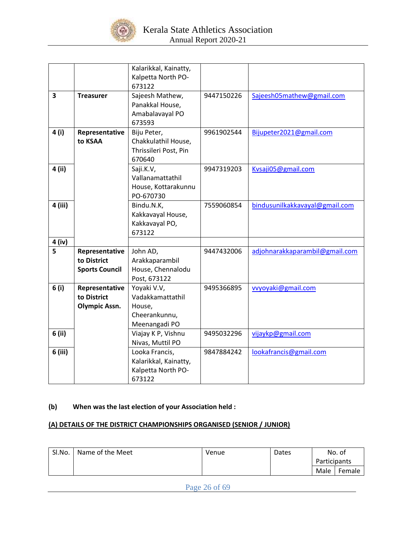

|                         |                       | Kalarikkal, Kainatty, |            |                                |
|-------------------------|-----------------------|-----------------------|------------|--------------------------------|
|                         |                       | Kalpetta North PO-    |            |                                |
|                         |                       | 673122                |            |                                |
| $\overline{\mathbf{3}}$ | <b>Treasurer</b>      | Sajeesh Mathew,       | 9447150226 | Sajeesh05mathew@gmail.com      |
|                         |                       | Panakkal House,       |            |                                |
|                         |                       | Amabalavayal PO       |            |                                |
|                         |                       | 673593                |            |                                |
| 4 (i)                   | Representative        | Biju Peter,           | 9961902544 | Bijupeter2021@gmail.com        |
|                         | to KSAA               | Chakkulathil House,   |            |                                |
|                         |                       | Thrissileri Post, Pin |            |                                |
|                         |                       | 670640                |            |                                |
| 4 (ii)                  |                       | Saji.K.V,             | 9947319203 | Kvsaji05@gmail.com             |
|                         |                       | Vallanamattathil      |            |                                |
|                         |                       | House, Kottarakunnu   |            |                                |
|                         |                       | PO-670730             |            |                                |
| 4 (iii)                 |                       | Bindu.N.K,            | 7559060854 | bindusunilkakkavayal@gmail.com |
|                         |                       | Kakkavayal House,     |            |                                |
|                         |                       | Kakkavayal PO,        |            |                                |
|                         |                       | 673122                |            |                                |
| 4 (iv)                  |                       |                       |            |                                |
| 5                       | Representative        | John AD,              | 9447432006 | adjohnarakkaparambil@gmail.com |
|                         | to District           | Arakkaparambil        |            |                                |
|                         | <b>Sports Council</b> | House, Chennalodu     |            |                                |
|                         |                       | Post, 673122          |            |                                |
| 6(i)                    | Representative        | Yoyaki V.V,           | 9495366895 | vvyoyaki@gmail.com             |
|                         | to District           | Vadakkamattathil      |            |                                |
|                         | <b>Olympic Assn.</b>  | House,                |            |                                |
|                         |                       | Cheerankunnu,         |            |                                |
|                         |                       | Meenangadi PO         |            |                                |
| 6 (ii)                  |                       | Viajay K P, Vishnu    | 9495032296 | vijaykp@gmail.com              |
|                         |                       | Nivas, Muttil PO      |            |                                |
| 6 (iii)                 |                       | Looka Francis,        | 9847884242 | lookafrancis@gmail.com         |
|                         |                       | Kalarikkal, Kainatty, |            |                                |
|                         |                       | Kalpetta North PO-    |            |                                |
|                         |                       | 673122                |            |                                |

## **(b) When was the last election of your Association held :**

## **(A) DETAILS OF THE DISTRICT CHAMPIONSHIPS ORGANISED (SENIOR / JUNIOR)**

| SI.No. | Name of the Meet | Venue | Dates |              | No. of |
|--------|------------------|-------|-------|--------------|--------|
|        |                  |       |       | Participants |        |
|        |                  |       |       | Male         | Female |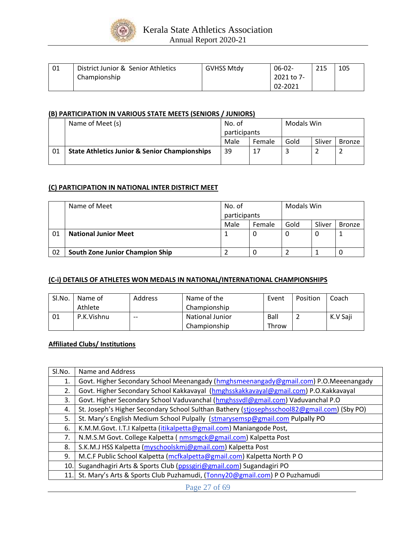

| 01 | District Junior & Senior Athletics | <b>GVHSS Mtdv</b> | $06-02-$   | 21E<br>213 | 105 |
|----|------------------------------------|-------------------|------------|------------|-----|
|    | Championship                       |                   | 2021 to 7- |            |     |
|    |                                    |                   | 02-2021    |            |     |

### **(B) PARTICIPATION IN VARIOUS STATE MEETS (SENIORS / JUNIORS)**

|    | Name of Meet (s)                                         | No. of<br>participants |        | Modals Win |        |               |
|----|----------------------------------------------------------|------------------------|--------|------------|--------|---------------|
|    |                                                          |                        |        |            |        |               |
|    |                                                          | Male                   | Female | Gold       | Sliver | <b>Bronze</b> |
| 01 | <b>State Athletics Junior &amp; Senior Championships</b> | 39                     | 17     |            |        |               |
|    |                                                          |                        |        |            |        |               |

#### **(C) PARTICIPATION IN NATIONAL INTER DISTRICT MEET**

|    | Name of Meet                    | No. of<br>participants |        | Modals Win |        |               |
|----|---------------------------------|------------------------|--------|------------|--------|---------------|
|    |                                 | Male                   | Female | Gold       | Sliver | <b>Bronze</b> |
| 01 | <b>National Junior Meet</b>     |                        | Ψ      | U          |        |               |
| 02 | South Zone Junior Champion Ship |                        |        |            |        |               |

### **(C-i) DETAILS OF ATHLETES WON MEDALS IN NATIONAL/INTERNATIONAL CHAMPIONSHIPS**

| Sl.No. | Name of    | Address | Name of the     | Event | Position | Coach    |
|--------|------------|---------|-----------------|-------|----------|----------|
|        | Athlete    |         | Championship    |       |          |          |
| 01     | P.K.Vishnu | $- -$   | National Junior | Ball  |          | K.V Saji |
|        |            |         | Championship    | Throw |          |          |

### **Affiliated Clubs/ Institutions**

| SI.No. | Name and Address                                                                            |
|--------|---------------------------------------------------------------------------------------------|
| 1.     | Govt. Higher Secondary School Meenangady (hmghsmeenangady@gmail.com) P.O.Meeenangady        |
| 2.     | Govt. Higher Secondary School Kakkavayal (hmghsskakkavayal@gmail.com) P.O.Kakkavayal        |
| 3.     | Govt. Higher Secondary School Vaduvanchal (hmghssvdl@gmail.com) Vaduvanchal P.O             |
| 4.     | St. Joseph's Higher Secondary School Sulthan Bathery (stiosephsschool82@gmail.com) (Sby PO) |
| 5.     | St. Mary's English Medium School Pulpally (stmarysemsp@gmail.com Pulpally PO                |
| 6.     | K.M.M.Govt. I.T.I Kalpetta ( <i>itikalpetta@gmail.com</i> ) Maniangode Post,                |
| 7.     | N.M.S.M Govt. College Kalpetta (nmsmgck@gmail.com) Kalpetta Post                            |
| 8.     | S.K.M.J HSS Kalpetta (myschoolskmj@gmail.com) Kalpetta Post                                 |
| 9.     | M.C.F Public School Kalpetta (mcfkalpetta@gmail.com) Kalpetta North PO                      |
| 10.    | Sugandhagiri Arts & Sports Club (ppssgiri@gmail.com) Sugandagiri PO                         |
| 11.    | St. Mary's Arts & Sports Club Puzhamudi, (Tonny20@gmail.com) PO Puzhamudi                   |

Page 27 of 69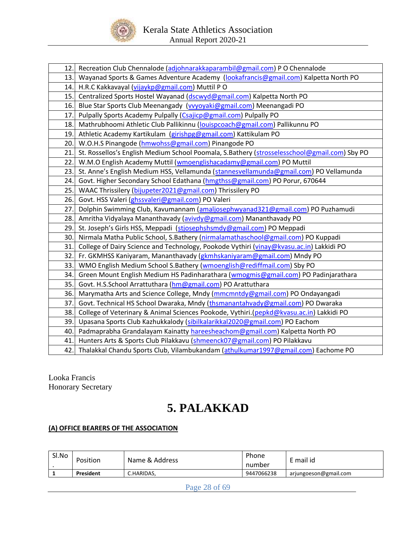

| 12.  | Recreation Club Chennalode (adjohnarakkaparambil@gmail.com) P O Chennalode                   |
|------|----------------------------------------------------------------------------------------------|
| 13.I | Wayanad Sports & Games Adventure Academy (lookafrancis@gmail.com) Kalpetta North PO          |
| 14.  | H.R.C Kakkavayal (vijaykp@gmail.com) Muttil PO                                               |
| 15.  | Centralized Sports Hostel Wayanad (dscwyd@gmail.com) Kalpetta North PO                       |
| 16.  | Blue Star Sports Club Meenangady (vyyoyaki@gmail.com) Meenangadi PO                          |
| 17.  | Pulpally Sports Academy Pulpally (Csajicp@gmail.com) Pulpally PO                             |
| 18.  | Mathrubhoomi Athletic Club Pallikinnu (louispcoach@gmail.com) Pallikunnu PO                  |
| 19.  | Athletic Academy Kartikulam (girishpg@gmail.com) Kattikulam PO                               |
| 20.  | W.O.H.S Pinangode (hmwohss@gmail.com) Pinangode PO                                           |
| 21.  | St. Rossellos's English Medium School Poomala, S.Bathery (strosselesschool@gmail.com) Sby PO |
| 22.  | W.M.O English Academy Muttil (wmoenglishacadamy@gmail.com) PO Muttil                         |
| 23.  | St. Anne's English Medium HSS, Vellamunda (stannesvellamunda@gmail.com) PO Vellamunda        |
| 24.  | Govt. Higher Secondary School Edathana (hmgthss@gmail.com) PO Porur, 670644                  |
| 25.  | WAAC Thrissilery (bijupeter2021@gmail.com) Thrissilery PO                                    |
| 26.  | Govt. HSS Valeri (ghssvaleri@gmail.com) PO Valeri                                            |
| 27.  | Dolphin Swimming Club, Kavumannam (amaljosephwyanad321@gmail.com) PO Puzhamudi               |
| 28.  | Amritha Vidyalaya Mananthavady (avivdy@gmail.com) Mananthavady PO                            |
| 29.  | St. Joseph's Girls HSS, Meppadi (stjosephshsmdy@gmail.com) PO Meppadi                        |
| 30.  | Nirmala Matha Public School, S.Bathery (nirmalamathaschool@gmail.com) PO Kuppadi             |
| 31.  | College of Dairy Science and Technology, Pookode Vythiri (vinay@kvasu.ac.in) Lakkidi PO      |
| 32.  | Fr. GKMHSS Kaniyaram, Mananthavady (gkmhskaniyaram@gmail.com) Mndy PO                        |
| 33.  | WMO English Medium School S.Bathery (wmoenglish@rediffmail.com) Sby PO                       |
| 34.  | Green Mount English Medium HS Padinharathara (wmogmis@gmail.com) PO Padinjarathara           |
| 35.  | Govt. H.S.School Arrattuthara (hm@gmail.com) PO Arattuthara                                  |
| 36.  | Marymatha Arts and Science College, Mndy (mmcmntdy@gmail.com) PO Ondayangadi                 |
| 37.  | Govt. Technical HS School Dwaraka, Mndy (thsmanantahvady@gmail.com) PO Dwaraka               |
| 38.  | College of Veterinary & Animal Sciences Pookode, Vythiri.(pepkd@kvasu.ac.in) Lakkidi PO      |
| 39.  | Upasana Sports Club Kazhukkalody (sibilkalarikkal2020@gmail.com) PO Eachom                   |
| 40.  | Padmaprabha Grandalayam Kainatty hareesheachom@gmail.com) Kalpetta North PO                  |
| 41.  | Hunters Arts & Sports Club Pilakkavu (shmeenck07@gmail.com) PO Pilakkavu                     |
| 42.  | Thalakkal Chandu Sports Club, Vilambukandam (athulkumar1997@gmail.com) Eachome PO            |

Looka Francis Honorary Secretary

# **5. PALAKKAD**

# **(A) OFFICE BEARERS OF THE ASSOCIATION**

| Sl.No | Position  | Name & Address | Phone<br>number | E mail id             |
|-------|-----------|----------------|-----------------|-----------------------|
|       | President | C.HARIDAS.     | 9447066238      | arjungoeson@gmail.com |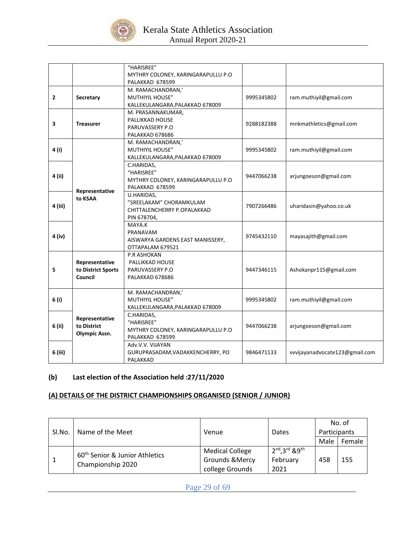

|              |                                      | "HARISREE"                                            |            |                                |
|--------------|--------------------------------------|-------------------------------------------------------|------------|--------------------------------|
|              |                                      | MYTHRY COLONEY, KARINGARAPULLU P.O<br>PALAKKAD 678599 |            |                                |
|              |                                      | M. RAMACHANDRAN,'                                     |            |                                |
| $\mathbf{2}$ | Secretary                            | <b>MUTHIYIL HOUSE"</b>                                | 9995345802 | ram.muthiyil@gmail.com         |
|              |                                      | KALLEKULANGARA, PALAKKAD 678009                       |            |                                |
|              |                                      | M. PRASANNAKUMAR,                                     |            |                                |
|              |                                      | PALLIKKAD HOUSE                                       |            |                                |
| 3            | <b>Treasurer</b>                     | PARUVASSERY P.O                                       | 9288182388 | mnkmathletics@gmail.com        |
|              |                                      | PALAKKAD 678686                                       |            |                                |
|              |                                      | M. RAMACHANDRAN,'                                     |            |                                |
| 4 (i)        |                                      | <b>MUTHIYIL HOUSE"</b>                                | 9995345802 | ram.muthiyil@gmail.com         |
|              |                                      | KALLEKULANGARA, PALAKKAD 678009                       |            |                                |
|              |                                      | C.HARIDAS,                                            |            |                                |
| 4 (ii)       |                                      | "HARISREE"                                            | 9447066238 | arjungoeson@gmail.com          |
|              |                                      | MYTHRY COLONEY, KARINGARAPULLU P.O                    |            |                                |
|              | Representative                       | PALAKKAD 678599                                       |            |                                |
|              | to KSAA                              | U.HARIDAS,                                            |            |                                |
| 4 (iii)      |                                      | "SREELAKAM" CHORAMKULAM                               | 7907266486 | uharidasin@yahoo.co.uk         |
|              |                                      | CHITTALENCHERRY P.OPALAKKAD                           |            |                                |
|              |                                      | PIN 678704,                                           |            |                                |
|              |                                      | MAYA.K                                                |            |                                |
| 4 (iv)       |                                      | PRANAVAM                                              | 9745432110 | mayasajith@gmail.com           |
|              |                                      | AISWARYA GARDENS EAST MANISSERY,                      |            |                                |
|              |                                      | OTTAPALAM 679521                                      |            |                                |
|              |                                      | P.R ASHOKAN                                           |            |                                |
| 5            | Representative<br>to District Sports | PALLIKKAD HOUSE<br>PARUVASSERY P.O.                   | 9447346115 | Ashokanpr115@gmail.com         |
|              | Council                              | PALAKKAD 678686                                       |            |                                |
|              |                                      |                                                       |            |                                |
|              |                                      | M. RAMACHANDRAN,'                                     |            |                                |
| 6 (i)        |                                      | MUTHIYIL HOUSE"                                       | 9995345802 | ram.muthiyil@gmail.com         |
|              |                                      | KALLEKULANGARA, PALAKKAD 678009                       |            |                                |
|              |                                      | C.HARIDAS,                                            |            |                                |
| 6 (ii)       | Representative                       | "HARISREE"                                            |            |                                |
|              | to District                          | MYTHRY COLONEY, KARINGARAPULLU P.O                    | 9447066238 | arjungoeson@gmail.com          |
|              | <b>Olympic Assn.</b>                 | PALAKKAD 678599                                       |            |                                |
|              |                                      | Adv.V.V. VIJAYAN                                      |            |                                |
| 6 (iii)      |                                      | GURUPRASADAM, VADAKKENCHERRY, PO                      | 9846471133 | vvvijayanadvocate123@gmail.com |
|              |                                      | PALAKKAD                                              |            |                                |

## **(b) Last election of the Association held :27/11/2020**

## **(A) DETAILS OF THE DISTRICT CHAMPIONSHIPS ORGANISED (SENIOR / JUNIOR)**

| SI.No. | Name of the Meet                           | Venue                      | Dates                 | No. of<br>Participants |        |
|--------|--------------------------------------------|----------------------------|-----------------------|------------------------|--------|
|        |                                            |                            |                       | Male                   | Female |
|        | 60 <sup>th</sup> Senior & Junior Athletics | <b>Medical College</b>     | $2nd$ , $3rd$ & $9th$ |                        |        |
|        | Championship 2020                          | <b>Grounds &amp; Mercy</b> | February              | 458                    | 155    |
|        |                                            | college Grounds            | 2021                  |                        |        |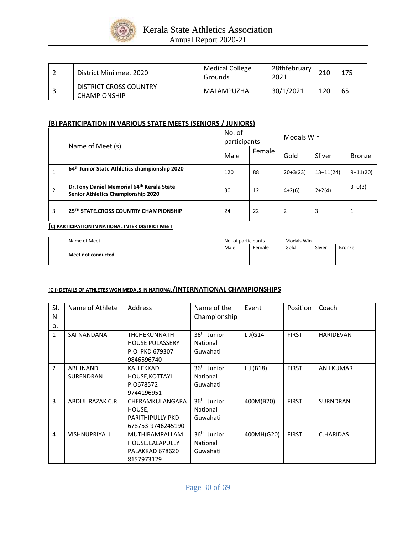

| District Mini meet 2020                              | <b>Medical College</b><br>Grounds | 28thfebruary<br>2021 |     | 175 |
|------------------------------------------------------|-----------------------------------|----------------------|-----|-----|
| <b>DISTRICT CROSS COUNTRY</b><br><b>CHAMPIONSHIP</b> | MALAMPUZHA                        | 30/1/2021            | 120 | 65  |

### **(B) PARTICIPATION IN VARIOUS STATE MEETS (SENIORS / JUNIORS)**

|                | Name of Meet (s)                                                                 | No. of<br>participants |        | Modals Win |             |               |  |
|----------------|----------------------------------------------------------------------------------|------------------------|--------|------------|-------------|---------------|--|
|                | Male                                                                             |                        | Female | Gold       | Sliver      | <b>Bronze</b> |  |
| 1              | 64th Junior State Athletics championship 2020                                    | 120                    | 88     | $20+3(23)$ | $13+11(24)$ | $9+11(20)$    |  |
| $\overline{2}$ | Dr. Tony Daniel Memorial 64th Kerala State<br>Senior Athletics Championship 2020 | 30                     | 12     | $4+2(6)$   | $2+2(4)$    | $3+0(3)$      |  |
| 3              | 25TH STATE, CROSS COUNTRY CHAMPIONSHIP                                           | 24                     | 22     | 2          | 3           |               |  |

#### **(C) PARTICIPATION IN NATIONAL INTER DISTRICT MEET**

| Name of Meet       | No. of participants |        | Modals Win |        |        |  |
|--------------------|---------------------|--------|------------|--------|--------|--|
|                    | Male                | Female | Gold       | Sliver | Bronze |  |
| Meet not conducted |                     |        |            |        |        |  |

### **(C-i) DETAILS OF ATHLETES WON MEDALS IN NATIONAL/INTERNATIONAL CHAMPIONSHIPS**

| SI.<br>N     | Name of Athlete                     | Address                                                                   | Name of the<br>Championship                     | Event      | Position     | Coach            |
|--------------|-------------------------------------|---------------------------------------------------------------------------|-------------------------------------------------|------------|--------------|------------------|
| 0.           |                                     |                                                                           |                                                 |            |              |                  |
| $\mathbf{1}$ | SAI NANDANA                         | <b>THCHEKUNNATH</b><br><b>HOUSE PULASSERY</b><br>P.O PKD 679307           | 36 <sup>th</sup> Junior<br>National<br>Guwahati | $LJ$ G14   | <b>FIRST</b> | <b>HARIDEVAN</b> |
|              |                                     | 9846596740                                                                |                                                 |            |              |                  |
| 2            | <b>ABHINAND</b><br><b>SURENDRAN</b> | KALLEKKAD<br>HOUSE, KOTTAYI<br>P.0678572<br>9744196951                    | 36 <sup>th</sup> Junior<br>National<br>Guwahati | LJ(B18)    | <b>FIRST</b> | ANILKUMAR        |
| 3            | ABDUL RAZAK C.R                     | CHERAMKULANGARA<br>HOUSE,<br><b>PARITHIPULLY PKD</b><br>678753-9746245190 | 36 <sup>th</sup> Junior<br>National<br>Guwahati | 400M(B20)  | <b>FIRST</b> | <b>SURNDRAN</b>  |
| 4            | VISHNUPRIYA J                       | <b>MUTHIRAMPALLAM</b><br>HOUSE.EALAPULLY<br>PALAKKAD 678620<br>8157973129 | 36 <sup>th</sup> Junior<br>National<br>Guwahati | 400MH(G20) | <b>FIRST</b> | C.HARIDAS        |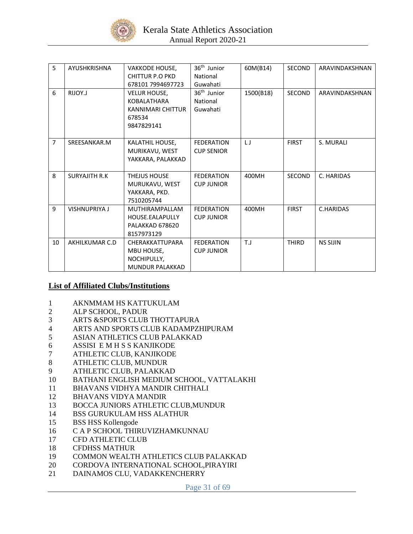

| 5              | AYUSHKRISHNA          | <b>VAKKODE HOUSE,</b>  | 36 <sup>th</sup> Junior | 60M(B14)  | <b>SECOND</b> | ARAVINDAKSHNAN  |
|----------------|-----------------------|------------------------|-------------------------|-----------|---------------|-----------------|
|                |                       | <b>CHITTUR P.O PKD</b> | National                |           |               |                 |
|                |                       | 678101 7994697723      | Guwahati                |           |               |                 |
|                |                       |                        |                         |           |               |                 |
| 6              | RIJOY.J               | <b>VELUR HOUSE,</b>    | 36 <sup>th</sup> Junior | 1500(B18) | <b>SECOND</b> | ARAVINDAKSHNAN  |
|                |                       | <b>KOBALATHARA</b>     | National                |           |               |                 |
|                |                       | KANNIMARI CHITTUR      | Guwahati                |           |               |                 |
|                |                       | 678534                 |                         |           |               |                 |
|                |                       | 9847829141             |                         |           |               |                 |
|                |                       |                        |                         |           |               |                 |
| $\overline{7}$ | SREESANKAR.M          | KALATHIL HOUSE,        | <b>FEDERATION</b>       | $\sqcup$  | <b>FIRST</b>  | S. MURALI       |
|                |                       | MURIKAVU, WEST         | <b>CUP SENIOR</b>       |           |               |                 |
|                |                       | YAKKARA, PALAKKAD      |                         |           |               |                 |
|                |                       |                        |                         |           |               |                 |
| 8              | <b>SURYAJITH R.K.</b> | <b>THEJUS HOUSE</b>    | <b>FEDERATION</b>       | 400MH     | <b>SECOND</b> | C. HARIDAS      |
|                |                       | MURUKAVU, WEST         | <b>CUP JUNIOR</b>       |           |               |                 |
|                |                       | YAKKARA, PKD.          |                         |           |               |                 |
|                |                       | 7510205744             |                         |           |               |                 |
| 9              | <b>VISHNUPRIYA J</b>  | <b>MUTHIRAMPALLAM</b>  | <b>FEDERATION</b>       | 400MH     | <b>FIRST</b>  | C.HARIDAS       |
|                |                       | HOUSE.EALAPULLY        | <b>CUP JUNIOR</b>       |           |               |                 |
|                |                       | PALAKKAD 678620        |                         |           |               |                 |
|                |                       | 8157973129             |                         |           |               |                 |
| 10             | AKHILKUMAR C.D        | CHERAKKATTUPARA        | <b>FEDERATION</b>       | T.J       | <b>THIRD</b>  | <b>NS SIJIN</b> |
|                |                       | MBU HOUSE,             | <b>CUP JUNIOR</b>       |           |               |                 |
|                |                       | NOCHIPULLY,            |                         |           |               |                 |
|                |                       | <b>MUNDUR PALAKKAD</b> |                         |           |               |                 |
|                |                       |                        |                         |           |               |                 |

## **List of Affiliated Clubs/Institutions**

- 1 AKNMMAM HS KATTUKULAM
- 2 ALP SCHOOL, PADUR
- 3 ARTS &SPORTS CLUB THOTTAPURA
- 4 ARTS AND SPORTS CLUB KADAMPZHIPURAM
- 5 ASIAN ATHLETICS CLUB PALAKKAD
- 6 ASSISI E M H S S KANJIKODE
- 7 ATHLETIC CLUB, KANJIKODE
- 8 ATHLETIC CLUB, MUNDUR
- 9 ATHLETIC CLUB, PALAKKAD
- 10 BATHANI ENGLISH MEDIUM SCHOOL, VATTALAKHI
- 11 BHAVANS VIDHYA MANDIR CHITHALI
- 12 BHAVANS VIDYA MANDIR
- 13 BOCCA JUNIORS ATHLETIC CLUB,MUNDUR
- 14 BSS GURUKULAM HSS ALATHUR
- 15 BSS HSS Kollengode
- 16 C A P SCHOOL THIRUVIZHAMKUNNAU
- 17 CFD ATHLETIC CLUB
- 18 CFDHSS MATHUR
- 19 COMMON WEALTH ATHLETICS CLUB PALAKKAD
- 20 CORDOVA INTERNATIONAL SCHOOL,PIRAYIRI
- 21 DAINAMOS CLU, VADAKKENCHERRY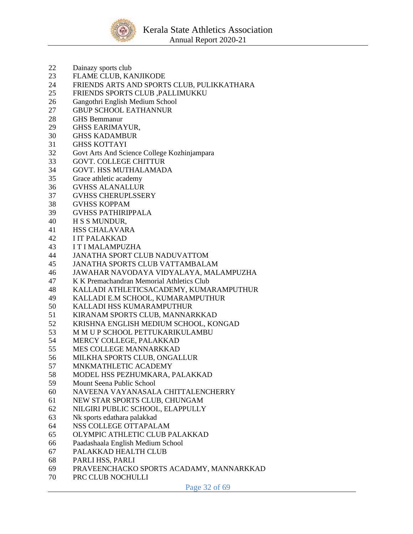

- Dainazy sports club
- FLAME CLUB, KANJIKODE
- FRIENDS ARTS AND SPORTS CLUB, PULIKKATHARA
- FRIENDS SPORTS CLUB ,PALLIMUKKU
- Gangothri English Medium School
- GBUP SCHOOL EATHANNUR
- GHS Bemmanur
- GHSS EARIMAYUR,
- GHSS KADAMBUR
- GHSS KOTTAYI
- Govt Arts And Science College Kozhinjampara
- GOVT. COLLEGE CHITTUR
- GOVT. HSS MUTHALAMADA
- Grace athletic academy
- GVHSS ALANALLUR
- GVHSS CHERUPLSSERY
- GVHSS KOPPAM
- GVHSS PATHIRIPPALA
- H S S MUNDUR,
- HSS CHALAVARA
- I IT PALAKKAD
- I T I MALAMPUZHA
- JANATHA SPORT CLUB NADUVATTOM
- JANATHA SPORTS CLUB VATTAMBALAM
- JAWAHAR NAVODAYA VIDYALAYA, MALAMPUZHA
- K K Premachandran Memorial Athletics Club
- KALLADI ATHLETICSACADEMY, KUMARAMPUTHUR
- KALLADI E.M SCHOOL, KUMARAMPUTHUR
- KALLADI HSS KUMARAMPUTHUR
- KIRANAM SPORTS CLUB, MANNARKKAD
- KRISHNA ENGLISH MEDIUM SCHOOL, KONGAD
- M M U P SCHOOL PETTUKARIKULAMBU
- MERCY COLLEGE, PALAKKAD
- MES COLLEGE MANNARKKAD
- MILKHA SPORTS CLUB, ONGALLUR
- MNKMATHLETIC ACADEMY
- MODEL HSS PEZHUMKARA, PALAKKAD
- Mount Seena Public School
- NAVEENA VAYANASALA CHITTALENCHERRY
- NEW STAR SPORTS CLUB, CHUNGAM
- NILGIRI PUBLIC SCHOOL, ELAPPULLY
- Nk sports edathara palakkad
- NSS COLLEGE OTTAPALAM
- OLYMPIC ATHLETIC CLUB PALAKKAD
- Paadashaala English Medium School
- PALAKKAD HEALTH CLUB
- PARLI HSS, PARLI
- PRAVEENCHACKO SPORTS ACADAMY, MANNARKKAD
- PRC CLUB NOCHULLI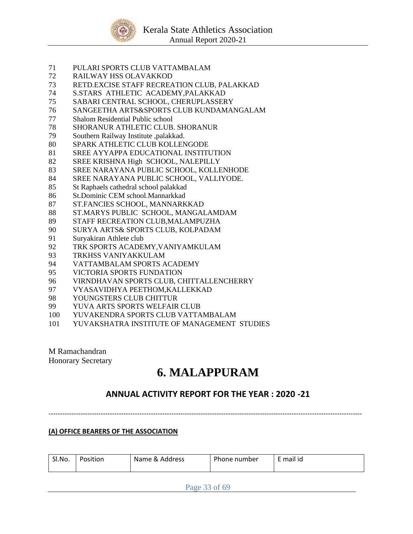

- PULARI SPORTS CLUB VATTAMBALAM
- RAILWAY HSS OLAVAKKOD
- RETD.EXCISE STAFF RECREATION CLUB, PALAKKAD
- S.STARS ATHLETIC ACADEMY,PALAKKAD
- SABARI CENTRAL SCHOOL, CHERUPLASSERY
- SANGEETHA ARTS&SPORTS CLUB KUNDAMANGALAM
- Shalom Residential Public school
- SHORANUR ATHLETIC CLUB. SHORANUR
- Southern Railway Institute ,palakkad.
- SPARK ATHLETIC CLUB KOLLENGODE
- SREE AYYAPPA EDUCATIONAL INSTITUTION
- SREE KRISHNA High SCHOOL, NALEPILLY
- SREE NARAYANA PUBLIC SCHOOL, KOLLENHODE
- SREE NARAYANA PUBLIC SCHOOL, VALLIYODE.
- St Raphaels cathedral school palakkad
- St.Dominic CEM school.Mannarkkad
- ST.FANCIES SCHOOL, MANNARKKAD
- ST.MARYS PUBLIC SCHOOL, MANGALAMDAM
- STAFF RECREATION CLUB,MALAMPUZHA
- SURYA ARTS& SPORTS CLUB, KOLPADAM
- Suryakiran Athlete club
- TRK SPORTS ACADEMY,VANIYAMKULAM
- TRKHSS VANIYAKKULAM
- VATTAMBALAM SPORTS ACADEMY
- VICTORIA SPORTS FUNDATION
- VIRNDHAVAN SPORTS CLUB, CHITTALLENCHERRY
- VYASAVIDHYA PEETHOM,KALLEKKAD
- YOUNGSTERS CLUB CHITTUR
- YUVA ARTS SPORTS WELFAIR CLUB
- YUVAKENDRA SPORTS CLUB VATTAMBALAM
- YUVAKSHATRA INSTITUTE OF MANAGEMENT STUDIES

M Ramachandran Honorary Secretary

# **6. MALAPPURAM**

# **ANNUAL ACTIVITY REPORT FOR THE YEAR : 2020 -21**

------------------------------------------------------------------------------------------------------------------------------------------

### **(A) OFFICE BEARERS OF THE ASSOCIATION**

| SI.No.<br>Position<br>Name & Address | .<br>Phone number<br>mail id |  |
|--------------------------------------|------------------------------|--|
|--------------------------------------|------------------------------|--|

Page 33 of 69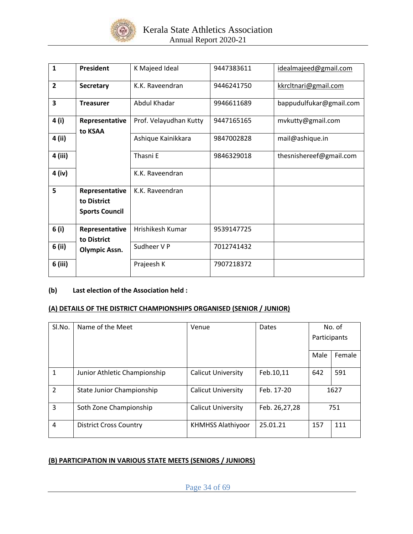

| $\mathbf{1}$            | <b>President</b>                                       | K Majeed Ideal         | 9447383611 | idealmajeed@gmail.com   |
|-------------------------|--------------------------------------------------------|------------------------|------------|-------------------------|
| $\overline{2}$          | Secretary                                              | K.K. Raveendran        | 9446241750 | kkrcltnari@gmail.com    |
| $\overline{\mathbf{3}}$ | <b>Treasurer</b>                                       | Abdul Khadar           | 9946611689 | bappudulfukar@gmail.com |
| 4 (i)                   | Representative<br>to KSAA                              | Prof. Velayudhan Kutty | 9447165165 | mvkutty@gmail.com       |
| 4 (ii)                  |                                                        | Ashique Kainikkara     | 9847002828 | mail@ashique.in         |
| 4 (iii)                 |                                                        | Thasni E               | 9846329018 | thesnishereef@gmail.com |
| 4 (iv)                  |                                                        | K.K. Raveendran        |            |                         |
| 5                       | Representative<br>to District<br><b>Sports Council</b> | K.K. Raveendran        |            |                         |
| 6(i)                    | Representative<br>to District                          | Hrishikesh Kumar       | 9539147725 |                         |
| 6 (ii)                  | <b>Olympic Assn.</b>                                   | Sudheer V P            | 7012741432 |                         |
| 6 (iii)                 |                                                        | Prajeesh K             | 7907218372 |                         |

# **(b) Last election of the Association held :**

### **(A) DETAILS OF THE DISTRICT CHAMPIONSHIPS ORGANISED (SENIOR / JUNIOR)**

| Sl.No.         | Name of the Meet              | Venue                     | Dates         | No. of       |        |
|----------------|-------------------------------|---------------------------|---------------|--------------|--------|
|                |                               |                           |               | Participants |        |
|                |                               |                           |               |              |        |
|                |                               |                           |               | Male         | Female |
|                |                               |                           |               |              |        |
| 1              | Junior Athletic Championship  | <b>Calicut University</b> | Feb.10,11     | 642          | 591    |
| $\overline{2}$ | State Junior Championship     | <b>Calicut University</b> | Feb. 17-20    |              | 1627   |
| 3              | Soth Zone Championship        | <b>Calicut University</b> | Feb. 26,27,28 | 751          |        |
| 4              | <b>District Cross Country</b> | <b>KHMHSS Alathiyoor</b>  | 25.01.21      | 157          | 111    |

## **(B) PARTICIPATION IN VARIOUS STATE MEETS (SENIORS / JUNIORS)**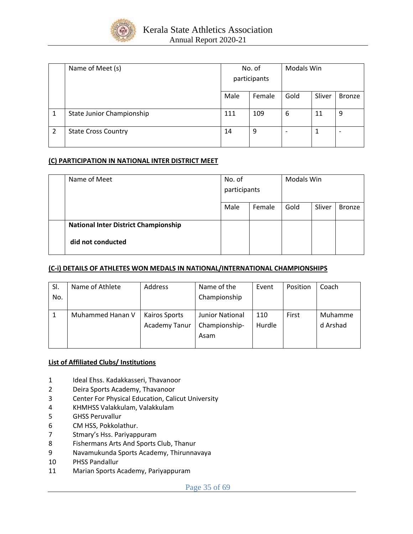

|   | Name of Meet (s)           | No. of       |        | <b>Modals Win</b> |        |               |  |
|---|----------------------------|--------------|--------|-------------------|--------|---------------|--|
|   |                            | participants |        |                   |        |               |  |
|   |                            | Male         | Female | Gold              | Sliver | <b>Bronze</b> |  |
| 1 | State Junior Championship  | 111          | 109    | 6                 | 11     | 9             |  |
| 2 | <b>State Cross Country</b> | 14           | 9      |                   |        |               |  |

### **(C) PARTICIPATION IN NATIONAL INTER DISTRICT MEET**

| Name of Meet                                | No. of<br>participants |        | Modals Win |        |               |
|---------------------------------------------|------------------------|--------|------------|--------|---------------|
|                                             | Male                   | Female | Gold       | Sliver | <b>Bronze</b> |
| <b>National Inter District Championship</b> |                        |        |            |        |               |
| did not conducted                           |                        |        |            |        |               |

### **(C-i) DETAILS OF ATHLETES WON MEDALS IN NATIONAL/INTERNATIONAL CHAMPIONSHIPS**

| SI.<br>No. | Name of Athlete  | Address                               | Name of the<br>Championship              | Event         | Position | Coach               |
|------------|------------------|---------------------------------------|------------------------------------------|---------------|----------|---------------------|
|            | Muhammed Hanan V | Kairos Sports<br><b>Academy Tanur</b> | Junior National<br>Championship-<br>Asam | 110<br>Hurdle | First    | Muhamme<br>d Arshad |

### **List of Affiliated Clubs/ Institutions**

- 1 Ideal Ehss. Kadakkasseri, Thavanoor
- 2 Deira Sports Academy, Thavanoor
- 3 Center For Physical Education, Calicut University
- 4 KHMHSS Valakkulam, Valakkulam
- 5 GHSS Peruvallur
- 6 CM HSS, Pokkolathur.
- 7 Stmary's Hss. Pariyappuram
- 8 Fishermans Arts And Sports Club, Thanur
- 9 Navamukunda Sports Academy, Thirunnavaya
- 10 PHSS Pandallur
- 11 Marian Sports Academy, Pariyappuram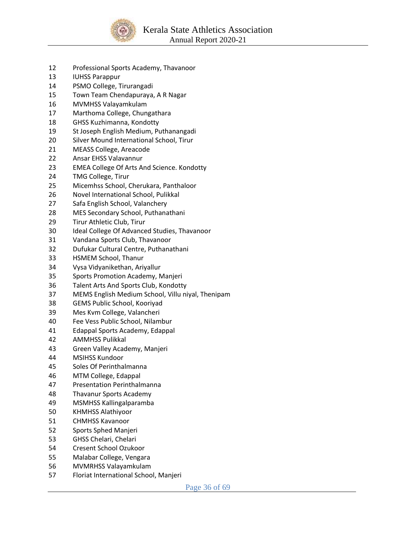

- Professional Sports Academy, Thavanoor
- IUHSS Parappur
- PSMO College, Tirurangadi
- Town Team Chendapuraya, A R Nagar
- MVMHSS Valayamkulam
- Marthoma College, Chungathara
- GHSS Kuzhimanna, Kondotty
- St Joseph English Medium, Puthanangadi
- Silver Mound International School, Tirur
- MEASS College, Areacode
- Ansar EHSS Valavannur
- EMEA College Of Arts And Science. Kondotty
- TMG College, Tirur
- Micemhss School, Cherukara, Panthaloor
- Novel International School, Pulikkal
- Safa English School, Valanchery
- MES Secondary School, Puthanathani
- Tirur Athletic Club, Tirur
- Ideal College Of Advanced Studies, Thavanoor
- Vandana Sports Club, Thavanoor
- Dufukar Cultural Centre, Puthanathani
- HSMEM School, Thanur
- Vysa Vidyanikethan, Ariyallur
- Sports Promotion Academy, Manjeri
- Talent Arts And Sports Club, Kondotty
- MEMS English Medium School, Villu niyal, Thenipam
- GEMS Public School, Kooriyad
- Mes Kvm College, Valancheri
- Fee Vess Public School, Nilambur
- Edappal Sports Academy, Edappal
- AMMHSS Pulikkal
- Green Valley Academy, Manjeri
- MSIHSS Kundoor
- Soles Of Perinthalmanna
- MTM College, Edappal
- Presentation Perinthalmanna
- Thavanur Sports Academy
- MSMHSS Kallingalparamba
- KHMHSS Alathiyoor
- CHMHSS Kavanoor
- Sports Sphed Manjeri
- GHSS Chelari, Chelari
- Cresent School Ozukoor
- Malabar College, Vengara
- MVMRHSS Valayamkulam
- Floriat International School, Manjeri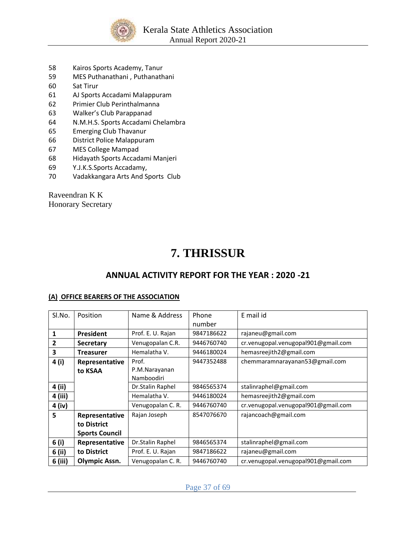

- 58 Kairos Sports Academy, Tanur
- 59 MES Puthanathani , Puthanathani
- 60 Sat Tirur
- 61 AJ Sports Accadami Malappuram
- 62 Primier Club Perinthalmanna
- 63 Walker's Club Parappanad
- 64 N.M.H.S. Sports Accadami Chelambra
- 65 Emerging Club Thavanur
- 66 District Police Malappuram
- 67 MES College Mampad
- 68 Hidayath Sports Accadami Manjeri
- 69 Y.J.K.S.Sports Accadamy,
- 70 Vadakkangara Arts And Sports Club

Raveendran K K Honorary Secretary

# **7. THRISSUR**

# **ANNUAL ACTIVITY REPORT FOR THE YEAR : 2020 -21**

### **(A) OFFICE BEARERS OF THE ASSOCIATION**

| SI.No.  | Position              | Name & Address    | Phone      | E mail id                           |
|---------|-----------------------|-------------------|------------|-------------------------------------|
|         |                       |                   | number     |                                     |
| 1       | President             | Prof. E. U. Rajan | 9847186622 | rajaneu@gmail.com                   |
| 2       | <b>Secretary</b>      | Venugopalan C.R.  | 9446760740 | cr.venugopal.venugopal901@gmail.com |
| 3       | <b>Treasurer</b>      | Hemalatha V.      | 9446180024 | hemasreejith2@gmail.com             |
| 4 (i)   | Representative        | Prof.             | 9447352488 | chemmaramnarayanan53@gmail.com      |
|         | to KSAA               | P.M.Narayanan     |            |                                     |
|         |                       | Namboodiri        |            |                                     |
| 4 (ii)  |                       | Dr.Stalin Raphel  | 9846565374 | stalinraphel@gmail.com              |
| 4 (iii) |                       | Hemalatha V.      | 9446180024 | hemasreejith2@gmail.com             |
| 4 (iv)  |                       | Venugopalan C. R. | 9446760740 | cr.venugopal.venugopal901@gmail.com |
| 5       | Representative        | Rajan Joseph      | 8547076670 | rajancoach@gmail.com                |
|         | to District           |                   |            |                                     |
|         | <b>Sports Council</b> |                   |            |                                     |
| 6(i)    | Representative        | Dr.Stalin Raphel  | 9846565374 | stalinraphel@gmail.com              |
| 6 (ii)  | to District           | Prof. E. U. Rajan | 9847186622 | rajaneu@gmail.com                   |
| 6 (iii) | <b>Olympic Assn.</b>  | Venugopalan C. R. | 9446760740 | cr.venugopal.venugopal901@gmail.com |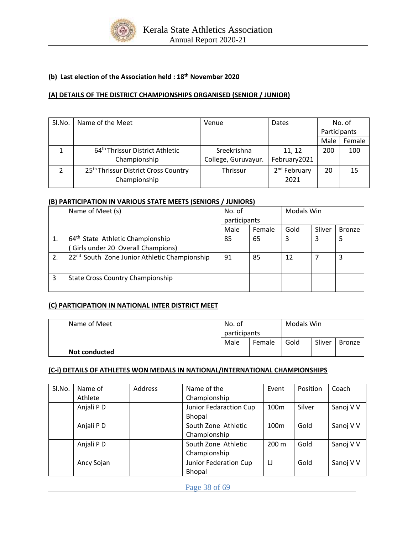

# **(b) Last election of the Association held : 18th November 2020**

### **(A) DETAILS OF THE DISTRICT CHAMPIONSHIPS ORGANISED (SENIOR / JUNIOR)**

| SI.No. | Name of the Meet                                 | Venue               | Dates                    | No. of       |        |
|--------|--------------------------------------------------|---------------------|--------------------------|--------------|--------|
|        |                                                  |                     |                          | Participants |        |
|        |                                                  |                     |                          | Male         | Female |
|        | 64 <sup>th</sup> Thrissur District Athletic      | Sreekrishna         | 11, 12                   | 200          | 100    |
|        | Championship                                     | College, Guruvayur. | February2021             |              |        |
|        | 25 <sup>th</sup> Thrissur District Cross Country | <b>Thrissur</b>     | 2 <sup>nd</sup> February | 20           | 15     |
|        | Championship                                     |                     | 2021                     |              |        |

#### **(B) PARTICIPATION IN VARIOUS STATE MEETS (SENIORS / JUNIORS)**

|    | Name of Meet (s)                                         | No. of       |        | Modals Win |        |               |
|----|----------------------------------------------------------|--------------|--------|------------|--------|---------------|
|    |                                                          | participants |        |            |        |               |
|    |                                                          | Male         | Female | Gold       | Sliver | <b>Bronze</b> |
|    | 64 <sup>th</sup> State Athletic Championship             | 85           | 65     | 3          | 3      | 5             |
|    | Girls under 20 Overall Champions)                        |              |        |            |        |               |
| 2. | 22 <sup>nd</sup> South Zone Junior Athletic Championship | 91           | 85     | 12         |        | 3             |
| 3  | <b>State Cross Country Championship</b>                  |              |        |            |        |               |

### **(C) PARTICIPATION IN NATIONAL INTER DISTRICT MEET**

| Name of Meet         | No. of       |        | Modals Win |        |               |
|----------------------|--------------|--------|------------|--------|---------------|
|                      | participants |        |            |        |               |
|                      | Male         | Female | Gold       | Sliver | <b>Bronze</b> |
| <b>Not conducted</b> |              |        |            |        |               |

#### **(C-i) DETAILS OF ATHLETES WON MEDALS IN NATIONAL/INTERNATIONAL CHAMPIONSHIPS**

| Sl.No. | Name of    | <b>Address</b> | Name of the            | Event            | Position | Coach     |
|--------|------------|----------------|------------------------|------------------|----------|-----------|
|        | Athlete    |                | Championship           |                  |          |           |
|        | Anjali PD  |                | Junior Fedaraction Cup | 100 <sub>m</sub> | Silver   | Sanoj V V |
|        |            |                | Bhopal                 |                  |          |           |
|        | Anjali PD  |                | South Zone Athletic    | 100 <sub>m</sub> | Gold     | Sanoj V V |
|        |            |                | Championship           |                  |          |           |
|        | Anjali PD  |                | South Zone Athletic    | $200 \text{ m}$  | Gold     | Sanoj V V |
|        |            |                | Championship           |                  |          |           |
|        | Ancy Sojan |                | Junior Federation Cup  | IJ               | Gold     | Sanoj V V |
|        |            |                | Bhopal                 |                  |          |           |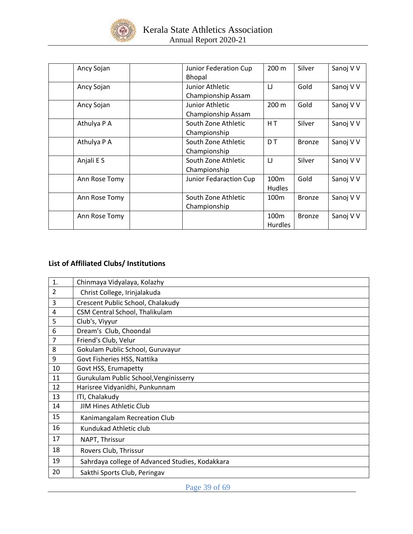

| Ancy Sojan    | Junior Federation Cup<br><b>Bhopal</b> | 200 m                              | Silver        | Sanoj V V |
|---------------|----------------------------------------|------------------------------------|---------------|-----------|
| Ancy Sojan    | Junior Athletic<br>Championship Assam  | IJ                                 | Gold          | Sanoj V V |
| Ancy Sojan    | Junior Athletic<br>Championship Assam  | 200 m                              | Gold          | Sanoj V V |
| Athulya P A   | South Zone Athletic<br>Championship    | HT.                                | Silver        | Sanoj V V |
| Athulya P A   | South Zone Athletic<br>Championship    | D <sub>T</sub>                     | <b>Bronze</b> | Sanoj V V |
| Anjali E S    | South Zone Athletic<br>Championship    | IJ                                 | Silver        | Sanoj V V |
| Ann Rose Tomy | Junior Fedaraction Cup                 | 100 <sub>m</sub><br><b>Hudles</b>  | Gold          | Sanoj V V |
| Ann Rose Tomy | South Zone Athletic<br>Championship    | 100 <sub>m</sub>                   | <b>Bronze</b> | Sanoj V V |
| Ann Rose Tomy |                                        | 100 <sub>m</sub><br><b>Hurdles</b> | <b>Bronze</b> | Sanoj V V |

# **List of Affiliated Clubs/ Institutions**

| $\mathbf{1}$ . | Chinmaya Vidyalaya, Kolazhy                     |
|----------------|-------------------------------------------------|
| $\mathcal{P}$  | Christ College, Irinjalakuda                    |
| 3              | Crescent Public School, Chalakudy               |
| 4              | CSM Central School, Thalikulam                  |
| 5              | Club's, Viyyur                                  |
| 6              | Dream's Club, Choondal                          |
| 7              | Friend's Club, Velur                            |
| 8              | Gokulam Public School, Guruvayur                |
| 9              | Govt Fisheries HSS, Nattika                     |
| 10             | Govt HSS, Erumapetty                            |
| 11             | Gurukulam Public School, Venginisserry          |
| 12             | Harisree Vidyanidhi, Punkunnam                  |
| 13             | ITI, Chalakudy                                  |
| 14             | <b>JIM Hines Athletic Club</b>                  |
| 15             | Kanimangalam Recreation Club                    |
| 16             | Kundukad Athletic club                          |
| 17             | NAPT, Thrissur                                  |
| 18             | Rovers Club, Thrissur                           |
| 19             | Sahrdaya college of Advanced Studies, Kodakkara |
| 20             | Sakthi Sports Club, Peringav                    |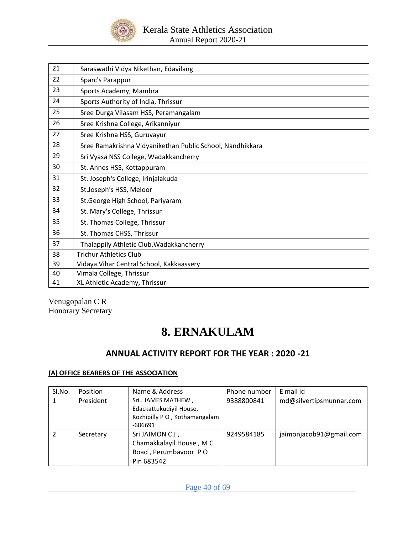

| 21 | Saraswathi Vidya Nikethan, Edavilang                      |
|----|-----------------------------------------------------------|
| 22 | Sparc's Parappur                                          |
| 23 | Sports Academy, Mambra                                    |
| 24 | Sports Authority of India, Thrissur                       |
| 25 | Sree Durga Vilasam HSS, Peramangalam                      |
| 26 | Sree Krishna College, Arikanniyur                         |
| 27 | Sree Krishna HSS, Guruvayur                               |
| 28 | Sree Ramakrishna Vidyanikethan Public School, Nandhikkara |
| 29 | Sri Vyasa NSS College, Wadakkancherry                     |
| 30 | St. Annes HSS, Kottappuram                                |
| 31 | St. Joseph's College, Irinjalakuda                        |
| 32 | St.Joseph's HSS, Meloor                                   |
| 33 | St. George High School, Pariyaram                         |
| 34 | St. Mary's College, Thrissur                              |
| 35 | St. Thomas College, Thrissur                              |
| 36 | St. Thomas CHSS, Thrissur                                 |
| 37 | Thalappily Athletic Club, Wadakkancherry                  |
| 38 | <b>Trichur Athletics Club</b>                             |
| 39 | Vidaya Vihar Central School, Kakkaassery                  |
| 40 | Vimala College, Thrissur                                  |
| 41 | XL Athletic Academy, Thrissur                             |
|    |                                                           |

Venugopalan C R Honorary Secretary

# **8. ERNAKULAM**

# **ANNUAL ACTIVITY REPORT FOR THE YEAR : 2020 -21**

### **(A) OFFICE BEARERS OF THE ASSOCIATION**

| SI.No. | Position  | Name & Address               | Phone number | E mail id               |
|--------|-----------|------------------------------|--------------|-------------------------|
|        | President | Sri. JAMES MATHEW,           | 9388800841   | md@silvertipsmunnar.com |
|        |           | Edackattukudiyil House,      |              |                         |
|        |           | Kozhipilly PO, Kothamangalam |              |                         |
|        |           | $-686691$                    |              |                         |
|        | Secretary | Sri JAIMON CJ,               | 9249584185   | jaimonjacob91@gmail.com |
|        |           | Chamakkalayil House, MC      |              |                         |
|        |           | Road, Perumbavoor PO         |              |                         |
|        |           | Pin 683542                   |              |                         |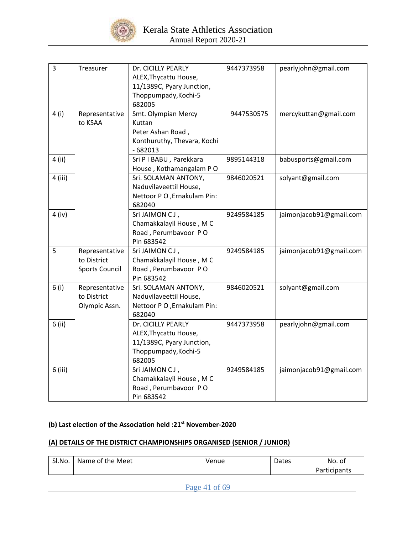

| $\overline{\mathbf{3}}$ | Treasurer                                              | Dr. CICILLY PEARLY<br>ALEX, Thycattu House,<br>11/1389C, Pyary Junction,<br>Thoppumpady, Kochi-5<br>682005 | 9447373958 | pearlyjohn@gmail.com    |
|-------------------------|--------------------------------------------------------|------------------------------------------------------------------------------------------------------------|------------|-------------------------|
| 4 (i)                   | Representative<br>to KSAA                              | Smt. Olympian Mercy<br>Kuttan<br>Peter Ashan Road,<br>Konthuruthy, Thevara, Kochi<br>$-682013$             | 9447530575 | mercykuttan@gmail.com   |
| 4 (ii)                  |                                                        | Sri P I BABU, Parekkara<br>House, Kothamangalam PO                                                         | 9895144318 | babusports@gmail.com    |
| $4$ (iii)               |                                                        | Sri. SOLAMAN ANTONY,<br>Naduvilaveettil House,<br>Nettoor P O, Ernakulam Pin:<br>682040                    | 9846020521 | solyant@gmail.com       |
| $4$ (iv)                |                                                        | Sri JAIMON CJ,<br>Chamakkalayil House, M C<br>Road, Perumbavoor PO<br>Pin 683542                           | 9249584185 | jaimonjacob91@gmail.com |
| 5                       | Representative<br>to District<br><b>Sports Council</b> | Sri JAIMON CJ,<br>Chamakkalayil House, M C<br>Road, Perumbavoor PO<br>Pin 683542                           | 9249584185 | jaimonjacob91@gmail.com |
| 6(i)                    | Representative<br>to District<br>Olympic Assn.         | Sri. SOLAMAN ANTONY,<br>Naduvilaveettil House,<br>Nettoor P O , Ernakulam Pin:<br>682040                   | 9846020521 | solyant@gmail.com       |
| 6 (ii)                  |                                                        | Dr. CICILLY PEARLY<br>ALEX, Thycattu House,<br>11/1389C, Pyary Junction,<br>Thoppumpady, Kochi-5<br>682005 | 9447373958 | pearlyjohn@gmail.com    |
| 6 (iii)                 |                                                        | Sri JAIMON CJ,<br>Chamakkalayil House, M C<br>Road, Perumbavoor PO<br>Pin 683542                           | 9249584185 | jaimonjacob91@gmail.com |

## **(b) Last election of the Association held :21st November-2020**

# **(A) DETAILS OF THE DISTRICT CHAMPIONSHIPS ORGANISED (SENIOR / JUNIOR)**

| SI.No. | Meet<br>Name of the | Venue | Dates | No. of           |
|--------|---------------------|-------|-------|------------------|
|        |                     |       |       | . .<br>ticipants |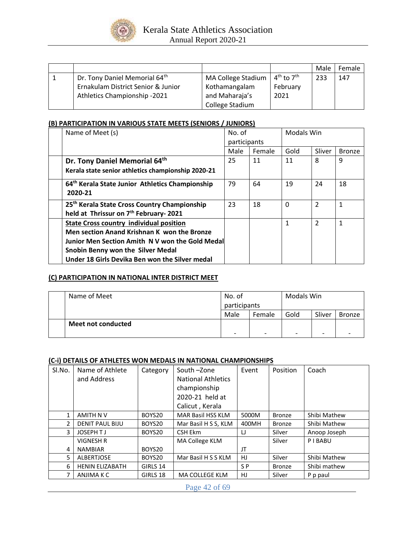

|                                    |                    |                | Male | Female |
|------------------------------------|--------------------|----------------|------|--------|
| Dr. Tony Daniel Memorial 64th      | MA College Stadium | $4th$ to $7th$ | 233  | 147    |
| Ernakulam District Senior & Junior | Kothamangalam      | February       |      |        |
| Athletics Championship -2021       | and Maharaja's     | 2021           |      |        |
|                                    | College Stadium    |                |      |        |

### **(B) PARTICIPATION IN VARIOUS STATE MEETS (SENIORS / JUNIORS)**

| Name of Meet (s)                                                                                                                                                                                                                       | No. of<br>participants |        | <b>Modals Win</b> |                |               |
|----------------------------------------------------------------------------------------------------------------------------------------------------------------------------------------------------------------------------------------|------------------------|--------|-------------------|----------------|---------------|
|                                                                                                                                                                                                                                        | Male                   | Female |                   | Sliver         | <b>Bronze</b> |
| Dr. Tony Daniel Memorial 64th                                                                                                                                                                                                          | 25                     | 11     | 11                | 8              | 9             |
| Kerala state senior athletics championship 2020-21                                                                                                                                                                                     |                        |        |                   |                |               |
| 64 <sup>th</sup> Kerala State Junior Athletics Championship<br>2020-21                                                                                                                                                                 | 79                     | 64     | 19                | 24             | 18            |
| 25 <sup>th</sup> Kerala State Cross Country Championship<br>held at Thrissur on 7 <sup>th</sup> February- 2021                                                                                                                         | 23                     | 18     | $\Omega$          | $\overline{2}$ |               |
| <b>State Cross country individual position</b><br>Men section Anand Krishnan K won the Bronze<br>Junior Men Section Amith NV won the Gold Medal<br>Snobin Benny won the Silver Medal<br>Under 18 Girls Devika Ben won the Silver medal |                        |        | $\mathbf{1}$      | $\overline{2}$ |               |

### **(C) PARTICIPATION IN NATIONAL INTER DISTRICT MEET**

| Name of Meet       | No. of<br>participants<br>Male<br>Female |                          | Modals Win               |                          |               |
|--------------------|------------------------------------------|--------------------------|--------------------------|--------------------------|---------------|
|                    |                                          |                          | Gold                     | Sliver                   | <b>Bronze</b> |
| Meet not conducted | -                                        | $\overline{\phantom{0}}$ | $\overline{\phantom{0}}$ | $\overline{\phantom{0}}$ |               |

### **(C-i) DETAILS OF ATHLETES WON MEDALS IN NATIONAL CHAMPIONSHIPS**

| Sl.No. | Name of Athlete        | Category | South-Zone                | Event          | Position      | Coach        |
|--------|------------------------|----------|---------------------------|----------------|---------------|--------------|
|        | and Address            |          | <b>National Athletics</b> |                |               |              |
|        |                        |          | championship              |                |               |              |
|        |                        |          | 2020-21 held at           |                |               |              |
|        |                        |          | Calicut, Kerala           |                |               |              |
| 1      | <b>AMITH N V</b>       | BOYS20   | <b>MAR Basil HSS KLM</b>  | 5000M          | <b>Bronze</b> | Shibi Mathew |
| 2      | <b>DENIT PAUL BIJU</b> | BOYS20   | Mar Basil H S S, KLM      | 400MH          | <b>Bronze</b> | Shibi Mathew |
| 3      | JOSEPH TJ              | BOYS20   | CSH Ekm                   | IJ             | Silver        | Anoop Joseph |
|        | <b>VIGNESH R</b>       |          | MA College KLM            |                | Silver        | PIBABU       |
| 4      | <b>NAMBIAR</b>         | BOYS20   |                           | JT             |               |              |
| 5      | <b>ALBERTJOSE</b>      | BOYS20   | Mar Basil H S S KLM       | HJ.            | Silver        | Shibi Mathew |
| 6      | <b>HENIN ELIZABATH</b> | GIRLS 14 |                           | S <sub>P</sub> | <b>Bronze</b> | Shibi mathew |
| 7      | ANJIMA K C             | GIRLS 18 | <b>MA COLLEGE KLM</b>     | HJ             | Silver        | P p paul     |

Page 42 of 69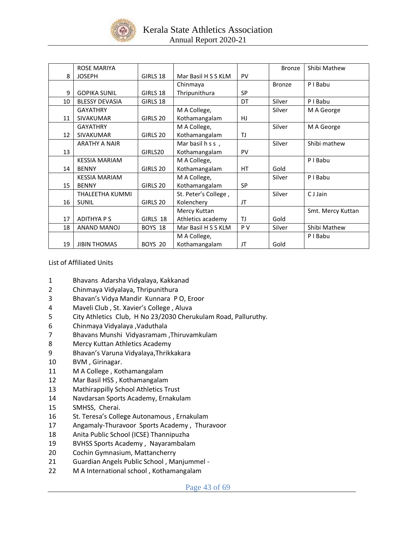

| <b>ROSE MARIYA</b>    |          |                      |           | <b>Bronze</b> | Shibi Mathew      |
|-----------------------|----------|----------------------|-----------|---------------|-------------------|
| <b>JOSEPH</b>         | GIRLS 18 | Mar Basil H S S KLM  | PV        |               |                   |
|                       |          | Chinmaya             |           | <b>Bronze</b> | P I Babu          |
| <b>GOPIKA SUNIL</b>   | GIRLS 18 | Thripunithura        | <b>SP</b> |               |                   |
| <b>BLESSY DEVASIA</b> | GIRLS 18 |                      | DT        | Silver        | P I Babu          |
| <b>GAYATHRY</b>       |          | M A College,         |           | Silver        | M A George        |
| <b>SIVAKUMAR</b>      | GIRLS 20 | Kothamangalam        | HJ        |               |                   |
| <b>GAYATHRY</b>       |          | M A College,         |           | Silver        | M A George        |
| <b>SIVAKUMAR</b>      | GIRLS 20 | Kothamangalam        | TJ        |               |                   |
| <b>ARATHY A NAIR</b>  |          | Mar basil h s s,     |           | Silver        | Shibi mathew      |
|                       | GIRLS20  | Kothamangalam        | PV        |               |                   |
| <b>KESSIA MARIAM</b>  |          | M A College,         |           |               | P I Babu          |
| <b>BENNY</b>          | GIRLS 20 | Kothamangalam        | HT        | Gold          |                   |
| <b>KESSIA MARIAM</b>  |          | M A College,         |           | Silver        | P I Babu          |
| <b>BENNY</b>          | GIRLS 20 | Kothamangalam        | <b>SP</b> |               |                   |
| THALEETHA KUMMI       |          | St. Peter's College, |           | Silver        | C J Jain          |
| <b>SUNIL</b>          | GIRLS 20 | Kolenchery           | JT        |               |                   |
|                       |          | Mercy Kuttan         |           |               | Smt. Mercy Kuttan |
| <b>ADITHYAPS</b>      | GIRLS 18 | Athletics academy    | <b>TJ</b> | Gold          |                   |
| <b>ANAND MANOJ</b>    | BOYS 18  | Mar Basil H S S KLM  | P V       | Silver        | Shibi Mathew      |
|                       |          | M A College,         |           |               | P I Babu          |
| <b>JIBIN THOMAS</b>   | BOYS 20  | Kothamangalam        | JT        | Gold          |                   |
| 12<br>14<br>15<br>16  |          |                      |           |               |                   |

List of Affiliated Units

- 1 Bhavans Adarsha Vidyalaya, Kakkanad
- 2 Chinmaya Vidyalaya, Thripunithura
- 3 Bhavan's Vidya Mandir Kunnara P O, Eroor
- 4 Maveli Club , St. Xavier's College , Aluva
- 5 City Athletics Club, H No 23/2030 Cherukulam Road, Palluruthy.
- 6 Chinmaya Vidyalaya ,Vaduthala
- 7 Bhavans Munshi Vidyasramam ,Thiruvamkulam
- 8 Mercy Kuttan Athletics Academy
- 9 Bhavan's Varuna Vidyalaya,Thrikkakara
- 10 BVM , Girinagar.
- 11 M A College , Kothamangalam
- 12 Mar Basil HSS , Kothamangalam
- 13 Mathirappilly School Athletics Trust
- 14 Navdarsan Sports Academy, Ernakulam
- 15 SMHSS, Cherai.
- 16 St. Teresa's College Autonamous , Ernakulam
- 17 Angamaly-Thuravoor Sports Academy , Thuravoor
- 18 Anita Public School (ICSE) Thannipuzha
- 19 BVHSS Sports Academy , Nayarambalam
- 20 Cochin Gymnasium, Mattancherry
- 21 Guardian Angels Public School , Manjummel -
- 22 M A International school , Kothamangalam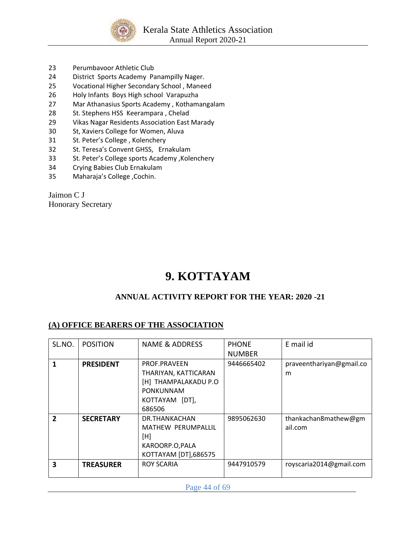

- 23 Perumbavoor Athletic Club
- 24 District Sports Academy Panampilly Nager.
- 25 Vocational Higher Secondary School , Maneed
- 26 Holy Infants Boys High school Varapuzha
- 27 Mar Athanasius Sports Academy , Kothamangalam
- 28 St. Stephens HSS Keerampara, Chelad
- 29 Vikas Nagar Residents Association East Marady
- 30 St, Xaviers College for Women, Aluva
- 31 St. Peter's College , Kolenchery
- 32 St. Teresa's Convent GHSS, Ernakulam
- 33 St. Peter's College sports Academy ,Kolenchery
- 34 Crying Babies Club Ernakulam
- 35 Maharaja's College ,Cochin.

Jaimon C J Honorary Secretary

# **9. KOTTAYAM**

# **ANNUAL ACTIVITY REPORT FOR THE YEAR: 2020 -21**

## **(A) OFFICE BEARERS OF THE ASSOCIATION**

| SL.NO.       | <b>POSITION</b>  | NAME & ADDRESS            | <b>PHONE</b>  | E mail id                |
|--------------|------------------|---------------------------|---------------|--------------------------|
|              |                  |                           | <b>NUMBER</b> |                          |
| 1            | <b>PRESIDENT</b> | <b>PROF.PRAVEEN</b>       | 9446665402    | praveenthariyan@gmail.co |
|              |                  | THARIYAN, KATTICARAN      |               | m                        |
|              |                  | [H] THAMPALAKADU P.O      |               |                          |
|              |                  | <b>PONKUNNAM</b>          |               |                          |
|              |                  | KOTTAYAM [DT],            |               |                          |
|              |                  | 686506                    |               |                          |
| $\mathbf{2}$ | <b>SECRETARY</b> | DR.THANKACHAN             | 9895062630    | thankachan8mathew@gm     |
|              |                  | <b>MATHEW PERUMPALLIL</b> |               | ail.com                  |
|              |                  | [H]                       |               |                          |
|              |                  | KAROORP.O, PALA           |               |                          |
|              |                  | KOTTAYAM [DT],686575      |               |                          |
| 3            | <b>TREASURER</b> | <b>ROY SCARIA</b>         | 9447910579    | royscaria2014@gmail.com  |
|              |                  |                           |               |                          |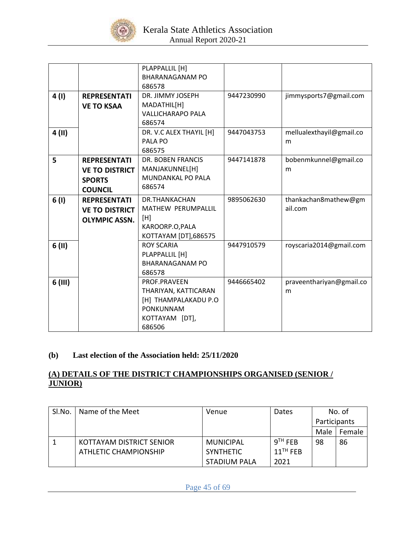

|           |                       | PLAPPALLIL [H]            |            |                          |
|-----------|-----------------------|---------------------------|------------|--------------------------|
|           |                       | <b>BHARANAGANAM PO</b>    |            |                          |
|           |                       | 686578                    |            |                          |
| 4(1)      | <b>REPRESENTATI</b>   | DR. JIMMY JOSEPH          | 9447230990 | jimmysports7@gmail.com   |
|           | <b>VE TO KSAA</b>     | MADATHIL[H]               |            |                          |
|           |                       | <b>VALLICHARAPO PALA</b>  |            |                          |
|           |                       | 686574                    |            |                          |
| 4 (II)    |                       | DR. V.C ALEX THAYIL [H]   | 9447043753 | mellualexthayil@gmail.co |
|           |                       | PALA PO                   |            | m                        |
|           |                       | 686575                    |            |                          |
| 5         | <b>REPRESENTATI</b>   | <b>DR. BOBEN FRANCIS</b>  | 9447141878 | bobenmkunnel@gmail.co    |
|           | <b>VE TO DISTRICT</b> | MANJAKUNNEL[H]            |            | m                        |
|           | <b>SPORTS</b>         | <b>MUNDANKAL PO PALA</b>  |            |                          |
|           | <b>COUNCIL</b>        | 686574                    |            |                          |
| 6(1)      | <b>REPRESENTATI</b>   | DR.THANKACHAN             | 9895062630 | thankachan8mathew@gm     |
|           | <b>VE TO DISTRICT</b> | <b>MATHEW PERUMPALLIL</b> |            | ail.com                  |
|           | <b>OLYMPIC ASSN.</b>  | [H]                       |            |                          |
|           |                       | KAROORP.O, PALA           |            |                          |
|           |                       | KOTTAYAM [DT],686575      |            |                          |
| 6(11)     |                       | <b>ROY SCARIA</b>         | 9447910579 | royscaria2014@gmail.com  |
|           |                       | PLAPPALLIL [H]            |            |                          |
|           |                       | <b>BHARANAGANAM PO</b>    |            |                          |
|           |                       | 686578                    |            |                          |
| $6$ (III) |                       | PROF.PRAVEEN              | 9446665402 | praveenthariyan@gmail.co |
|           |                       | THARIYAN, KATTICARAN      |            | m                        |
|           |                       | [H] THAMPALAKADU P.O      |            |                          |
|           |                       | PONKUNNAM                 |            |                          |
|           |                       | KOTTAYAM [DT],            |            |                          |
|           |                       | 686506                    |            |                          |

# **(b) Last election of the Association held: 25/11/2020**

## **(A) DETAILS OF THE DISTRICT CHAMPIONSHIPS ORGANISED (SENIOR / JUNIOR)**

| SI.No. | Name of the Meet         | Venue               | Dates                  |              | No. of |
|--------|--------------------------|---------------------|------------------------|--------------|--------|
|        |                          |                     |                        | Participants |        |
|        |                          |                     |                        | Male         | Female |
|        | KOTTAYAM DISTRICT SENIOR | MUNICIPAL           | $9TH$ FEB              | 98           | 86     |
|        | ATHLETIC CHAMPIONSHIP    | <b>SYNTHETIC</b>    | $11$ <sup>TH</sup> FEB |              |        |
|        |                          | <b>STADIUM PALA</b> | 2021                   |              |        |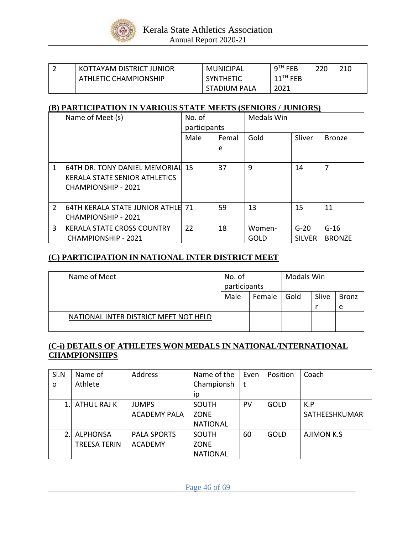

| ∽ | KOTTAYAM DISTRICT JUNIOR | <b>MUNICIPAL</b> | $9TH$ FEB              | 220 | 21C |
|---|--------------------------|------------------|------------------------|-----|-----|
|   | ATHLETIC CHAMPIONSHIP    | <b>SYNTHETIC</b> | $11$ <sup>TH</sup> FEB |     |     |
|   |                          | STADIUM PALA     | 2021                   |     |     |

## **(B) PARTICIPATION IN VARIOUS STATE MEETS (SENIORS / JUNIORS)**

|                | Name of Meet (s)                                                                                | No. of       |       | <b>Medals Win</b> |                         |                         |
|----------------|-------------------------------------------------------------------------------------------------|--------------|-------|-------------------|-------------------------|-------------------------|
|                |                                                                                                 | participants |       |                   |                         |                         |
|                |                                                                                                 | Male         | Femal | Gold              | Sliver                  | <b>Bronze</b>           |
|                |                                                                                                 |              | e     |                   |                         |                         |
| 1              | 64TH DR. TONY DANIEL MEMORIAL 15<br>KERALA STATE SENIOR ATHLETICS<br><b>CHAMPIONSHIP - 2021</b> |              | 37    | 9                 | 14                      | 7                       |
| $\overline{2}$ | <b>64TH KERALA STATE JUNIOR ATHLE 71</b><br><b>CHAMPIONSHIP - 2021</b>                          |              | 59    | 13                | 15                      | 11                      |
| 3              | <b>KERALA STATE CROSS COUNTRY</b><br><b>CHAMPIONSHIP - 2021</b>                                 | 22           | 18    | Women-<br>GOLD    | $G-20$<br><b>SILVER</b> | $G-16$<br><b>BRONZE</b> |

# **(C) PARTICIPATION IN NATIONAL INTER DISTRICT MEET**

| Name of Meet                          | No. of       |        | <b>Modals Win</b> |       |              |
|---------------------------------------|--------------|--------|-------------------|-------|--------------|
|                                       | participants |        |                   |       |              |
|                                       | Male         | Female | Gold              | Slive | <b>Bronz</b> |
|                                       |              |        |                   |       | e            |
| NATIONAL INTER DISTRICT MEET NOT HELD |              |        |                   |       |              |

# **(C-i) DETAILS OF ATHLETES WON MEDALS IN NATIONAL/INTERNATIONAL CHAMPIONSHIPS**

| SI.N     | Name of             | Address             | Name of the     | Even | Position    | Coach             |
|----------|---------------------|---------------------|-----------------|------|-------------|-------------------|
| $\Omega$ | Athlete             |                     | Championsh      |      |             |                   |
|          |                     |                     | ip              |      |             |                   |
|          | ATHUL RAJ K         | <b>JUMPS</b>        | SOUTH           | PV   | GOLD        | K.P               |
|          |                     | <b>ACADEMY PALA</b> | ZONE            |      |             | SATHEESHKUMAR     |
|          |                     |                     | <b>NATIONAL</b> |      |             |                   |
|          | <b>ALPHONSA</b>     | <b>PALA SPORTS</b>  | <b>SOUTH</b>    | 60   | <b>GOLD</b> | <b>AJIMON K.S</b> |
|          | <b>TREESA TERIN</b> | <b>ACADEMY</b>      | <b>ZONE</b>     |      |             |                   |
|          |                     |                     | <b>NATIONAL</b> |      |             |                   |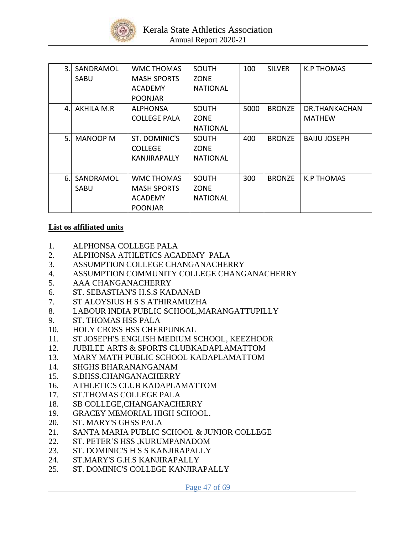

| 3. | SANDRAMOL<br>SABU | WMC THOMAS<br><b>MASH SPORTS</b><br><b>ACADEMY</b><br><b>POONJAR</b> | <b>SOUTH</b><br><b>ZONE</b><br><b>NATIONAL</b> | 100  | <b>SILVER</b> | K.P THOMAS                     |
|----|-------------------|----------------------------------------------------------------------|------------------------------------------------|------|---------------|--------------------------------|
| 4. | AKHILA M.R        | <b>ALPHONSA</b><br><b>COLLEGE PALA</b>                               | SOUTH<br><b>ZONE</b><br><b>NATIONAL</b>        | 5000 | <b>BRONZE</b> | DR.THANKACHAN<br><b>MATHEW</b> |
| 5. | <b>MANOOP M</b>   | ST. DOMINIC'S<br><b>COLLEGE</b><br>KANJIRAPALLY                      | SOUTH<br><b>ZONE</b><br><b>NATIONAL</b>        | 400  | <b>BRONZE</b> | <b>BAIJU JOSEPH</b>            |
| 6. | SANDRAMOL<br>SABU | WMC THOMAS<br><b>MASH SPORTS</b><br><b>ACADEMY</b><br><b>POONJAR</b> | <b>SOUTH</b><br><b>ZONE</b><br><b>NATIONAL</b> | 300  | <b>BRONZE</b> | K.P THOMAS                     |

# **List os affiliated units**

- 1. ALPHONSA COLLEGE PALA
- 2. ALPHONSA ATHLETICS ACADEMY PALA
- 3. ASSUMPTION COLLEGE CHANGANACHERRY
- 4. ASSUMPTION COMMUNITY COLLEGE CHANGANACHERRY
- 5. AAA CHANGANACHERRY
- 6. ST. SEBASTIAN'S H.S.S KADANAD
- 7. ST ALOYSIUS H S S ATHIRAMUZHA
- 8. LABOUR INDIA PUBLIC SCHOOL,MARANGATTUPILLY
- 9. ST. THOMAS HSS PALA
- 10. HOLY CROSS HSS CHERPUNKAL
- 11. ST JOSEPH'S ENGLISH MEDIUM SCHOOL, KEEZHOOR
- 12. JUBILEE ARTS & SPORTS CLUBKADAPLAMATTOM
- 13. MARY MATH PUBLIC SCHOOL KADAPLAMATTOM
- 14. SHGHS BHARANANGANAM
- 15. S.BHSS.CHANGANACHERRY
- 16. ATHLETICS CLUB KADAPLAMATTOM
- 17. ST.THOMAS COLLEGE PALA
- 18. SB COLLEGE,CHANGANACHERRY
- 19. GRACEY MEMORIAL HIGH SCHOOL.
- 20. ST. MARY'S GHSS PALA
- 21. SANTA MARIA PUBLIC SCHOOL & JUNIOR COLLEGE
- 22. ST. PETER'S HSS ,KURUMPANADOM
- 23. ST. DOMINIC'S H S S KANJIRAPALLY
- 24. ST.MARY'S G.H.S KANJIRAPALLY
- 25. ST. DOMINIC'S COLLEGE KANJIRAPALLY

Page 47 of 69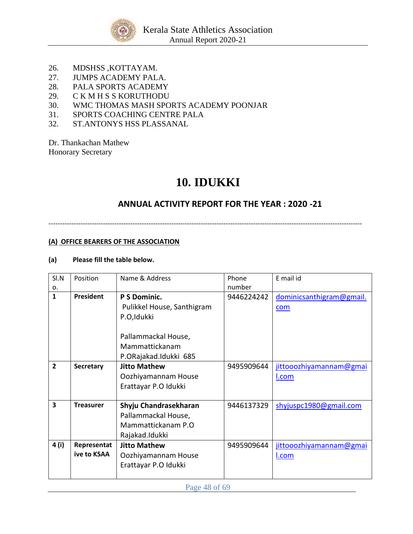

- 26. MDSHSS ,KOTTAYAM.
- 27. JUMPS ACADEMY PALA.
- 28. PALA SPORTS ACADEMY
- 29. C K M H S S KORUTHODU
- 30. WMC THOMAS MASH SPORTS ACADEMY POONJAR
- 31. SPORTS COACHING CENTRE PALA
- 32. ST.ANTONYS HSS PLASSANAL

Dr. Thankachan Mathew Honorary Secretary

# **10. IDUKKI**

# **ANNUAL ACTIVITY REPORT FOR THE YEAR : 2020 -21**

------------------------------------------------------------------------------------------------------------------------------------------

## **(A) OFFICE BEARERS OF THE ASSOCIATION**

### **(a) Please fill the table below.**

| SI.N           | Position         | Name & Address             | Phone      | E mail id                |
|----------------|------------------|----------------------------|------------|--------------------------|
| 0.             |                  |                            | number     |                          |
| $\mathbf{1}$   | <b>President</b> | P S Dominic.               | 9446224242 | dominicsanthigram@gmail. |
|                |                  | Pulikkel House, Santhigram |            | com                      |
|                |                  | P.O,Idukki                 |            |                          |
|                |                  |                            |            |                          |
|                |                  | Pallammackal House,        |            |                          |
|                |                  | Mammattickanam             |            |                          |
|                |                  | P.ORajakad.Idukki 685      |            |                          |
| $\overline{2}$ | <b>Secretary</b> | <b>Jitto Mathew</b>        | 9495909644 | jittooozhiyamannam@gmai  |
|                |                  | Oozhiyamannam House        |            | <u>l.com</u>             |
|                |                  | Erattayar P.O Idukki       |            |                          |
|                |                  |                            |            |                          |
| 3              | <b>Treasurer</b> | Shyju Chandrasekharan      | 9446137329 | shyjuspc1980@gmail.com   |
|                |                  | Pallammackal House,        |            |                          |
|                |                  | Mammattickanam P.O.        |            |                          |
|                |                  | Rajakad.Idukki             |            |                          |
| 4 (i)          | Representat      | <b>Jitto Mathew</b>        | 9495909644 | jittooozhiyamannam@gmai  |
|                | ive to KSAA      | Oozhiyamannam House        |            | <u>l.com</u>             |
|                |                  | Erattayar P.O Idukki       |            |                          |
|                |                  |                            |            |                          |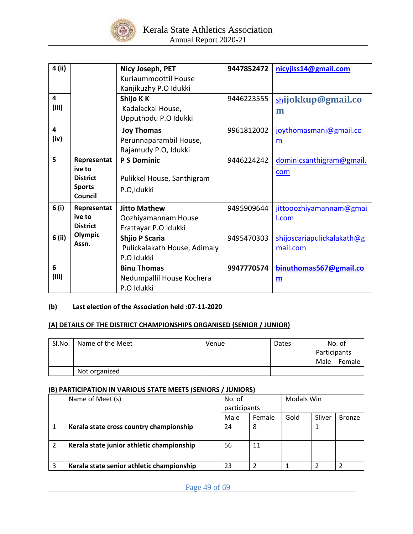

| 4 (ii) |                 | Nicy Joseph, PET             | 9447852472 | nicyjiss14@gmail.com       |
|--------|-----------------|------------------------------|------------|----------------------------|
|        |                 |                              |            |                            |
|        |                 | Kuriaummoottil House         |            |                            |
|        |                 | Kanjikuzhy P.O Idukki        |            |                            |
| 4      |                 | Shijo K K                    | 9446223555 | shijokkup@gmail.co         |
| (iii)  |                 | Kadalackal House,            |            | m                          |
|        |                 | Upputhodu P.O Idukki         |            |                            |
| 4      |                 | <b>Joy Thomas</b>            | 9961812002 | joythomasmani@gmail.co     |
| (iv)   |                 | Perunnaparambil House,       |            | m                          |
|        |                 | Rajamudy P.O, Idukki         |            |                            |
| 5      | Representat     | <b>P S Dominic</b>           | 9446224242 | dominicsanthigram@gmail.   |
|        | ive to          |                              |            | com                        |
|        | <b>District</b> | Pulikkel House, Santhigram   |            |                            |
|        | <b>Sports</b>   | P.O,Idukki                   |            |                            |
|        | <b>Council</b>  |                              |            |                            |
| 6 (i)  | Representat     | <b>Jitto Mathew</b>          | 9495909644 | jittooozhiyamannam@gmai    |
|        | ive to          | Oozhiyamannam House          |            | I.com                      |
|        | <b>District</b> | Erattayar P.O Idukki         |            |                            |
| 6 (ii) | Olympic         | <b>Shjio P Scaria</b>        | 9495470303 | shijoscariapulickalakath@g |
|        | Assn.           | Pulickalakath House, Adimaly |            | mail.com                   |
|        |                 | P.O Idukki                   |            |                            |
|        |                 |                              |            |                            |
| 6      |                 | <b>Binu Thomas</b>           | 9947770574 | binuthomas567@gmail.co     |
| (iii)  |                 | Nedumpallil House Kochera    |            | m                          |
|        |                 | P.O Idukki                   |            |                            |

# **(b) Last election of the Association held :07-11-2020**

#### **(A) DETAILS OF THE DISTRICT CHAMPIONSHIPS ORGANISED (SENIOR / JUNIOR)**

| Sl.No. | Name of the Meet | Venue | Dates |              | No. of |
|--------|------------------|-------|-------|--------------|--------|
|        |                  |       |       | Participants |        |
|        |                  |       |       | Male         | Female |
|        | Not organized    |       |       |              |        |

### **(B) PARTICIPATION IN VARIOUS STATE MEETS (SENIORS / JUNIORS)**

| Name of Meet (s)                          | No. of       |        | Modals Win |        |               |
|-------------------------------------------|--------------|--------|------------|--------|---------------|
|                                           | participants |        |            |        |               |
|                                           | Male         | Female | Gold       | Sliver | <b>Bronze</b> |
| Kerala state cross country championship   | 24           | 8      |            |        |               |
| Kerala state junior athletic championship | 56           | 11     |            |        |               |
| Kerala state senior athletic championship | 23           |        |            |        |               |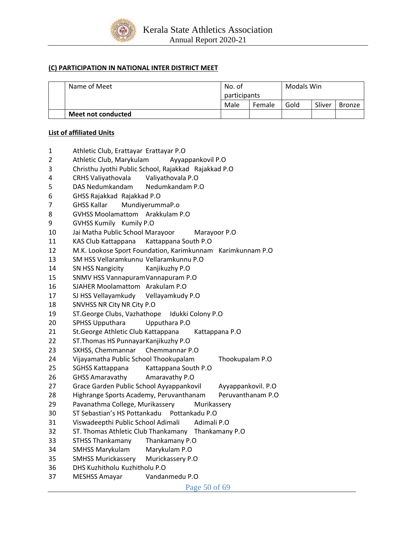

#### **(C) PARTICIPATION IN NATIONAL INTER DISTRICT MEET**

| Name of Meet       | No. of<br>participants |        | Modals Win |        |        |
|--------------------|------------------------|--------|------------|--------|--------|
|                    |                        |        |            |        |        |
|                    | Male                   | Female | Gold       | Sliver | Bronze |
| Meet not conducted |                        |        |            |        |        |

#### **List of affiliated Units**

- Athletic Club, Erattayar Erattayar P.O
- Athletic Club, Marykulam Ayyappankovil P.O
- Christhu Jyothi Public School, Rajakkad Rajakkad P.O
- CRHS Valiyathovala Valiyathovala P.O
- DAS Nedumkandam Nedumkandam P.O
- GHSS Rajakkad Rajakkad P.O
- GHSS Kallar MundiyerummaP.o
- GVHSS Moolamattom Arakkulam P.O
- GVHSS Kumily Kumily P.O
- Jai Matha Public School Marayoor Marayoor P.O
- KAS Club Kattappana Kattappana South P.O
- M.K. Lookose Sport Foundation, Karimkunnam Karimkunnam P.O
- SM HSS Vellaramkunnu Vellaramkunnu P.O
- SN HSS Nangicity Kanjikuzhy P.O
- SNMV HSS VannapuramVannapuram P.O
- SJAHER Moolamattom Arakulam P.O
- SJ HSS Vellayamkudy Vellayamkudy P.O
- SNVHSS NR City NR City P.O
- ST.George Clubs, Vazhathope Idukki Colony P.O
- SPHSS Upputhara Upputhara P.O
- St.George Athletic Club Kattappana Kattappana P.O
- ST.Thomas HS PunnayarKanjikuzhy P.O
- SXHSS, Chemmannar Chemmannar P.O
- Vijayamatha Public School Thookupalam Thookupalam P.O
- SGHSS Kattappana Kattappana South P.O
- GHSS Amaravathy Amaravathy P.O
- 27 Grace Garden Public School Ayyappankovil Ayyappankovil. P.O
- 28 Highrange Sports Academy, Peruvanthanam Peruvanthanam P.O
- Pavanathma College, Murikassery Murikassery
- ST Sebastian's HS Pottankadu Pottankadu P.O
- Viswadeepthi Public School Adimali Adimali P.O
- ST. Thomas Athletic Club Thankamany Thankamany P.O
- STHSS Thankamany Thankamany P.O
- SMHSS Marykulam Marykulam P.O
- SMHSS Murickassery Murickassery P.O
- DHS Kuzhitholu Kuzhitholu P.O
- MESHSS Amayar Vandanmedu P.O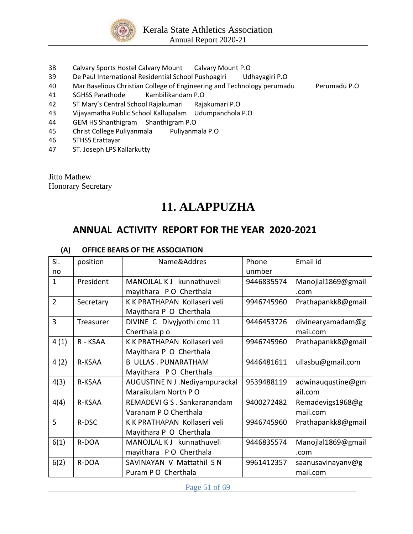

- 38 Calvary Sports Hostel Calvary Mount Calvary Mount P.O
- 39 De Paul International Residential School Pushpagiri Udhayagiri P.O
- 40 Mar Baselious Christian College of Engineering and Technology perumadu Perumadu P.O
- 41 SGHSS Parathode Kambilikandam P.O
- 42 ST Mary's Central School Rajakumari Rajakumari P.O
- 43 Vijayamatha Public School Kallupalam Udumpanchola P.O
- 44 GEM HS Shanthigram Shanthigram P.O
- 45 Christ College Puliyanmala Puliyanmala P.O
- 46 STHSS Erattayar
- 47 ST. Joseph LPS Kallarkutty

Jitto Mathew Honorary Secretary

# **11. ALAPPUZHA**

# **ANNUAL ACTIVITY REPORT FOR THE YEAR 2020-2021**

### **(A) OFFICE BEARS OF THE ASSOCIATION**

| SI.            | position  | Name&Addres                    | Phone      | Email id           |
|----------------|-----------|--------------------------------|------------|--------------------|
| no             |           |                                | unmber     |                    |
| $\mathbf{1}$   | President | MANOJLAL K J kunnathuveli      | 9446835574 | Manojlal1869@gmail |
|                |           | mayithara PO Cherthala         |            | .com               |
| $\overline{2}$ | Secretary | K K PRATHAPAN Kollaseri veli   | 9946745960 | Prathapankk8@gmail |
|                |           | Mayithara P O Cherthala        |            |                    |
| 3              | Treasurer | DIVINE C Divyjyothi cmc 11     | 9446453726 | divinearyamadam@g  |
|                |           | Cherthala p o                  |            | mail.com           |
| 4(1)           | R - KSAA  | K K PRATHAPAN Kollaseri veli   | 9946745960 | Prathapankk8@gmail |
|                |           | Mayithara P O Cherthala        |            |                    |
| 4(2)           | R-KSAA    | <b>B ULLAS. PUNARATHAM</b>     | 9446481611 | ullasbu@gmail.com  |
|                |           | Mayithara PO Cherthala         |            |                    |
| 4(3)           | R-KSAA    | AUGUSTINE N J .Nediyampurackal | 9539488119 | adwinauqustine@gm  |
|                |           | Maraikulam North PO            |            | ail.com            |
| 4(4)           | R-KSAA    | REMADEVI G S . Sankaranandam   | 9400272482 | Remadevigs1968@g   |
|                |           | Varanam P O Cherthala          |            | mail.com           |
| 5              | R-DSC     | K K PRATHAPAN Kollaseri veli   | 9946745960 | Prathapankk8@gmail |
|                |           | Mayithara P O Cherthala        |            |                    |
| 6(1)           | R-DOA     | MANOJLAL K J kunnathuveli      | 9446835574 | Manojlal1869@gmail |
|                |           | mayithara PO Cherthala         |            | .com               |
| 6(2)           | R-DOA     | SAVINAYAN V Mattathil S N      | 9961412357 | saanusavinayanv@g  |
|                |           | Puram P O Cherthala            |            | mail.com           |

Page 51 of 69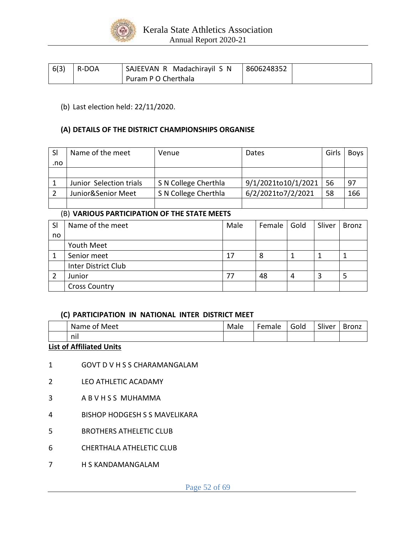

| 6(3) | R-DOA | SAJEEVAN R Madachirayil S N | 8606248352 |  |
|------|-------|-----------------------------|------------|--|
|      |       | Puram P O Cherthala         |            |  |

(b) Last election held: 22/11/2020.

### **(A) DETAILS OF THE DISTRICT CHAMPIONSHIPS ORGANISE**

| <b>SI</b> | Name of the meet        | Venue                | Dates               | Girls | <b>Boys</b> |
|-----------|-------------------------|----------------------|---------------------|-------|-------------|
| .no       |                         |                      |                     |       |             |
|           |                         |                      |                     |       |             |
|           | Junior Selection trials | S N College Cherthla | 9/1/2021to10/1/2021 | 56    | 97          |
|           | Junior&Senior Meet      | S N College Cherthla | 6/2/2021to7/2/2021  | 58    | 166         |
|           |                         |                      |                     |       |             |

### (B) **VARIOUS PARTICIPATION OF THE STATE MEETS**

| <b>SI</b> | Name of the meet     | Male | Female | Gold | Sliver | <b>Bronz</b> |
|-----------|----------------------|------|--------|------|--------|--------------|
| no        |                      |      |        |      |        |              |
|           | Youth Meet           |      |        |      |        |              |
|           | Senior meet          | 17   | 8      |      |        |              |
|           | Inter District Club  |      |        |      |        |              |
|           | Junior               | 77   | 48     | 4    |        |              |
|           | <b>Cross Country</b> |      |        |      |        |              |

### **(C) PARTICIPATION IN NATIONAL INTER DISTRICT MEET**

| Meet<br>Name.<br>0t | Male | Female | Gold<br>$\sim$ | $\sim$ $\cdot$<br>Sliver | <b>Bronz</b> |
|---------------------|------|--------|----------------|--------------------------|--------------|
| $\bullet$ 1<br>nil  |      |        |                |                          |              |

### **List of Affiliated Units**

- 1 GOVT D V H S S CHARAMANGALAM
- 2 LEO ATHLETIC ACADAMY
- 3 A B V H S S MUHAMMA
- 4 BISHOP HODGESH S S MAVELIKARA
- 5 BROTHERS ATHELETIC CLUB
- 6 CHERTHALA ATHELETIC CLUB
- 7 H S KANDAMANGALAM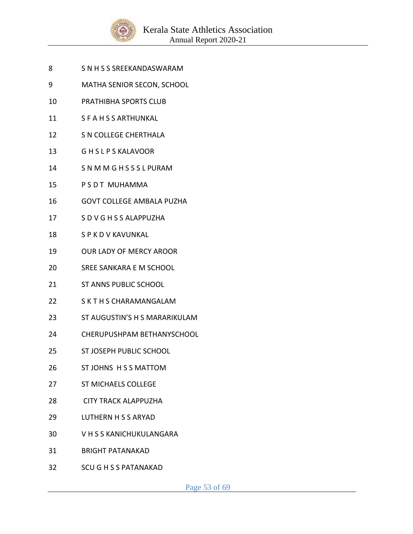

- S N H S S SREEKANDASWARAM
- MATHA SENIOR SECON, SCHOOL
- PRATHIBHA SPORTS CLUB
- S F A H S S ARTHUNKAL
- S N COLLEGE CHERTHALA
- G H S L P S KALAVOOR
- S N M M G H S S S L PURAM
- 15 P S D T MUHAMMA
- GOVT COLLEGE AMBALA PUZHA
- 17 S D V G H S S ALAPPUZHA
- S P K D V KAVUNKAL
- OUR LADY OF MERCY AROOR
- SREE SANKARA E M SCHOOL
- ST ANNS PUBLIC SCHOOL
- S K T H S CHARAMANGALAM
- ST AUGUSTIN'S H S MARARIKULAM
- CHERUPUSHPAM BETHANYSCHOOL
- ST JOSEPH PUBLIC SCHOOL
- ST JOHNS H S S MATTOM
- ST MICHAELS COLLEGE
- CITY TRACK ALAPPUZHA
- 29 LUTHERN H S S ARYAD
- 30 V H S S KANICHUKULANGARA
- BRIGHT PATANAKAD
- SCU G H S S PATANAKAD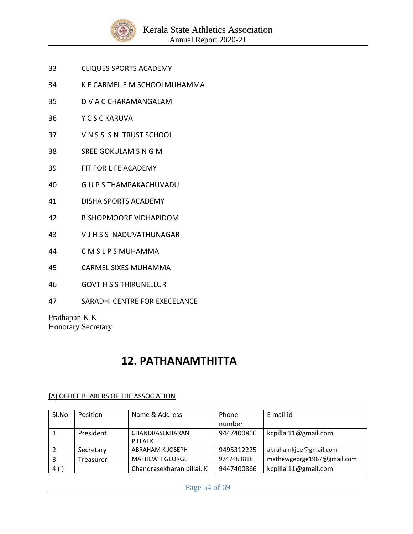

- 33 CLIQUES SPORTS ACADEMY
- 34 K E CARMEL E M SCHOOLMUHAMMA
- 35 D V A C CHARAMANGALAM
- 36 Y C S C KARUVA
- 37 V N S S S N TRUST SCHOOL
- 38 SREE GOKULAM S N G M
- 39 FIT FOR LIFE ACADEMY
- 40 G U P S THAMPAKACHUVADU
- 41 DISHA SPORTS ACADEMY
- 42 BISHOPMOORE VIDHAPIDOM
- 43 V J H S S NADUVATHUNAGAR
- 44 C M S L P S MUHAMMA
- 45 CARMEL SIXES MUHAMMA
- 46 GOVT H S S THIRUNELLUR
- 47 SARADHI CENTRE FOR EXECELANCE

Prathapan K K Honorary Secretary

# **12. PATHANAMTHITTA**

| Sl.No. | Position  | Name & Address            | Phone      | E mail id                  |
|--------|-----------|---------------------------|------------|----------------------------|
|        |           |                           | number     |                            |
|        | President | CHANDRASEKHARAN           | 9447400866 | kcpillai11@gmail.com       |
|        |           | PILLAI.K                  |            |                            |
|        | Secretary | ABRAHAM K JOSEPH          | 9495312225 | abrahamkjoe@gmail.com      |
|        | Treasurer | <b>MATHEW T GEORGE</b>    | 9747463818 | mathewgeorge1967@gmail.com |
| 4 (i)  |           | Chandrasekharan pillai. K | 9447400866 | kcpillai11@gmail.com       |

### **(**A) OFFICE BEARERS OF THE ASSOCIATION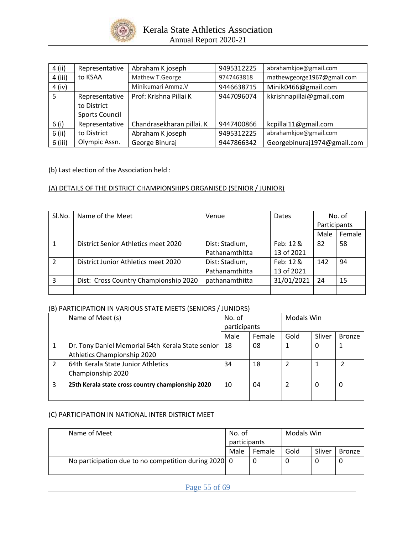

| 4 (ii)    | Representative        | Abraham K joseph          | 9495312225 | abrahamkjoe@gmail.com       |
|-----------|-----------------------|---------------------------|------------|-----------------------------|
| $4$ (iii) | to KSAA               | Mathew T.George           | 9747463818 | mathewgeorge1967@gmail.com  |
| $4$ (iv)  |                       | Minikumari Amma.V         | 9446638715 | Minik0466@gmail.com         |
| 5         | Representative        | Prof: Krishna Pillai K    | 9447096074 | kkrishnapillai@gmail.com    |
|           | to District           |                           |            |                             |
|           | <b>Sports Council</b> |                           |            |                             |
| 6(i)      | Representative        | Chandrasekharan pillai. K | 9447400866 | kcpillai11@gmail.com        |
| $6$ (ii)  | to District           | Abraham K joseph          | 9495312225 | abrahamkjoe@gmail.com       |
| $6$ (iii) | Olympic Assn.         | George Binuraj            | 9447866342 | Georgebinuraj1974@gmail.com |

(b) Last election of the Association held :

### (A) DETAILS OF THE DISTRICT CHAMPIONSHIPS ORGANISED (SENIOR / JUNIOR)

| Sl.No.         | Name of the Meet                      | Venue          | Dates      | No. of       |        |
|----------------|---------------------------------------|----------------|------------|--------------|--------|
|                |                                       |                |            | Participants |        |
|                |                                       |                |            | Male         | Female |
|                | District Senior Athletics meet 2020   | Dist: Stadium, | Feb: 12 &  | 82           | 58     |
|                |                                       | Pathanamthitta | 13 of 2021 |              |        |
| $\mathfrak{p}$ | District Junior Athletics meet 2020   | Dist: Stadium, | Feb: 12 &  | 142          | 94     |
|                |                                       | Pathanamthitta | 13 of 2021 |              |        |
| 3              | Dist: Cross Country Championship 2020 | pathanamthitta | 31/01/2021 | 24           | 15     |
|                |                                       |                |            |              |        |

#### (B) PARTICIPATION IN VARIOUS STATE MEETS (SENIORS / JUNIORS)

|                | Name of Meet (s)                                  |              | No. of |      | Modals Win |               |
|----------------|---------------------------------------------------|--------------|--------|------|------------|---------------|
|                |                                                   | participants |        |      |            |               |
|                |                                                   | Male         | Female | Gold | Sliver     | <b>Bronze</b> |
|                | Dr. Tony Daniel Memorial 64th Kerala State senior | 18           | 08     |      | O          |               |
|                | Athletics Championship 2020                       |              |        |      |            |               |
| $\mathfrak{p}$ | 64th Kerala State Junior Athletics                | 34           | 18     | 2    |            |               |
|                | Championship 2020                                 |              |        |      |            |               |
| 3              | 25th Kerala state cross country championship 2020 |              | 04     |      | 0          | 0             |
|                |                                                   |              |        |      |            |               |

#### (C) PARTICIPATION IN NATIONAL INTER DISTRICT MEET

| Name of Meet                                         | No. of       |        | Modals Win |        |               |
|------------------------------------------------------|--------------|--------|------------|--------|---------------|
|                                                      | participants |        |            |        |               |
|                                                      | Male         | Female | Gold       | Sliver | <b>Bronze</b> |
| No participation due to no competition during 2020 0 |              | C      |            |        |               |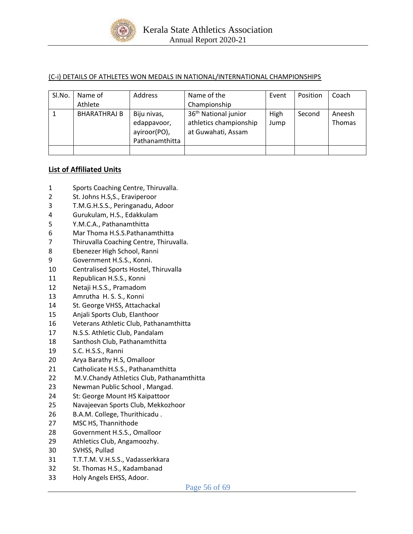

### (C-i) DETAILS OF ATHLETES WON MEDALS IN NATIONAL/INTERNATIONAL CHAMPIONSHIPS

| Sl.No. | Name of             | Address                                                      | Name of the                                                                      | Event        | Position | Coach            |
|--------|---------------------|--------------------------------------------------------------|----------------------------------------------------------------------------------|--------------|----------|------------------|
|        | Athlete             |                                                              | Championship                                                                     |              |          |                  |
|        | <b>BHARATHRAJ B</b> | Biju nivas,<br>edappavoor,<br>ayiroor(PO),<br>Pathanamthitta | 36 <sup>th</sup> National junior<br>athletics championship<br>at Guwahati, Assam | High<br>Jump | Second   | Aneesh<br>Thomas |
|        |                     |                                                              |                                                                                  |              |          |                  |

### **List of Affiliated Units**

- Sports Coaching Centre, Thiruvalla.
- St. Johns H.S,S., Eraviperoor
- T.M.G.H.S.S., Peringanadu, Adoor
- Gurukulam, H.S., Edakkulam
- Y.M.C.A., Pathanamthitta
- Mar Thoma H.S.S.Pathanamthitta
- Thiruvalla Coaching Centre, Thiruvalla.
- Ebenezer High School, Ranni
- Government H.S.S., Konni.
- Centralised Sports Hostel, Thiruvalla
- Republican H.S.S., Konni
- Netaji H.S.S., Pramadom
- Amrutha H. S. S., Konni
- St. George VHSS, Attachackal
- Anjali Sports Club, Elanthoor
- Veterans Athletic Club, Pathanamthitta
- N.S.S. Athletic Club, Pandalam
- Santhosh Club, Pathanamthitta
- S.C. H.S.S., Ranni
- Arya Barathy H.S, Omalloor
- Catholicate H.S.S., Pathanamthitta
- M.V.Chandy Athletics Club, Pathanamthitta
- Newman Public School , Mangad.
- St: George Mount HS Kaipattoor
- Navajeevan Sports Club, Mekkozhoor
- B.A.M. College, Thurithicadu .
- MSC HS, Thannithode
- Government H.S.S., Omalloor
- Athletics Club, Angamoozhy.
- SVHSS, Pullad
- T.T.T.M. V.H.S.S., Vadasserkkara
- St. Thomas H.S., Kadambanad
- Holy Angels EHSS, Adoor.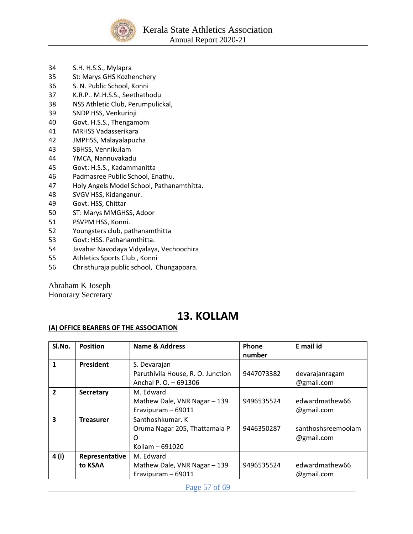

- 34 S.H. H.S.S., Mylapra
- 35 St: Marys GHS Kozhenchery
- 36 S. N. Public School, Konni
- 37 K.R.P.. M.H.S.S., Seethathodu
- 38 NSS Athletic Club, Perumpulickal,
- 39 SNDP HSS, Venkurinji
- 40 Govt. H.S.S., Thengamom
- 41 MRHSS Vadasserikara
- 42 JMPHSS, Malayalapuzha
- 43 SBHSS, Vennikulam
- 44 YMCA, Nannuvakadu
- 45 Govt: H.S.S., Kadammanitta
- 46 Padmasree Public School, Enathu.
- 47 Holy Angels Model School, Pathanamthitta.
- 48 SVGV HSS, Kidanganur.
- 49 Govt. HSS, Chittar
- 50 ST: Marys MMGHSS, Adoor
- 51 PSVPM HSS, Konni.
- 52 Youngsters club, pathanamthitta
- 53 Govt: HSS. Pathanamthitta.
- 54 Javahar Navodaya Vidyalaya, Vechoochira
- 55 Athletics Sports Club , Konni
- 56 Christhuraja public school, Chungappara.

Abraham K Joseph Honorary Secretary

# **13. KOLLAM**

### **(A) OFFICE BEARERS OF THE ASSOCIATION**

| SI.No.                  | <b>Position</b>  | <b>Name &amp; Address</b>         | Phone      | E mail id          |
|-------------------------|------------------|-----------------------------------|------------|--------------------|
|                         |                  |                                   | number     |                    |
| 1                       | President        | S. Devarajan                      |            |                    |
|                         |                  | Paruthivila House, R. O. Junction | 9447073382 | devarajanragam     |
|                         |                  | Anchal P. O. - 691306             |            | @gmail.com         |
| $\overline{\mathbf{z}}$ | <b>Secretary</b> | M. Edward                         |            |                    |
|                         |                  | Mathew Dale, VNR Nagar - 139      | 9496535524 | edwardmathew66     |
|                         |                  | Eravipuram - 69011                |            | @gmail.com         |
| 3                       | <b>Treasurer</b> | Santhoshkumar, K                  |            |                    |
|                         |                  | Oruma Nagar 205, Thattamala P     | 9446350287 | santhoshsreemoolam |
|                         |                  | $\Omega$                          |            | @gmail.com         |
|                         |                  | Kollam - 691020                   |            |                    |
| 4 (i)                   | Representative   | M. Edward                         |            |                    |
|                         | to KSAA          | Mathew Dale, VNR Nagar - 139      | 9496535524 | edwardmathew66     |
|                         |                  | Eravipuram - 69011                |            | @gmail.com         |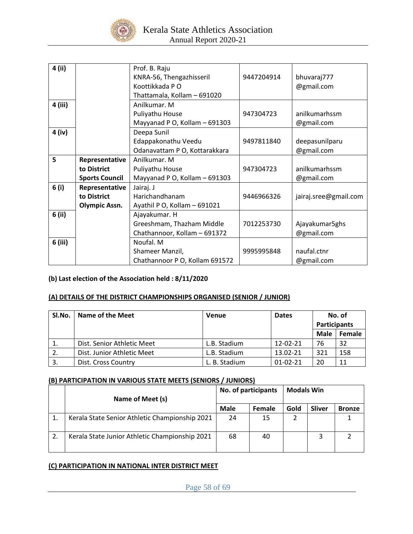

| 4 (ii)  |                       | Prof. B. Raju                  |            |                       |
|---------|-----------------------|--------------------------------|------------|-----------------------|
|         |                       | KNRA-56, Thengazhisseril       | 9447204914 | bhuvaraj777           |
|         |                       | Koottikkada PO                 |            | @gmail.com            |
|         |                       | Thattamala, Kollam - 691020    |            |                       |
| 4 (iii) |                       | Anilkumar. M                   |            |                       |
|         |                       | Puliyathu House                | 947304723  | anilkumarhssm         |
|         |                       | Mayyanad P O, Kollam - 691303  |            | @gmail.com            |
| 4 (iv)  |                       | Deepa Sunil                    |            |                       |
|         |                       | Edappakonathu Veedu            | 9497811840 | deepasunilparu        |
|         |                       | Odanavattam P O, Kottarakkara  |            | @gmail.com            |
| 5       | Representative        | Anilkumar. M                   |            |                       |
|         | to District           | Puliyathu House                | 947304723  | anilkumarhssm         |
|         | <b>Sports Council</b> | Mayyanad P O, Kollam - 691303  |            | @gmail.com            |
| 6(i)    | Representative        | Jairaj. J                      |            |                       |
|         | to District           | Harichandhanam                 | 9446966326 | jairaj.sree@gmail.com |
|         | <b>Olympic Assn.</b>  | Ayathil P O, Kollam - 691021   |            |                       |
| 6 (ii)  |                       | Ajayakumar. H                  |            |                       |
|         |                       | Greeshmam, Thazham Middle      | 7012253730 | Ajayakumar5ghs        |
|         |                       | Chathannoor, Kollam - 691372   |            | @gmail.com            |
| 6 (iii) |                       | Noufal. M                      |            |                       |
|         |                       | Shameer Manzil,                | 9995995848 | naufal.ctnr           |
|         |                       | Chathannoor P O, Kollam 691572 |            | @gmail.com            |

## **(b) Last election of the Association held : 8/11/2020**

# **(A) DETAILS OF THE DISTRICT CHAMPIONSHIPS ORGANISED (SENIOR / JUNIOR)**

| Sl.No. | Name of the Meet           | Venue         | <b>Dates</b>   |                     | No. of |
|--------|----------------------------|---------------|----------------|---------------------|--------|
|        |                            |               |                | <b>Participants</b> |        |
|        |                            |               |                | Male                | Female |
| 工.     | Dist. Senior Athletic Meet | L.B. Stadium  | 12-02-21       | 76                  | 32     |
|        | Dist. Junior Athletic Meet | L.B. Stadium  | 13.02-21       | 321                 | 158    |
| 3.     | Dist. Cross Country        | L. B. Stadium | $01 - 02 - 21$ | 20                  | 11     |

#### **(B) PARTICIPATION IN VARIOUS STATE MEETS (SENIORS / JUNIORS)**

|    |                                                | No. of participants |        | <b>Modals Win</b> |               |               |
|----|------------------------------------------------|---------------------|--------|-------------------|---------------|---------------|
|    | Name of Meet (s)                               |                     |        |                   |               |               |
|    |                                                | <b>Male</b>         | Female | Gold              | <b>Sliver</b> | <b>Bronze</b> |
|    | Kerala State Senior Athletic Championship 2021 | 24                  | 15     |                   |               |               |
| 2. | Kerala State Junior Athletic Championship 2021 | 68                  | 40     |                   |               |               |

### **(C) PARTICIPATION IN NATIONAL INTER DISTRICT MEET**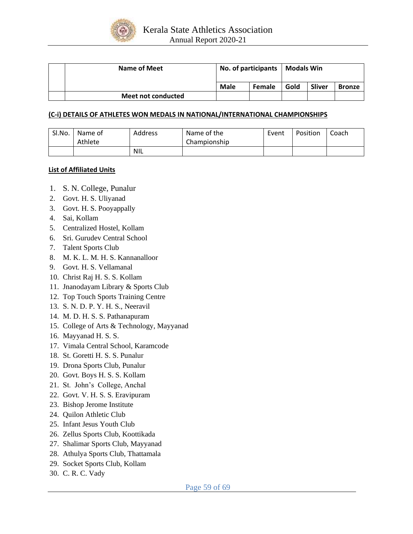

| <b>Name of Meet</b>       | No. of participants |  | <b>Modals Win</b> |               |               |
|---------------------------|---------------------|--|-------------------|---------------|---------------|
|                           | Male<br>Female      |  | Gold              | <b>Sliver</b> | <b>Bronze</b> |
| <b>Meet not conducted</b> |                     |  |                   |               |               |

#### **(C-i) DETAILS OF ATHLETES WON MEDALS IN NATIONAL/INTERNATIONAL CHAMPIONSHIPS**

| Sl.No. | Name of<br>Athlete | Address | Name of the<br>Championship | Event | Position | Coach |
|--------|--------------------|---------|-----------------------------|-------|----------|-------|
|        |                    | NIL     |                             |       |          |       |

#### **List of Affiliated Units**

- 1. S. N. College, Punalur
- 2. Govt. H. S. Uliyanad
- 3. Govt. H. S. Pooyappally
- 4. Sai, Kollam
- 5. Centralized Hostel, Kollam
- 6. Sri. Gurudev Central School
- 7. Talent Sports Club
- 8. M. K. L. M. H. S. Kannanalloor
- 9. Govt. H. S. Vellamanal
- 10. Christ Raj H. S. S. Kollam
- 11. Jnanodayam Library & Sports Club
- 12. Top Touch Sports Training Centre
- 13. S. N. D. P. Y. H. S., Neeravil
- 14. M. D. H. S. S. Pathanapuram
- 15. College of Arts & Technology, Mayyanad
- 16. Mayyanad H. S. S.
- 17. Vimala Central School, Karamcode
- 18. St. Goretti H. S. S. Punalur
- 19. Drona Sports Club, Punalur
- 20. Govt. Boys H. S. S. Kollam
- 21. St. John's College, Anchal
- 22. Govt. V. H. S. S. Eravipuram
- 23. Bishop Jerome Institute
- 24. Quilon Athletic Club
- 25. Infant Jesus Youth Club
- 26. Zellus Sports Club, Koottikada
- 27. Shalimar Sports Club, Mayyanad
- 28. Athulya Sports Club, Thattamala
- 29. Socket Sports Club, Kollam
- 30. C. R. C. Vady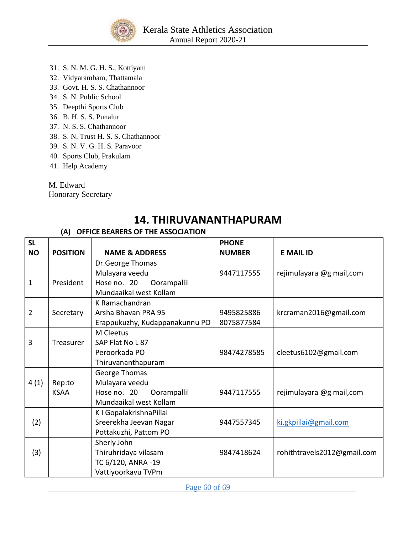

- 31. S. N. M. G. H. S., Kottiyam
- 32. Vidyarambam, Thattamala
- 33. Govt. H. S. S. Chathannoor
- 34. S. N. Public School
- 35. Deepthi Sports Club
- 36. B. H. S. S. Punalur
- 37. N. S. S. Chathannoor
- 38. S. N. Trust H. S. S. Chathannoor
- 39. S. N. V. G. H. S. Paravoor
- 40. Sports Club, Prakulam
- 41. Help Academy

M. Edward

Honorary Secretary

# **14. THIRUVANANTHAPURAM**

# **(A) OFFICE BEARERS OF THE ASSOCIATION**

| <b>SL</b>      |                 |                                | <b>PHONE</b>  |                             |
|----------------|-----------------|--------------------------------|---------------|-----------------------------|
| <b>NO</b>      | <b>POSITION</b> | <b>NAME &amp; ADDRESS</b>      | <b>NUMBER</b> | <b>E MAIL ID</b>            |
|                |                 | Dr.George Thomas               |               |                             |
|                |                 | Mulayara veedu                 | 9447117555    | rejimulayara @g mail,com    |
| 1              | President       | Hose no. 20<br>Oorampallil     |               |                             |
|                |                 | Mundaaikal west Kollam         |               |                             |
|                |                 | K Ramachandran                 |               |                             |
| $\overline{2}$ | Secretary       | Arsha Bhavan PRA 95            | 9495825886    | krcraman2016@gmail.com      |
|                |                 | Erappukuzhy, Kudappanakunnu PO | 8075877584    |                             |
|                |                 | M Cleetus                      |               |                             |
| 3              | Treasurer       | SAP Flat No L 87               |               |                             |
|                |                 | Peroorkada PO                  | 98474278585   | cleetus6102@gmail.com       |
|                |                 | Thiruvananthapuram             |               |                             |
|                |                 | George Thomas                  |               |                             |
| 4(1)           | Rep:to          | Mulayara veedu                 |               |                             |
|                | <b>KSAA</b>     | Hose no. 20<br>Oorampallil     | 9447117555    | rejimulayara @g mail,com    |
|                |                 | Mundaaikal west Kollam         |               |                             |
|                |                 | K I GopalakrishnaPillai        |               |                             |
| (2)            |                 | Sreerekha Jeevan Nagar         | 9447557345    | ki.gkpillai@gmail.com       |
|                |                 | Pottakuzhi, Pattom PO          |               |                             |
|                |                 | Sherly John                    |               |                             |
| (3)            |                 | Thiruhridaya vilasam           | 9847418624    | rohithtravels2012@gmail.com |
|                |                 | TC 6/120, ANRA -19             |               |                             |
|                |                 | Vattiyoorkavu TVPm             |               |                             |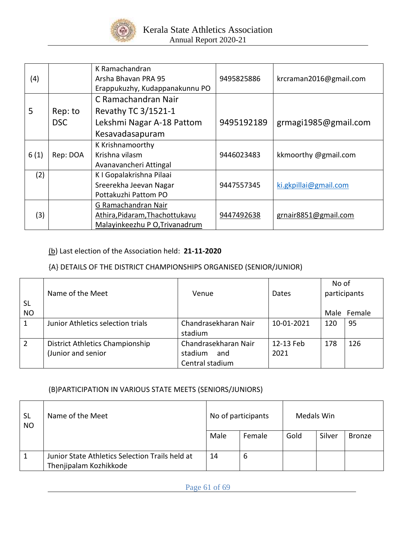

| (4)  |                       | K Ramachandran<br>Arsha Bhavan PRA 95<br>Erappukuzhy, Kudappanakunnu PO | 9495825886 | krcraman2016@gmail.com |
|------|-----------------------|-------------------------------------------------------------------------|------------|------------------------|
| 5    |                       | C Ramachandran Nair<br>Revathy TC 3/1521-1                              |            |                        |
|      | Rep: to<br><b>DSC</b> | Lekshmi Nagar A-18 Pattom                                               | 9495192189 | grmagi1985@gmail.com   |
|      |                       | Kesavadasapuram                                                         |            |                        |
|      |                       | K Krishnamoorthy                                                        |            |                        |
| 6(1) | Rep: DOA              | Krishna vilasm                                                          | 9446023483 | kkmoorthy @gmail.com   |
|      |                       | Avanavancheri Attingal                                                  |            |                        |
| (2)  |                       | K I Gopalakrishna Pilaai                                                |            |                        |
|      |                       | Sreerekha Jeevan Nagar                                                  | 9447557345 | ki.gkpillai@gmail.com  |
|      |                       | Pottakuzhi Pattom PO                                                    |            |                        |
|      |                       | G Ramachandran Nair                                                     |            |                        |
| (3)  |                       | Athira, Pidaram, Thachottukavu                                          | 9447492638 | grnair8851@gmail.com   |
|      |                       | Malayinkeezhu P O, Trivanadrum                                          |            |                        |

## (b) Last election of the Association held: **21-11-2020**

# {A} DETAILS OF THE DISTRICT CHAMPIONSHIPS ORGANISED (SENIOR/JUNIOR)

| <b>SL</b>      | Name of the Meet                  | Venue                | Dates      | No of<br>participants |             |
|----------------|-----------------------------------|----------------------|------------|-----------------------|-------------|
| <b>NO</b>      |                                   |                      |            |                       | Male Female |
| 1              | Junior Athletics selection trials | Chandrasekharan Nair | 10-01-2021 | 120                   | 95          |
|                |                                   | stadium              |            |                       |             |
| $\overline{2}$ | District Athletics Championship   | Chandrasekharan Nair | 12-13 Feb  | 178                   | 126         |
|                | (Junior and senior                | stadium<br>and       | 2021       |                       |             |
|                |                                   | Central stadium      |            |                       |             |

## (B)PARTICIPATION IN VARIOUS STATE MEETS (SENIORS/JUNIORS)

| <b>SL</b><br><b>NO</b> | Name of the Meet                                | No of participants |        | Medals Win |        |               |
|------------------------|-------------------------------------------------|--------------------|--------|------------|--------|---------------|
|                        |                                                 | Male               | Female | Gold       | Silver | <b>Bronze</b> |
| 1                      | Junior State Athletics Selection Trails held at | 14                 | 6      |            |        |               |
|                        | Thenjipalam Kozhikkode                          |                    |        |            |        |               |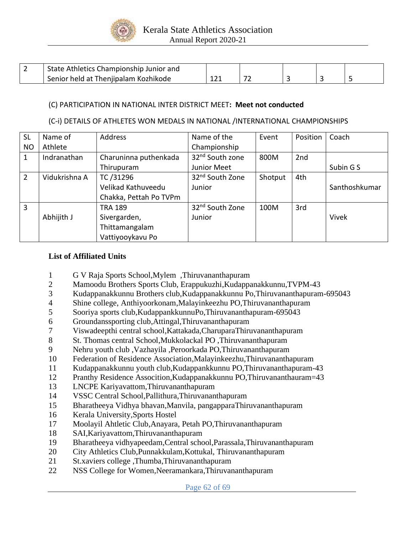

| State Athletics Championship Junior and |     |     |  |  |
|-----------------------------------------|-----|-----|--|--|
| Senior held at Thenjipalam Kozhikode    | 121 | - - |  |  |

### (C) PARTICIPATION IN NATIONAL INTER DISTRICT MEET**: Meet not conducted**

### (C-i) DETAILS OF ATHLETES WON MEDALS IN NATIONAL /INTERNATIONAL CHAMPIONSHIPS

| <b>SL</b>      | Name of       | <b>Address</b>         | Name of the                 | Event   | Position | Coach         |
|----------------|---------------|------------------------|-----------------------------|---------|----------|---------------|
| <b>NO</b>      | Athlete       |                        | Championship                |         |          |               |
| 1              | Indranathan   | Charuninna puthenkada  | 32 <sup>nd</sup> South zone | 800M    | 2nd      |               |
|                |               | Thirupuram             | Junior Meet                 |         |          | Subin G S     |
| $\overline{2}$ | Vidukrishna A | TC /31296              | 32 <sup>nd</sup> South Zone | Shotput | 4th      |               |
|                |               | Velikad Kathuveedu     | Junior                      |         |          | Santhoshkumar |
|                |               | Chakka, Pettah Po TVPm |                             |         |          |               |
| 3              |               | TRA 189                | 32 <sup>nd</sup> South Zone | 100M    | 3rd      |               |
|                | Abhijith J    | Sivergarden,           | Junior                      |         |          | <b>Vivek</b>  |
|                |               | Thittamangalam         |                             |         |          |               |
|                |               | Vattiyooykavu Po       |                             |         |          |               |

### **List of Affiliated Units**

- 1 G V Raja Sports School,Mylem ,Thiruvananthapuram
- 2 Mamoodu Brothers Sports Club, Erappukuzhi,Kudappanakkunnu,TVPM-43
- 3 Kudappanakkunnu Brothers club,Kudappanakkunnu Po,Thiruvananthapuram-695043
- 4 Shine college, Anthiyoorkonam,Malayinkeezhu PO,Thiruvananthapuram
- 5 Sooriya sports club,KudappankkunnuPo,Thiruvananthapuram-695043
- 6 Groundanssporting club,Attingal,Thiruvananthapuram
- 7 Viswadeepthi central school,Kattakada,CharuparaThiruvananthapuram
- 8 St. Thomas central School,Mukkolackal PO ,Thiruvananthapuram
- 9 Nehru youth club ,Vazhayila ,Peroorkada PO,Thiruvananthapuram
- 10 Federation of Residence Association,Malayinkeezhu,Thiruvananthapuram
- 11 Kudappanakkunnu youth club,Kudappankkunnu PO,Thiruvananthapuram-43
- 12 Pranthy Residence Assocition,Kudappanakkunnu PO,Thiruvananthauram=43
- 13 LNCPE Kariyavattom,Thiruvananthapuram
- 14 VSSC Central School,Pallithura,Thiruvananthapuram
- 15 Bharatheeya Vidhya bhavan,Manvila, pangapparaThiruvananthapuram
- 16 Kerala University,Sports Hostel
- 17 Moolayil Ahtletic Club,Anayara, Petah PO,Thiruvananthapuram
- 18 SAI,Kariyavattom,Thiruvananthapuram
- 19 Bharatheeya vidhyapeedam,Central school,Parassala,Thiruvananthapuram
- 20 City Athletics Club,Punnakkulam,Kottukal, Thiruvananthapuram
- 21 St.xaviers college ,Thumba,Thiruvananthapuram
- 22 NSS College for Women,Neeramankara,Thiruvananthapuram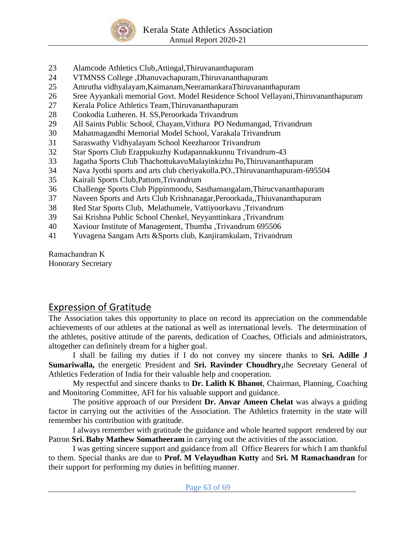

- 23 Alamcode Athletics Club,Attingal,Thiruvananthapuram
- 24 VTMNSS College ,Dhanuvachapuram,Thiruvananthapuram
- 25 Amrutha vidhyalayam,Kaimanam,NeeramankaraThiruvananthapuram
- 26 Sree Ayyankali memorial Govt. Model Residence School Vellayani,Thiruvananthapuram
- 27 Kerala Police Athletics Team,Thiruvananthapuram
- 28 Conkodia Lutheren. H. SS,Peroorkada Trivandrum
- 29 All Saints Public School, Chayam,Vithura PO Nedumangad, Trivandrum
- 30 Mahatmagandhi Memorial Model School, Varakala Trivandrum
- 31 Saraswathy Vidhyalayam School Keezharoor Trivandrum
- 32 Star Sports Club Erappukuzhy Kudapannakkunnu Trivandrum-43
- 33 Jagatha Sports Club ThachottukavuMalayinkizhu Po,Thiruvananthapuram
- 34 Nava Jyothi sports and arts club cheriyakolla.PO.,Thiruvananthapuram-695504
- 35 Kairali Sports Club,Pattom,Trivandrum
- 36 Challenge Sports Club Pippinmoodu, Sasthamangalam,Thirucvananthapuram
- 37 Naveen Sports and Arts Club Krishnanagar,Peroorkada,,Thiuvananthapuram
- 38 Red Star Sports Club, Melathumele, Vattiyoorkavu ,Trivandrum
- 39 Sai Krishna Public School Chenkel, Neyyanttinkara ,Trivandrum
- 40 Xaviour Institute of Management, Thumba ,Trivandrum 695506
- 41 Yuvagena Sangam Arts &Sports club, Kanjiramkulam, Trivandrum

Ramachandran K Honorary Secretary

# Expression of Gratitude

The Association takes this opportunity to place on record its appreciation on the commendable achievements of our athletes at the national as well as international levels. The determination of the athletes, positive attitude of the parents, dedication of Coaches, Officials and administrators, altogether can definitely dream for a higher goal.

I shall be failing my duties if I do not convey my sincere thanks to **Sri. Adille J Sumariwalla,** the energetic President and **Sri. Ravinder Choudhry,**the Secretary General of Athletics Federation of India for their valuable help and cooperation.

My respectful and sincere thanks to **Dr. Lalith K Bhanot**, Chairman, Planning, Coaching and Monitoring Committee, AFI for his valuable support and guidance.

The positive approach of our President **Dr. Anvar Ameen Chelat** was always a guiding factor in carrying out the activities of the Association. The Athletics fraternity in the state will remember his contribution with gratitude.

I always remember with gratitude the guidance and whole hearted support rendered by our Patron **Sri. Baby Mathew Somatheeram** in carrying out the activities of the association.

I was getting sincere support and guidance from all Office Bearers for which I am thankful to them. Special thanks are due to **Prof. M Velayudhan Kutty** and **Sri. M Ramachandran** for their support for performing my duties in befitting manner.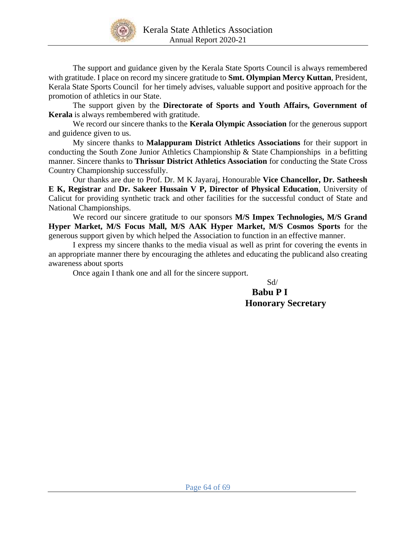

The support and guidance given by the Kerala State Sports Council is always remembered with gratitude. I place on record my sincere gratitude to **Smt. Olympian Mercy Kuttan**, President, Kerala State Sports Council for her timely advises, valuable support and positive approach for the promotion of athletics in our State.

The support given by the **Directorate of Sports and Youth Affairs, Government of Kerala** is always rembembered with gratitude.

We record our sincere thanks to the **Kerala Olympic Association** for the generous support and guidence given to us.

My sincere thanks to **Malappuram District Athletics Associations** for their support in conducting the South Zone Junior Athletics Championship & State Championships in a befitting manner. Sincere thanks to **Thrissur District Athletics Association** for conducting the State Cross Country Championship successfully.

Our thanks are due to Prof. Dr. M K Jayaraj, Honourable **Vice Chancellor, Dr. Satheesh E K, Registrar** and **Dr. Sakeer Hussain V P, Director of Physical Education**, University of Calicut for providing synthetic track and other facilities for the successful conduct of State and National Championships.

We record our sincere gratitude to our sponsors **M/S Impex Technologies, M/S Grand Hyper Market, M/S Focus Mall, M/S AAK Hyper Market, M/S Cosmos Sports** for the generous support given by which helped the Association to function in an effective manner.

I express my sincere thanks to the media visual as well as print for covering the events in an appropriate manner there by encouraging the athletes and educating the publicand also creating awareness about sports

Once again I thank one and all for the sincere support.

Sd/

# **Babu P I Honorary Secretary**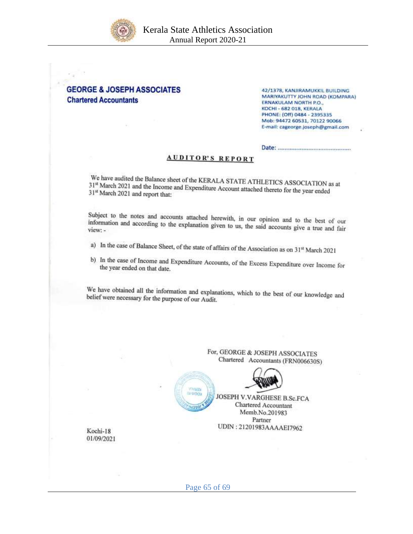



42/1378, KANJIRAMUKKIL BUILDING MARIYAKUTTY JOHN ROAD (KOMPARA) ERNAKULAM NORTH P.O., **KOCHI - 682 018, KERALA** PHONE: (Off) 0484 - 2395335 Mob: 94472 60531, 70122 90066 E-mail: cageorge.joseph@gmail.com

|--|

### **AUDITOR'S REPORT**

We have audited the Balance sheet of the KERALA STATE ATHLETICS ASSOCIATION as at 31<sup>st</sup> March 2021 and the Income and Expenditure Association to the late 31<sup>st</sup> March 2021 and the Income and Expenditure Account attached thereto for the year ended<br>31<sup>st</sup> March 2021 and renort that 31st March 2021 and report that:

Subject to the notes and accounts attached herewith, in our opinion and to the best of our information and according to the explanation given to use the studies information and according to the explanation given to us, the said accounts give a true and fair view: -

- a) In the case of Balance Sheet, of the state of affairs of the Association as on 31st March 2021
- b) In the case of Income and Expenditure Accounts, of the Excess Expenditure over Income for the vear ended on that date the year ended on that date.

We have obtained all the information and explanations, which to the best of our knowledge and belief were necessary for the purpose of our Audit belief were necessary for the purpose of our Audit.



Kochi-18 01/09/2021

Page 65 of 69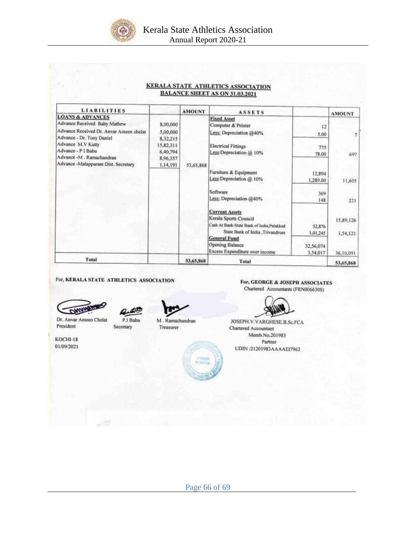

| <b>KERALA STATE ATHLETICS ASSOCIATION</b> |
|-------------------------------------------|
| <b>BALANCE SHEET AS ON 31.03.2021</b>     |

|                                                           | <b>AMOUNT</b> |                                                                                                         |                                                                                                                | <b>AMOUNT</b>          |
|-----------------------------------------------------------|---------------|---------------------------------------------------------------------------------------------------------|----------------------------------------------------------------------------------------------------------------|------------------------|
| 8,00,000<br>5,00,000<br>8,32,215<br>15,82,311<br>6,40,794 |               | <b>Fixed Asset</b><br>Computer & Printer<br>Less: Depreciation @40%<br><b>Electrical Fittings</b>       | 12<br>5.00<br>775                                                                                              | 697                    |
| 8,96,357<br>1,14,191                                      |               | Furniture & Equipment<br>Less:Depreciation @ 10%                                                        | 12,894<br>1,289.00                                                                                             | 11,605                 |
|                                                           |               | Software<br>Less: Depreciation @40%                                                                     | 369<br>148                                                                                                     | 221                    |
|                                                           |               | Kerala Sports Council<br>Cash At Bank-State Bank of India, Palakkad<br>State Bank of India , Trivandrum | 52,876<br>1,01,245                                                                                             | 15,89,126<br>1,54,121  |
|                                                           |               | <b>Opening Balance</b><br>Excess Expenditure over income                                                | 32,56,074<br>3,54,017                                                                                          | 36,10,091<br>53,65,868 |
|                                                           |               | 53,65,868                                                                                               | <b>ASSETS</b><br>Less:Depreciation @ 10%<br>53,65,868<br><b>Current Assets</b><br><b>General Fund</b><br>Total | 78.00                  |

#### For, KERALA STATE ATHLETICS ASSOCIATION





Dr. Anvar Ameen Chelat President

P.I Babu Secretary

M. Ramachandran Treasurer

KOCHI-18 01/09/2021

For, GEORGE & JOSEPH ASSOCIATES Chartered Accountants (FRN006630S)



JOSEPH.V.VARGHESE.B.Sc.FCA Chartered Accountant Memb.No.201983 Partner UDIN:21201983AAAAE17962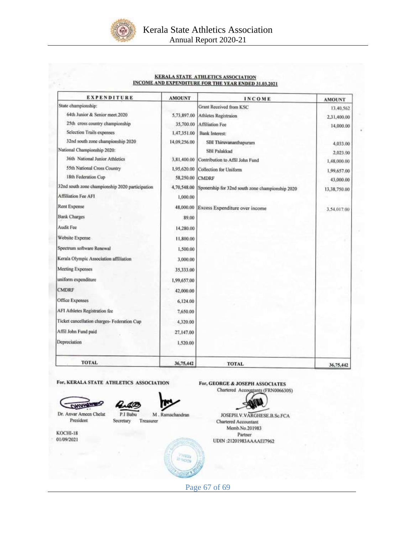

#### KERALA STATE ATHLETICS ASSOCIATION **INCOME AND EXPENDITURE FOR THE YEAR ENDED 31.03.2021**

| <b>EXPENDITURE</b>                              | <b>AMOUNT</b> | <b>INCOME</b>                                    | <b>AMOUNT</b> |
|-------------------------------------------------|---------------|--------------------------------------------------|---------------|
| State championship:                             |               | Grant Received from KSC                          | 13,40,562     |
| 64th Junior & Senior meet 2020                  | 5,73,897.00   | Athletes Registraion                             | 2,31,400.00   |
| 25th cross country championship                 | 35,700.00     | Affiliation Fee                                  | 14,000.00     |
| Selection Trails expenses                       | 1,47,351.00   | <b>Bank Interest:</b>                            |               |
| 32nd south zone championship 2020               | 14,09,256.00  | SBI Thiruvananthapuram                           | 4,033.00      |
| National Championship 2020:                     |               | <b>SBI Palakkad</b>                              | 2,023.00      |
| 36th National Junior Athletics                  | 3,81,400.00   | Contribution to Affil John Fund                  | 1,48,000.00   |
| 55th National Cross Country                     | 1,95,620.00   | Collection for Uniform                           | 1,99,657.00   |
| 18th Federation Cup                             | 58,250.00     | <b>CMDRF</b>                                     | 43,000.00     |
| 32nd south zone championship 2020 participation | 4,70,548.00   | Sponership for 32nd south zone championship 2020 | 13,38,750.00  |
| <b>Affiliation Fee AFI</b>                      | 1,000.00      |                                                  |               |
| Rent Expense                                    | 48.000.00     | Excess Expenditure over income                   | 3.54.017.00   |
| <b>Bank Charges</b>                             | 89.00         |                                                  |               |
| Audit Fee                                       | 14,280.00     |                                                  |               |
| Website Expense                                 | 11,800.00     |                                                  |               |
| Spectrum software Renewal                       | 1,500.00      |                                                  |               |
| Kerala Olympic Association affiliation          | 3,000.00      |                                                  |               |
| <b>Meeting Expenses</b>                         | 35,333.00     |                                                  |               |
| uniform expenditure                             | 1,99,657.00   |                                                  |               |
| <b>CMDRF</b>                                    | 42,000.00     |                                                  |               |
| Office Expenses                                 | 6,124.00      |                                                  |               |
| AFI Athletes Registration fee                   | 7,650.00      |                                                  |               |
| Ticket cancellation charges- Federation Cup     | 4,320.00      |                                                  |               |
| Affil John Fund paid                            | 27.147.00     |                                                  |               |
| Depreciation                                    | 1,520.00      |                                                  |               |
| <b>TOTAL</b>                                    | 36,75,442     | <b>TOTAL</b>                                     | 36,75,442     |



Page 67 of 69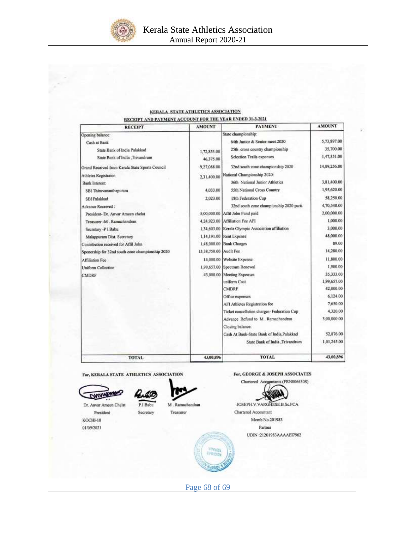

#### KERALA STATE ATHLETICS ASSOCIATION ND BANMENT ACCOUNT FOR THE VEAR ENDED 31.3.2021

| <b>RECEIPT</b>                                   | <b>AMOUNT</b> | <b>PAYMENT</b>                                     | <b>AMOUNT</b> |
|--------------------------------------------------|---------------|----------------------------------------------------|---------------|
| Opening balance:                                 |               | State championship:                                |               |
| Cash at Bank                                     |               | 64th Junior & Senior meet 2020                     | 5,73,897.00   |
| State Bank of India Palakkad                     | 1,72,853.00   | 25th cross country championship                    | 35,700.00     |
| State Bank of India , Trivandrum                 | 46,375.00     | Selection Trails expenses                          | 1,47,351.00   |
| Grand Received from Kerala State Sports Council  | 9,27,088.00   | 32nd south zone championship 2020                  | 14,09,256.00  |
| Athletes Registraion                             | 2,31,400.00   | National Championship 2020:                        |               |
| Bank Interest:                                   |               | 36th National Junior Athletics                     | 3,81,400.00   |
| SBI Thiruvananthapuram                           | 4,033.00      | 55th National Cross Country                        | 1,95,620.00   |
| <b>SBI Palakkad</b>                              | 2,023.00      | 18th Federation Cap                                | 58,250.00     |
| Advance Received:                                |               | 32nd south zone championship 2020 parti.           | 4,70,548.00   |
| President- Dr. Anvar Ameen chelat                |               | 5,00,000.00 Affil John Fund paid                   | 2,00,000.00   |
| Treasurer -M., Ramachandran                      |               | 4,24,923.00 Affiliation Fee AFI                    | 1,000.00      |
| Secretary -P I Babu                              |               | 1,34,603.00 Kerala Olympic Association affiliation | 3,000.00      |
| Malappuram Dist. Secretary                       |               | 1,14,191.00 Rent Expense                           | 48,000.00     |
| Contribution received for Affil John             | 1,48,000.00   | <b>Bank Charges</b>                                | 89.00         |
| Sponership for 32nd south zone championship 2020 | 13,38,750.00  | Audit Fee                                          | 14,280.00     |
| Affiliation Fee                                  |               | 14,000.00 Website Expense                          | 11,800.00     |
| Uniform Collection                               |               | 1,99,657.00 Spectrum Renewal                       | 1,500.00      |
| CMDRF                                            |               | 43,000.00 Meeting Expenses                         | 35,333.00     |
|                                                  |               | uniform Cost                                       | 1,99,657.00   |
|                                                  |               | CMDRF                                              | 42,000.00     |
|                                                  |               | Office expenses                                    | 6,124.00      |
|                                                  |               | AFI Athletes Registration fee                      | 7,650.00      |
|                                                  |               | Ticket cancellation charges- Federation Cup        | 4,320.00      |
|                                                  |               | Advance Refund to M. Ramachandran                  | 3,00,000.00   |
|                                                  |               | Closing balance:                                   |               |
|                                                  |               | Cash At Bank-State Bank of India, Palakkad         | 52,876.00     |
|                                                  |               | State Bank of India Trivandrum                     | 1,01,245.00   |
| TOTAL                                            | 43,00,896     | <b>TOTAL</b>                                       | 43,00,896     |

For, KERALA STATE ATHLETICS ASSOCIATION

P.I Babu

Secretary

DWWWAW

L

Dr. Anvar Ameen Chelat President

KOCHI-18

01/09/2021

M. Ramachandn Treasurer



JOSEPH V. VARGHESE B.Sc.FCA Chartered Accountant Memb.No.201983 Partner UDIN :21201983AAAAE17962

Page 68 of 69